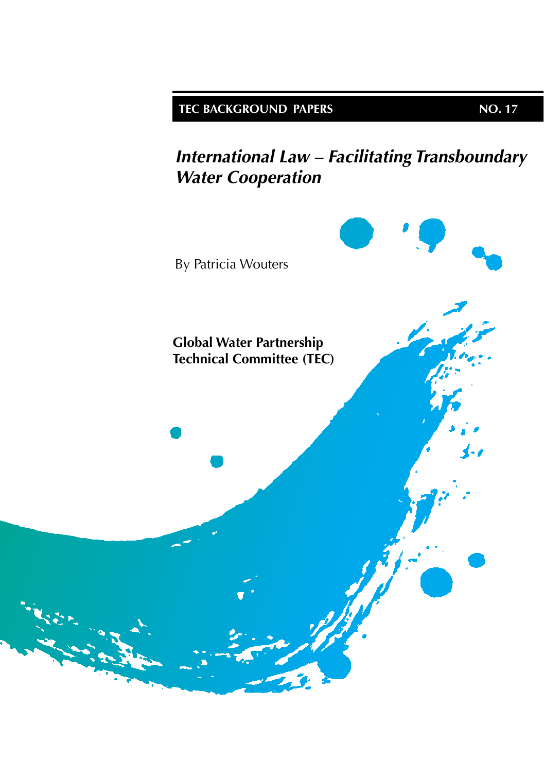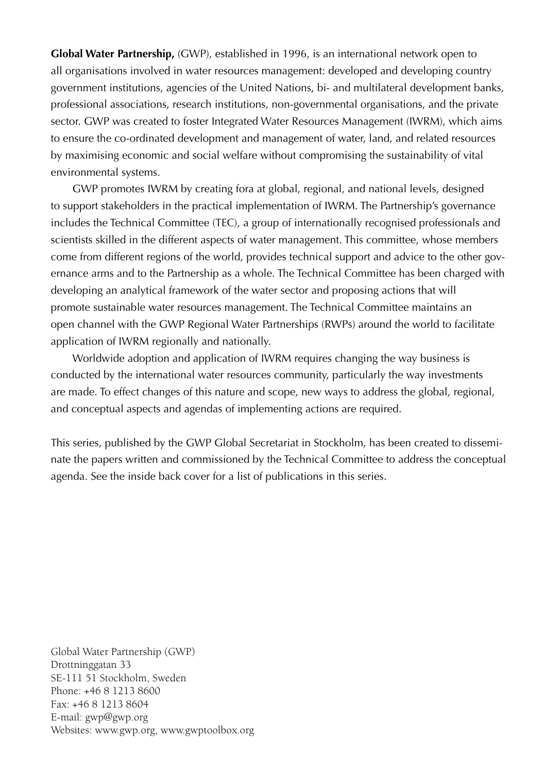**Global Water Partnership,** (GWP), established in 1996, is an international network open to all organisations involved in water resources management: developed and developing country government institutions, agencies of the United Nations, bi- and multilateral development banks, professional associations, research institutions, non-governmental organisations, and the private sector. GWP was created to foster Integrated Water Resources Management (IWRM), which aims to ensure the co-ordinated development and management of water, land, and related resources by maximising economic and social welfare without compromising the sustainability of vital environmental systems.

GWP promotes IWRM by creating fora at global, regional, and national levels, designed to support stakeholders in the practical implementation of IWRM.The Partnership's governance includes the Technical Committee (TEC), a group of internationally recognised professionals and scientists skilled in the different aspects of water management.This committee, whose members come from different regions of the world, provides technical support and advice to the other governance arms and to the Partnership as a whole. The Technical Committee has been charged with developing an analytical framework of the water sector and proposing actions that will promote sustainable water resources management. The Technical Committee maintains an open channel with the GWP Regional Water Partnerships (RWPs) around the world to facilitate application of IWRM regionally and nationally.

Worldwide adoption and application of IWRM requires changing the way business is conducted by the international water resources community, particularly the way investments are made.To effect changes of this nature and scope, new ways to address the global, regional, and conceptual aspects and agendas of implementing actions are required.

This series, published by the GWP Global Secretariat in Stockholm, has been created to disseminate the papers written and commissioned by theTechnical Committee to address the conceptual agenda. See the inside back cover for a list of publications in this series.

Global Water Partnership (GWP) Drottninggatan 33 SE-111 51 Stockholm, Sweden Phone: +46 8 1213 8600 Fax: +46 8 1213 8604 E-mail: gwp@gwp.org Websites: www.gwp.org, www.gwptoolbox.org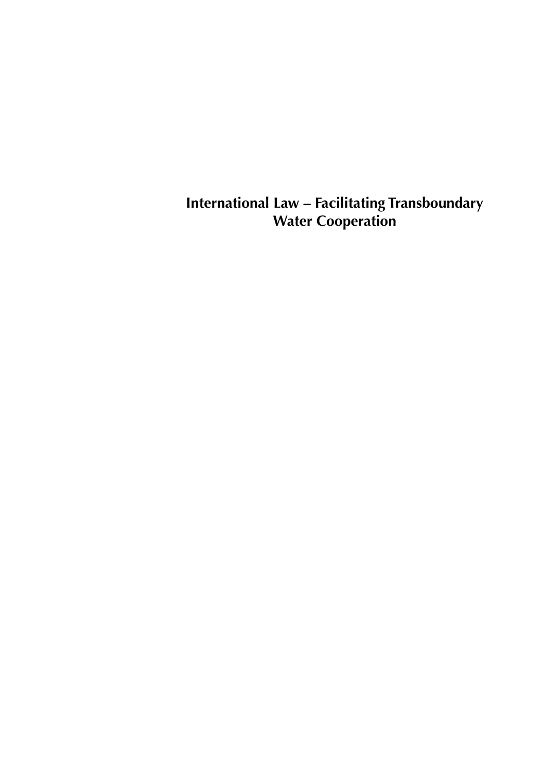**International Law–Facilitating Transboundary Water Cooperation**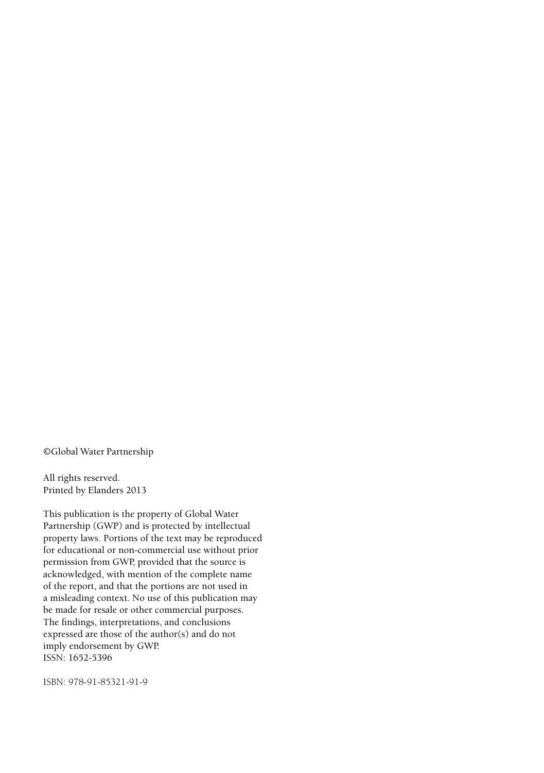©Global Water Partnership

All rights reserved. Printed by Elanders 2013

This publication is the property of Global Water Partnership (GWP) and is protected by intellectual property laws. Portions of the text may be reproduced for educational or non-commercial use without prior permission from GWP, provided that the source is acknowledged, with mention of the complete name of the report, and that the portions are not used in a misleading context. No use of this publication may be made for resale or other commercial purposes. The findings, interpretations, and conclusions expressed are those of the author(s) and do not imply endorsement by GWP. ISSN: 1652-5396

ISBN: 978-91-85321-91-9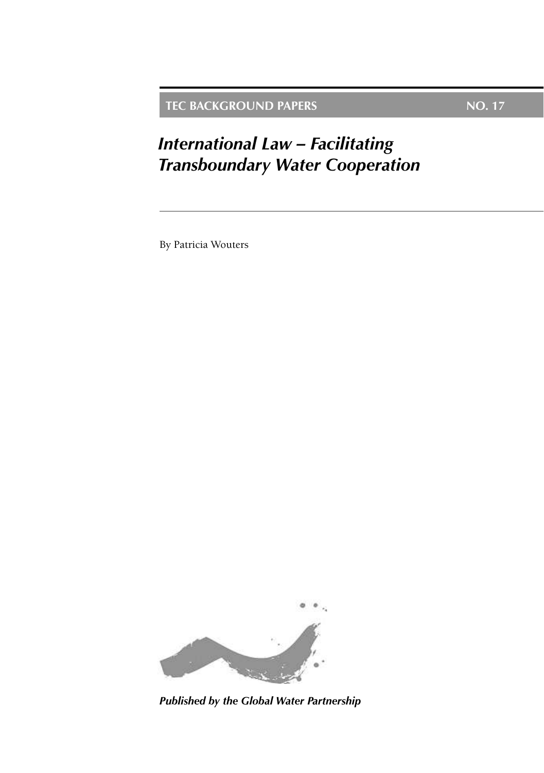**TEC BACKGROUND PAPERS NO. 17** 

# *International Law–Facilitating Transboundary Water Cooperation*

By Patricia Wouters



*Published by the Global Water Partnership*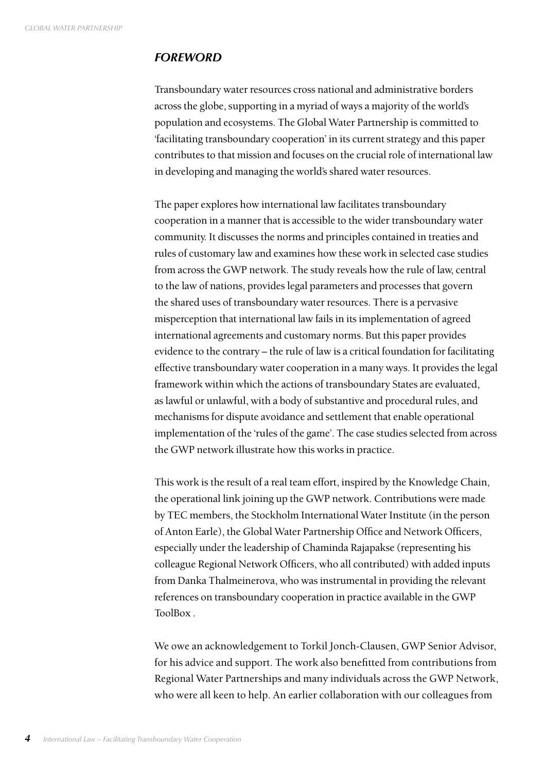#### *FOREWORD*

Transboundary water resources crossnational and administrative borders across the globe, supporting in a myriad of ways a majority of the world's population and ecosystems. The Global Water Partnership is committed to 'facilitating transboundary cooperation' in its current strategy and this paper contributes to that mission and focuses on the crucial role of international law in developing and managing the world's shared water resources.

The paper explores how international law facilitates transboundary cooperation in a manner that is accessible to the wider transboundary water community. It discusses the norms and principles contained in treaties and rules of customary law and examines how these work in selected case studies from across the GWP network. The study reveals how the rule of law, central to the law of nations, provides legal parameters and processes that govern the shared uses of transboundary water resources. There is a pervasive misperception that international law fails in its implementation of agreed international agreements and customary norms. But this paper provides evidence to the contrary - the rule of law is a critical foundation for facilitating effective transboundary water cooperation in a many ways. It provides the legal framework within which the actions of transboundary States are evaluated, as lawful or unlawful, with a body of substantive and procedural rules, and mechanisms for dispute avoidance and settlement that enable operational implementation of the 'rules of the game'. The case studies selected from across the GWP network illustrate how this works in practice.

This work is the result of a real team effort, inspired by the Knowledge Chain, the operational link joining up the GWP network. Contributions were made by TEC members, the Stockholm International Water Institute (in the person of Anton Earle), the Global Water Partnership Office and Network Officers, especially under the leadership of Chaminda Rajapakse (representing his colleague Regional Network Officers, who all contributed) with added inputs from Danka Thalmeinerova, who was instrumental in providing the relevant references on transboundary cooperation in practice available in the GWP ToolBox .

We owe an acknowledgement to Torkil Jonch-Clausen, GWP Senior Advisor, for his advice and support. The work also benefitted from contributions from Regional Water Partnerships and many individuals across the GWP Network, who were all keen to help. An earlier collaboration with our colleagues from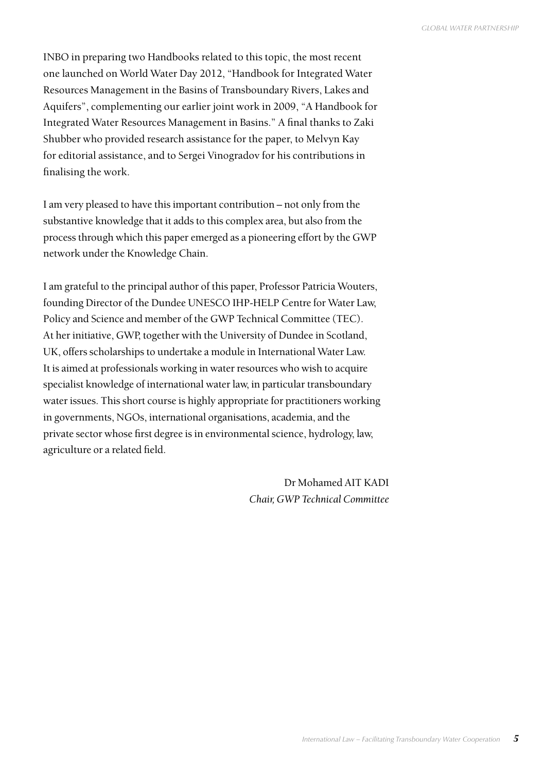INBO in preparing two Handbooks related to this topic, the most recent one launched on World Water Day 2012, "Handbook for Integrated Water Resources Management in the Basins of Transboundary Rivers, Lakes and Aquifers", complementing our earlier joint work in2009, "A Handbook for Integrated Water Resources Management in Basins." A final thanks to Zaki Shubber who provided research assistance for the paper, to Melvyn Kay for editorial assistance, and to Sergei Vinogradov for his contributions in finalising the work.

I am very pleased to have this important contribution - not only from the substantive knowledge that it adds to this complex area, but also from the process through which this paper emerged as a pioneering effort by the GWP network under the Knowledge Chain.

I am grateful to the principal author of this paper, Professor Patricia Wouters, founding Director of the Dundee UNESCO IHP-HELP Centre for Water Law, Policy and Science and member of the GWP Technical Committee (TEC). At her initiative, GWP, together with the University of Dundee in Scotland, UK, offers scholarships to undertake a module in International Water Law. It is aimed at professionals working in water resources who wishto acquire specialist knowledge of international water law, in particular transboundary water issues. This short course is highly appropriate for practitioners working in governments, NGOs, international organisations, academia, and the private sector whose first degree is in environmental science, hydrology, law, agriculture or a related field.

> Dr Mohamed AIT KADI *Chair, GWP Technical Committee*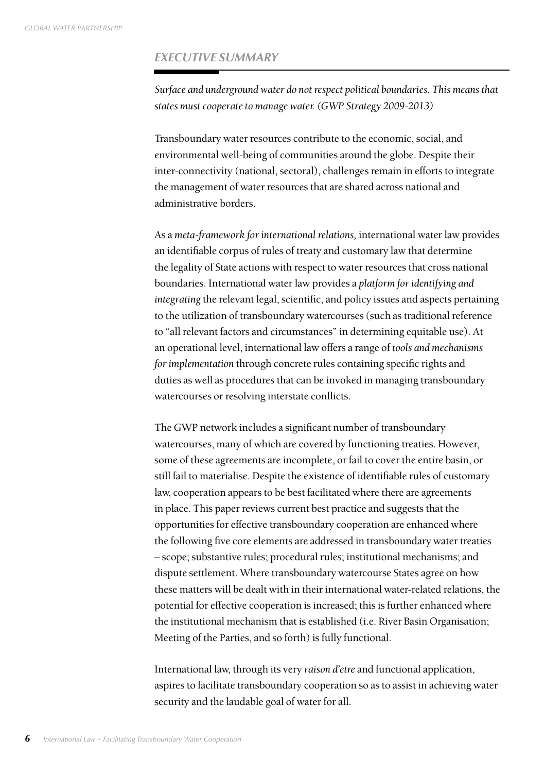#### *ExECuTIvE summaRy*

*Surface and underground water do notrespect political boundaries. This meansthat states must cooperate to manage water. (GWP Strategy 2009-2013)*

Transboundary water resources contribute to the economic, social, and environmental well-being of communities around the globe. Despite their inter-connectivity (national, sectoral), challenges remain in efforts to integrate the management of water resources that are shared across national and administrative borders.

As a *meta-framework for international relations*, international water law provides anidentifiable corpus of rules of treaty and customary law that determine the legality of State actions with respect to water resources that cross national boundaries. International water law provides a *platform foridentifying and* integrating the relevant legal, scientific, and policy issues and aspects pertaining to the utilization of transboundary watercourses (such as traditional reference to "all relevant factors and circumstances" in determining equitable use). At an operational level, international law offers a range of *tools* and *mechanisms* for implementation through concrete rules containing specific rights and duties as well as procedures that can be invoked in managing transboundary watercourses or resolving interstate conflicts.

The GWP network includes a significant number of transboundary watercourses, many of which are covered by functioning treaties. However, some of these agreements are incomplete, or fail to cover the entire basin, or still fail to materialise. Despite the existence of identifiable rules of customary law, cooperation appears to be best facilitated where there are agreements in place. This paper reviews current best practice and suggests that the opportunities for effective transboundary cooperation are enhanced where the following five core elements are addressed in transboundary water treaties – scope; substantive rules; procedural rules; institutional mechanisms; and dispute settlement. Where transboundary watercourse States agree on how these matters will be dealt with in their international water-related relations, the potential for effective cooperation is increased; this is further enhanced where the institutional mechanism that is established (i.e. River Basin Organisation; Meeting of the Parties, and so forth) is fully functional.

International law, through its very *raison d'etre* and functional application, aspires to facilitate transboundary cooperation so as to assist in achieving water security and the laudable goal of water for all.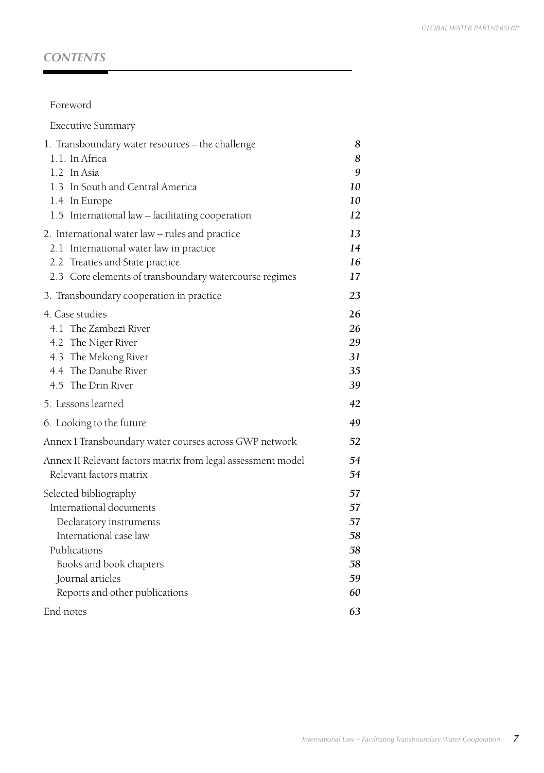▄

Foreword

| <b>Executive Summary</b>                                     |    |
|--------------------------------------------------------------|----|
| 1. Transboundary water resources - the challenge             | 8  |
| 1.1. In Africa                                               | 8  |
| 1.2 In Asia                                                  | 9  |
| 1.3 In South and Central America                             | 10 |
| 1.4 In Europe                                                | 10 |
| 1.5 International law - facilitating cooperation             | 12 |
| 2. International water law - rules and practice              | 13 |
| 2.1 International water law in practice                      | 14 |
| 2.2 Treaties and State practice                              | 16 |
| 2.3 Core elements of transboundary watercourse regimes       | 17 |
| 3. Transboundary cooperation in practice                     | 23 |
| 4. Case studies                                              | 26 |
| 4.1 The Zambezi River                                        | 26 |
| 4.2 The Niger River                                          | 29 |
| 4.3 The Mekong River                                         | 31 |
| 4.4 The Danube River                                         | 35 |
| 4.5 The Drin River                                           | 39 |
| 5. Lessons learned                                           | 42 |
| 6. Looking to the future                                     | 49 |
| Annex I Transboundary water courses across GWP network       | 52 |
| Annex II Relevant factors matrix from legal assessment model | 54 |
| Relevant factors matrix                                      | 54 |
| Selected bibliography                                        | 57 |
| International documents                                      | 57 |
| Declaratory instruments                                      | 57 |
| International case law                                       | 58 |
| Publications                                                 | 58 |
| Books and book chapters                                      | 58 |
| Journal articles                                             | 59 |
| Reports and other publications                               | 60 |
| End notes                                                    | 63 |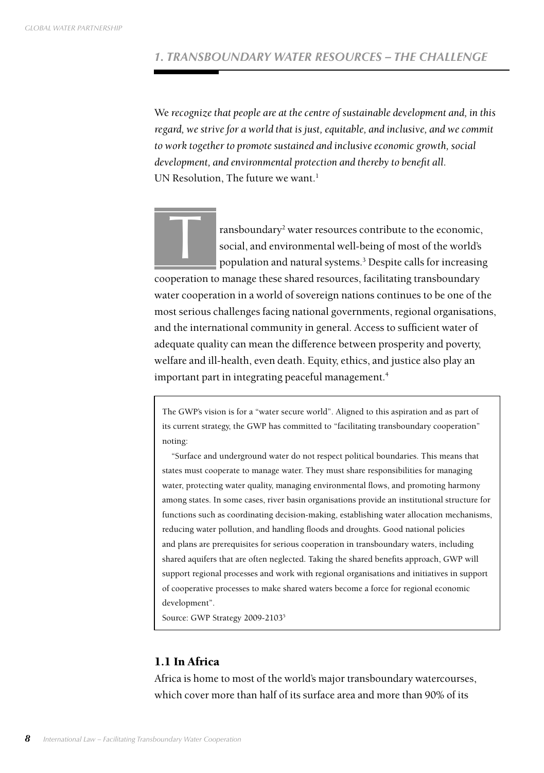We *recognize that people are at the centre of sustainable development and,in this regard, we strive for a world that is just, equitable, and inclusive, and we commit to work together to promote sustained and inclusive economic growth, social development, and environmental protection and thereby to benefit all.* UN Resolution. The future we want.<sup>1</sup>



ransboundary <sup>2</sup> water resources contribute to the economic, social, and environmental well-being of most of the world's population and natural systems.<sup>3</sup> Despite calls for increasing

cooperation to manage these shared resources, facilitating transboundary water cooperation in a world of sovereign nations continues to be one of the most serious challenges facing national governments, regional organisations, and the international community ingeneral. Access to sufficient water of adequate quality can mean the difference between prosperity and poverty, welfare and ill-health, evendeath. Equity, ethics, and justice also play an important part in integrating peaceful management.<sup>4</sup>

The GWP's vision is for a "water secure world". Aligned to this aspiration and as part of its current strategy, the GWP has committed to "facilitating transboundary cooperation" noting:

"Surface and underground water do not respect political boundaries. This means that states must cooperate to manage water. They must share responsibilities for managing water, protecting water quality, managing environmental flows, and promoting harmony among states. In some cases, river basin organisations provide an institutional structure for functions such as coordinating decision-making, establishing water allocation mechanisms, reducing water pollution, and handling floods and droughts. Good national policies and plans are prerequisites for serious cooperation in transboundary waters, including shared aquifers that are often neglected. Taking the shared benefits approach, GWP will support regional processes and work with regional organisations and initiatives in support of cooperative processes to make shared waters become a force for regional economic development".

Source: GWP Strategy 2009-2103<sup>5</sup>

# 1.1 In Africa

Africa is home to most of the world's major transboundary watercourses, which cover more than half of its surface area and more than 90% of its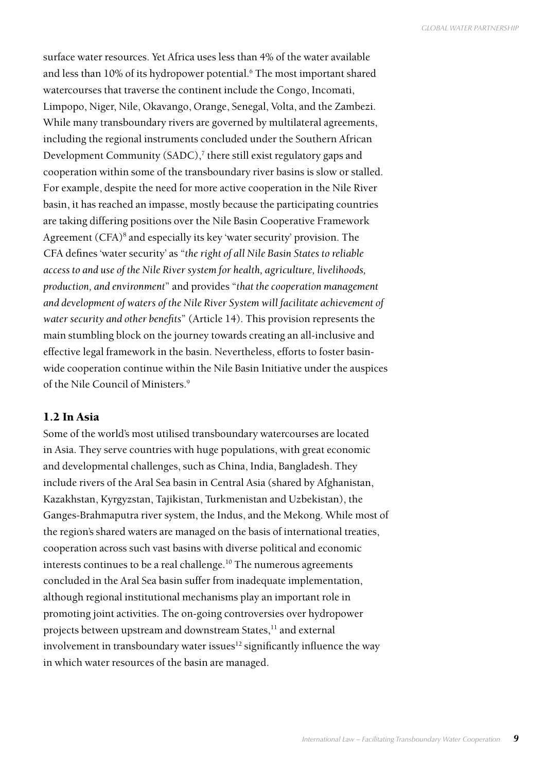surface water resources. Yet Africa uses less than 4% of the water available and less than 10% of its hydropower potential.<sup>6</sup> The most important shared watercourses that traverse the continent include the Congo, Incomati, Limpopo, Niger, Nile, Okavango, Orange, Senegal, Volta, and the Zambezi. While many transboundary rivers are governed by multilateral agreements, including the regional instruments concluded under the Southern African Development Community (SADC),<sup>7</sup> there still exist regulatory gaps and cooperation within some of the transboundary river basins is slow or stalled. For example, despite the need for more active cooperation in the Nile River basin, it has reached an impasse, mostly because the participating countries are taking differing positions over the Nile Basin Cooperative Framework Agreement (CFA)<sup>8</sup> and especially its key 'water security' provision. The CFA defines 'water security' as "*the right of all Nile Basin States to reliable*  $access$  *to and use of the Nile River system for health, agriculture, livelihoods, production, and environment*" and provides "*that the cooperation management and development of waters of the Nile River System willfacilitate achievement of water security and other benefits*" (Article 14). This provisionrepresents the main stumbling block on the journey towards creating an all-inclusive and effective legal framework in the basin. Nevertheless, efforts to foster basinwide cooperation continue within the Nile Basin Initiative under the auspices of the Nile Council of Ministers.<sup>9</sup>

#### 1.2 In Asia

Some of the world's most utilised transboundary watercourses are located in Asia. They serve countries with huge populations, with great economic and developmental challenges, such as China, India, Bangladesh. They include rivers of the Aral Sea basinin Central Asia (shared by Afghanistan, Kazakhstan, Kyrgyzstan, Tajikistan, Turkmenistan and Uzbekistan), the Ganges-Brahmaputra river system, the Indus, and the Mekong. While most of the region's shared waters are managed on the basis of international treaties, cooperation across such vast basins with diverse political and economic interests continues to be a real challenge.<sup>10</sup> The numerous agreements concluded in the Aral Sea basin suffer from inadequate implementation, although regional institutional mechanisms play an important role in promoting joint activities. The on-going controversies over hydropower projects between upstream and downstream States,<sup>11</sup> and external involvement in transboundary water issues<sup>12</sup> significantly influence the way in which water resources of the basinare managed.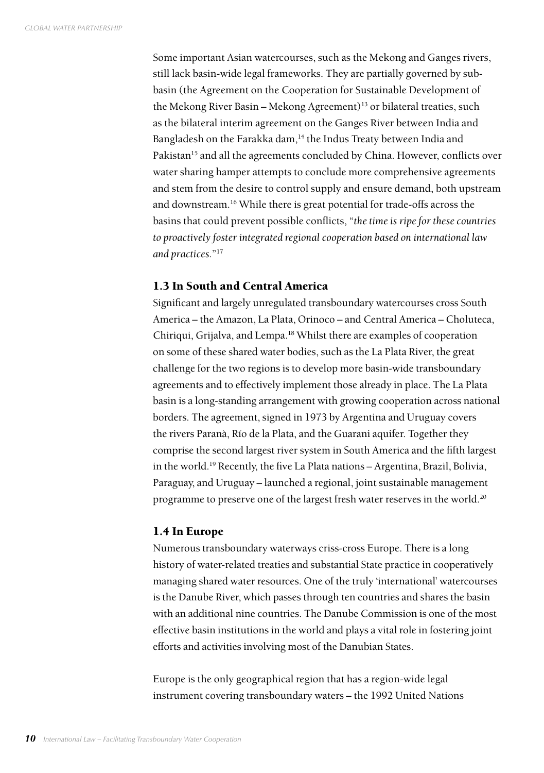Some important Asian watercourses, such as the Mekong and Ganges rivers, still lack basin-wide legal frameworks. They are partially governed by subbasin (the Agreement on the Cooperation for Sustainable Development of the Mekong River Basin – Mekong Agreement)<sup>13</sup> or bilateral treaties, such as the bilateral interim agreement on the Ganges River between India and Bangladesh on the Farakka dam,<sup>14</sup> the Indus Treaty between India and Pakistan<sup>15</sup> and all the agreements concluded by China. However, conflicts over water sharing hamper attempts to conclude more comprehensive agreements and stem from the desire to control supply and ensure demand, both upstream and downstream.<sup>16</sup> While there is great potential for trade-offs across the basins that could prevent possible conflicts, "*the time is ripe for these countries to proactively foster integrated regional cooperation based on internationallaw and practices.*" 17

## 1.3 In South and Central America

Significant and largely unregulated transboundary watercourses cross South America – the Amazon, La Plata, Orinoco – and Central America – Choluteca, Chiriqui, Grijalva, and Lempa.<sup>18</sup> Whilst there are examples of cooperation onsome of these shared water bodies, suchas theLaPlata River, the great challenge for the two regions is to develop more basin-wide transboundary agreements and to effectively implement those already in place. The La Plata basin is a long-standing arrangement with growing cooperation across national borders. The agreement, signed in1973 by Argentina and Uruguay covers the rivers Paranà, Río de la Plata, and the Guarani aquifer. Together they comprise the second largest river system in South America and the fifth largest in the world.<sup>19</sup> Recently, the five La Plata nations - Argentina, Brazil, Bolivia, Paraguay, and Uruguay – launched a regional, joint sustainable management programme to preserve one of the largest fresh water reserves in the world.<sup>20</sup>

## 1.4 In Europe

Numerous transboundary waterways criss-cross Europe. There is a long history of water-related treaties and substantial State practice in cooperatively managing shared water resources. One of the truly 'international' watercourses is the Danube River, which passes through ten countries and shares the basin with an additional nine countries. The Danube Commission is one of the most effective basin institutions in the world and plays a vital role in fostering joint efforts and activities involving most of the Danubian States.

Europe is the only geographical region that has a region-wide legal instrument covering transboundary waters – the 1992 United Nations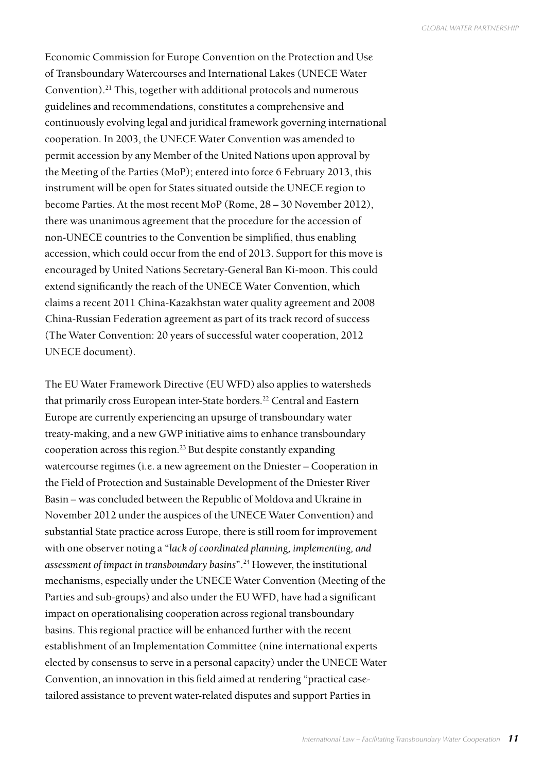Economic Commission for Europe Convention on the Protection and Use of Transboundary Watercourses and International Lakes (UNECE Water Convention).<sup>21</sup> This, together with additional protocols and numerous guidelines and recommendations, constitutes a comprehensive and continuously evolving legal and juridical framework governing international cooperation. In2003, the UNECE Water Convention was amended to permit accession by any Member of the United Nations upon approval by the Meeting of the Parties (MoP); entered into force 6 February 2013, this instrument will be open for States situated outside the UNECE region to become Parties. At the most recent MoP (Rome, 28 – 30 November 2012), there was unanimous agreement that the procedure for the accession of non-UNECE countries to the Convention be simplified, thus enabling accession, which could occur from the end of 2013. Support for this move is encouraged by United Nations Secretary-General Ban Ki-moon. This could extend significantly the reach of the UNECE Water Convention, which claims a recent 2011 China-Kazakhstan water quality agreement and 2008 China-Russian Federation agreement as part of its track record of success (The Water Convention: 20 years of successful water cooperation, 2012 UNECE document).

The EU Water Framework Directive (EU WFD) also applies to watersheds that primarily cross European inter-State borders.<sup>22</sup> Central and Eastern Europe are currently experiencing an upsurge of transboundary water treaty-making, and a new GWP initiative aims to enhance transboundary cooperation across this region.<sup>23</sup> But despite constantly expanding watercourse regimes (i.e. a new agreement on the Dniester – Cooperation in the Field of Protection and Sustainable Development of the Dniester River Basin – was concluded between the Republic of Moldova and Ukraine in November 2012 under the auspices of the UNECE Water Convention) and substantial State practice across Europe, there is still room for improvement with one observer noting a "lack of coordinated planning, implementing, and *assessment ofimpact in transboundary basins*".<sup>24</sup> However, the institutional mechanisms, especially under the UNECE Water Convention (Meeting of the Parties and sub-groups) and also under the EU WFD, have had a significant impact on operationalising cooperation across regional transboundary basins. This regional practice will be enhanced further with the recent establishment of an Implementation Committee (nine international experts elected by consensus to serve in a personal capacity) under the UNECE Water Convention, an innovation in this field aimed at rendering "practical casetailored assistance to prevent water-related disputes and support Parties in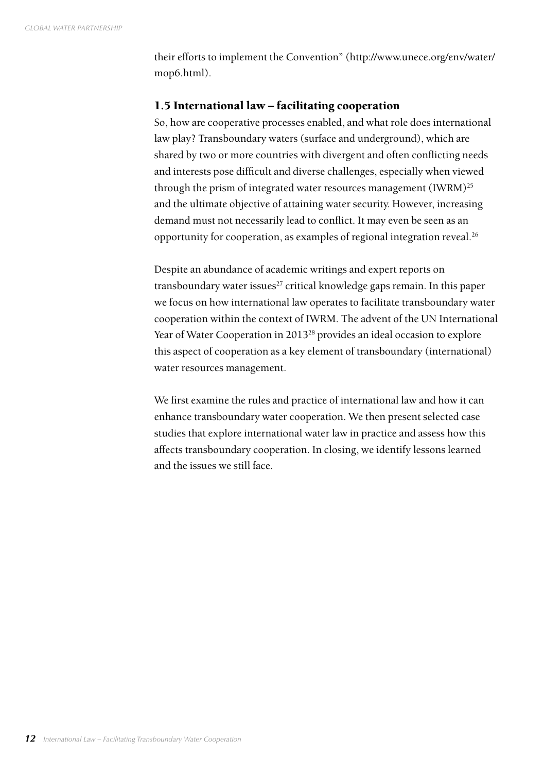their efforts to implement the Convention" (http://www.unece.org/env/water/ mop6.html).

## 1.5 International law – facilitating cooperation

So,how are cooperative processes enabled, and what role does international law play? Transboundary waters (surface and underground), which are shared by two or more countries with divergent and often conflicting needs and interests pose difficult and diverse challenges, especially when viewed through the prism of integrated water resources management (IWRM)<sup>25</sup> and the ultimate objective of attaining water security. However, increasing demand must not necessarily lead to conflict. It may even be seen as an opportunity for cooperation, as examples of regional integration reveal.<sup>26</sup>

Despite an abundance of academic writings and expert reports on transboundary water issues $^{27}$  critical knowledge gaps remain. In this paper we focus on how international law operates to facilitate transboundary water cooperation within the context of IWRM. The advent of the UN International Year of Water Cooperation in 2013<sup>28</sup> provides an ideal occasion to explore this aspect of cooperation as a key element of transboundary (international) water resources management.

We first examine the rules and practice of international law and how it can enhance transboundary water cooperation. We then present selected case studies that explore international water law in practice and assess how this affects transboundary cooperation. Inclosing, we identify lessons learned and the issues we still face.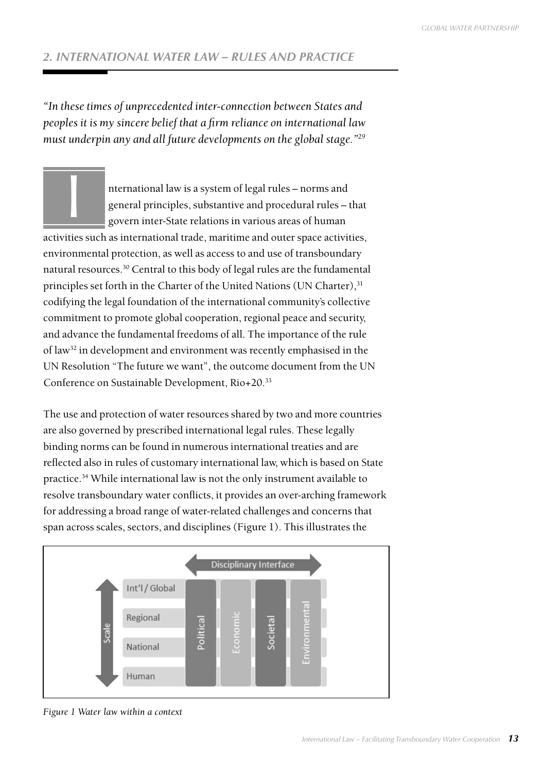*"In these times of unprecedented inter-connection between States and peoples it is my sincere belief that a firm reliance on international law must underpin any and all future developments on the global stage."<sup>29</sup>*

nternationallaw is a system of legal rules – norms and general principles, substantive and procedural rules – that govern inter-State relations in various areas of human activities such as international trade, maritime and outer space activities, environmental protection, as well as access to anduse of transboundary natural resources.<sup>30</sup> Central to this body of legal rules are the fundamental principles set forth in the Charter of the United Nations (UN Charter),<sup>31</sup> codifying the legal foundation of the international community's collective commitment to promote global cooperation, regional peace and security, and advance the fundamental freedoms of all. The importance of the rule of law<sup>32</sup> in development and environment was recently emphasised in the UN Resolution"The future we want", the outcome document from the UN Conference on Sustainable Development, Rio+20.<sup>33</sup> I

The use and protection of water resources shared by two and more countries are also governed by prescribed international legal rules. These legally binding norms can be found in numerous international treaties and are reflected also in rules of customary international law, which is based on State practice.<sup>34</sup> While international law is not the only instrument available to resolve transboundary water conflicts, it provides an over-arching framework for addressing a broad range of water-related challenges and concerns that spanacross scales, sectors, and disciplines (Figure 1). This illustrates the



*Figure1Water law within a context*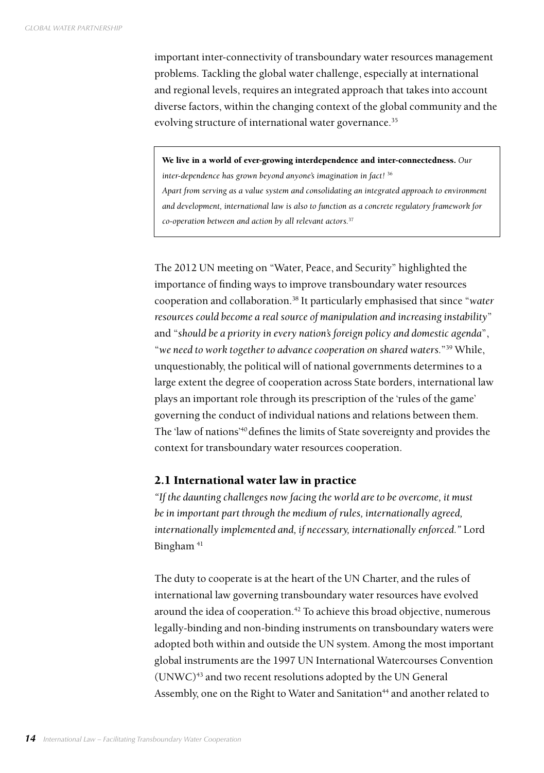important inter-connectivity of transboundary water resources management problems. Tackling the global water challenge, especially at international and regional levels, requires an integrated approach that takes into account diverse factors, within the changing context of the global community and the evolving structure of international water governance.<sup>35</sup>

We live in a world of ever-growing interdependence and inter-connectedness. *Our inter-dependence has grown beyond anyone's imagination in fact!* <sup>36</sup> *Apart from serving as a value system and consolidating an integrated approach to environment and development, international law is also to function as a concrete regulatory framework for co-operation between and action by all relevant actors.*<sup>37</sup>

The 2012 UN meeting on"Water, Peace, and Security"highlighted the importance of finding ways to improve transboundary water resources cooperation and collaboration.<sup>38</sup> It particularly emphasised that since "water *resources could become a real source of manipulation and increasing instability*" and "*should be a priority in every nation's foreign policy and domestic agenda*", "*we need to work together to advance cooperation on shared waters.*" <sup>39</sup> While, unquestionably, the political will of national governments determines to a large extent the degree of cooperation across State borders, international law plays an important role through its prescription of the 'rules of the game' governing the conduct of individual nations and relations between them. The 'law of nations'<sup>40</sup> defines the limits of State sovereignty and provides the context for transboundary water resources cooperation.

## 2.1 International water law in practice

*"If the daunting challenges now facing the world are to be overcome,it must be in important part through the medium of rules,internationally agreed, internationally implemented and,if necessary,internationally enforced."*Lord Bingham<sup>41</sup>

The duty to cooperate is at the heart of the UN Charter, and the rules of international law governing transboundary water resources have evolved around the idea of cooperation.<sup>42</sup> To achieve this broad objective, numerous legally-binding and non-binding instruments on transboundary waters were adopted both within and outside the UN system. Among the most important global instruments are the 1997 UN International Watercourses Convention  $(UNWC)^{43}$  and two recent resolutions adopted by the UN General Assembly, one on the Right to Water and Sanitation<sup>44</sup> and another related to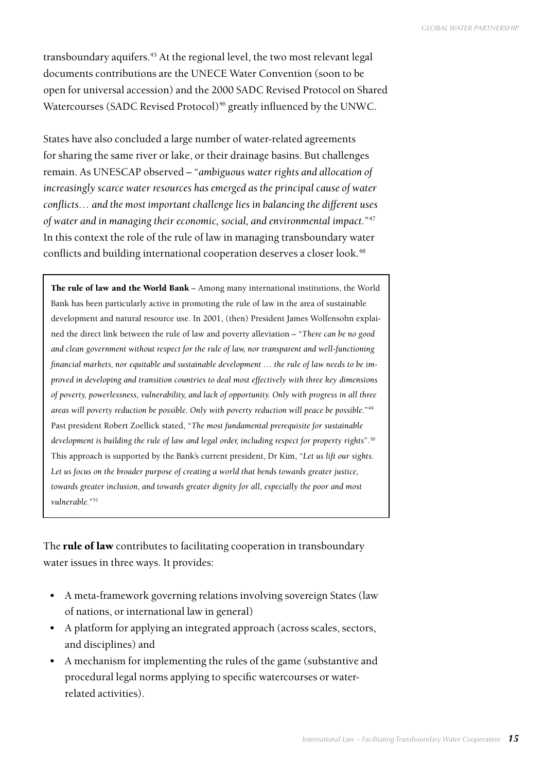transboundary aquifers.<sup>45</sup> At the regional level, the two most relevant legal documents contributions are the UNECE Water Convention (soon to be open for universal accession) and the 2000 SADC Revised Protocol on Shared Watercourses (SADC Revised Protocol)<sup>46</sup> greatly influenced by the UNWC.

States have also concluded a large number of water-related agreements for sharing the same river or lake, or their drainage basins. But challenges remain. As UNESCAPobserved – "*ambiguous water rights and allocation of increasingly scarce water resources has emerged as the principal cause of water conflicts… and the most important challenge lies in balancing the different uses of water and in managing their economic, social, and environmentalimpact.*" 47 Inthis context the role of the rule of law in managing transboundary water conflicts and building international cooperation deserves a closer look.<sup>48</sup>

The rule of law and the World Bank – Among many international institutions, the World Bank has been particularly active in promoting the rule of law in the area of sustainable development and natural resource use. In 2001, (then) President James Wolfensohn explained the direct link between the rule of law and poverty alleviation – "*There can be no good and clean government without respect for the rule of law, nor transparent and well-functioning financial markets, nor equitable and sustainable development … the rule of law needs to be improved in developing and transition countries to deal most effectively with three key dimensions of poverty, powerlessness, vulnerability, and lack of opportunity. Only with progress in all three areas will poverty reduction be possible. Only with poverty reduction will peace be possible.*" 49 Past president Robert Zoellick stated, "*The most fundamental prerequisite for sustainable development is building the rule of law and legal order, including respect for property rights*".<sup>50</sup> This approach is supported by the Bank's current president, Dr Kim, "*Let us lift our sights. Let us focus on the broader purpose of creating a world that bends towards greater justice, towards greater inclusion, and towards greater dignity for all, especially the poor and most vulnerable.*" 51

The rule of law contributes to facilitating cooperation in transboundary water issues in three ways. It provides:

- A meta-framework governing relations involving sovereign States (law of nations, or international law in general)
- A platform for applying an integrated approach (across scales, sectors, and disciplines) and
- A mechanism for implementing the rules of the game (substantive and procedural legal norms applying to specific watercourses or waterrelated activities).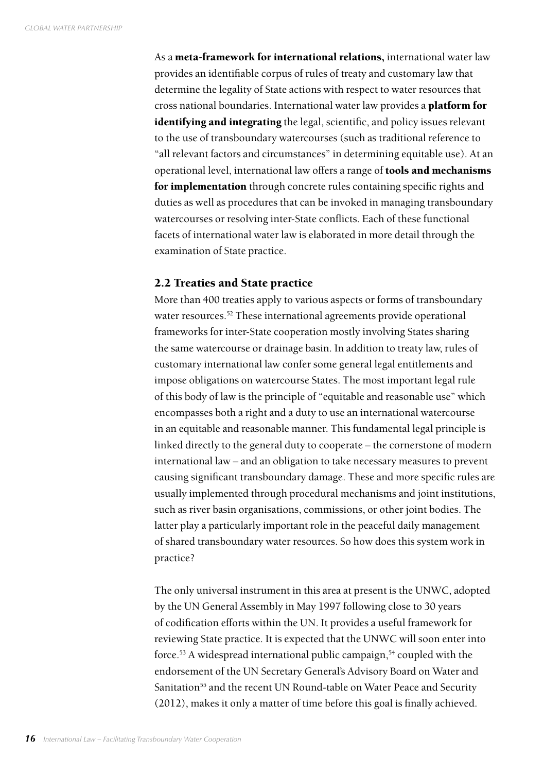As a meta-framework for international relations, international water law provides anidentifiable corpus of rules of treaty and customary law that determine the legality of State actions with respect to water resources that cross national boundaries. International water law provides a platform for identifying and integrating the legal, scientific, and policy issues relevant to the use of transboundary watercourses (such as traditional reference to "all relevant factors and circumstances" in determining equitable use). At an operational level, international law offers a range of tools and mechanisms for implementation through concrete rules containing specific rights and duties as well as procedures that canbe invoked in managing transboundary watercourses or resolving inter-State conflicts. Each of these functional facets of international water law is elaborated in more detail through the examination of State practice.

## 2.2 Treaties and State practice

More than 400 treaties apply to various aspects or forms of transboundary water resources.<sup>52</sup> These international agreements provide operational frameworks for inter-State cooperation mostly involving States sharing the same watercourse or drainage basin. In addition to treaty law, rules of customary international law confer some general legal entitlements and impose obligations on watercourse States. The most important legal rule of this body of law is the principle of "equitable and reasonable use" which encompasses both a right and a duty to use an international watercourse in an equitable and reasonable manner. This fundamental legal principle is linked directly to the general duty to cooperate – the cornerstone of modern international law – and an obligation to take necessary measures to prevent causing significant transboundary damage. These and more specific rules are usually implemented through procedural mechanisms and joint institutions, such as river basin organisations, commissions, or other joint bodies. The latter play a particularly important role in the peaceful daily management of shared transboundary water resources. Sohow does this system work in practice?

The only universal instrument in this area at present is the UNWC, adopted by the UN General Assembly in May 1997 following close to 30 years of codification efforts within the UN. It provides a useful framework for reviewing State practice. It is expected that the UNWC will soonenter into force.<sup>53</sup> A widespread international public campaign,<sup>54</sup> coupled with the endorsement of the UN Secretary General's Advisory Board on Water and Sanitation<sup>55</sup> and the recent UN Round-table on Water Peace and Security  $(2012)$ , makes it only a matter of time before this goal is finally achieved.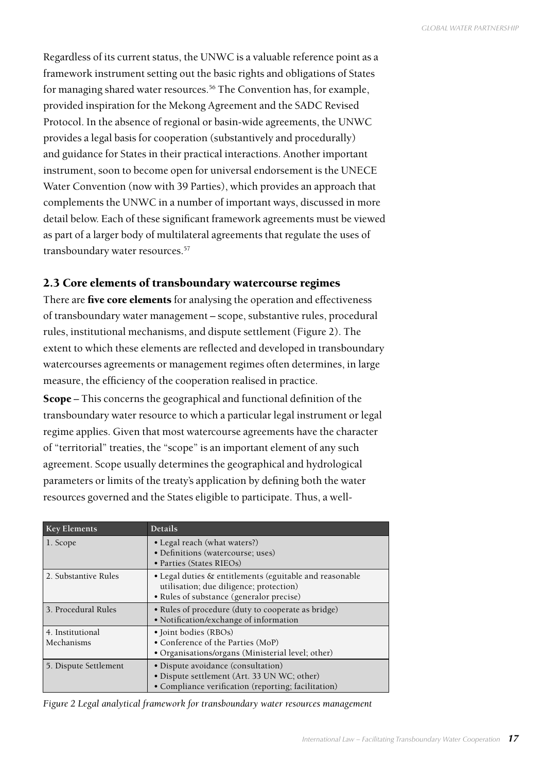Regardless of its current status, the UNWC is a valuable reference point as a framework instrument setting out the basic rights and obligations of States for managing shared water resources.<sup>56</sup> The Convention has, for example, provided inspiration for the Mekong Agreement and the SADC Revised Protocol. In the absence of regional or basin-wide agreements, the UNWC provides a legal basis for cooperation (substantively and procedurally) and guidance for States in their practical interactions. Another important instrument, soon to become open for universal endorsement is the UNECE Water Convention (now with 39 Parties), which provides an approach that complements the UNWC in a number of important ways, discussed in more detail below. Each of these significant framework agreements must be viewed as part of a larger body of multilateral agreements that regulate the uses of transboundary water resources.<sup>57</sup>

## 2.3 Core elements of transboundary watercourse regimes

There are five core elements for analysing the operation and effectiveness of transboundary water management – scope, substantive rules, procedural rules, institutional mechanisms, and dispute settlement (Figure 2). The extent to which these elements are reflected and developed in transboundary watercourses agreements or management regimes often determines, in large measure, the efficiency of the cooperation realised in practice.

Scope – This concerns the geographical and functional definition of the transboundary water resource to which a particular legal instrument or legal regime applies. Given that most watercourse agreements have the character of "territorial" treaties, the "scope" is animportant element of any such agreement. Scope usually determines the geographical and hydrological parameters or limits of the treaty's application by defining both the water resources governed and the States eligible to participate. Thus, a well-

| <b>Key Elements</b>   | Details                                                 |  |
|-----------------------|---------------------------------------------------------|--|
| 1. Scope              | • Legal reach (what waters?)                            |  |
|                       | • Definitions (watercourse; uses)                       |  |
|                       | • Parties (States RIEOs)                                |  |
| 2. Substantive Rules  | • Legal duties & entitlements (eguitable and reasonable |  |
|                       | utilisation; due diligence; protection)                 |  |
|                       | • Rules of substance (generalor precise)                |  |
| 3. Procedural Rules   | • Rules of procedure (duty to cooperate as bridge)      |  |
|                       | • Notification/exchange of information                  |  |
| 4. Institutional      | • Joint bodies (RBOs)                                   |  |
| Mechanisms            | • Conference of the Parties (MoP)                       |  |
|                       | • Organisations/organs (Ministerial level; other)       |  |
| 5. Dispute Settlement | • Dispute avoidance (consultation)                      |  |
|                       | • Dispute settlement (Art. 33 UN WC; other)             |  |
|                       | • Compliance verification (reporting; facilitation)     |  |

*Figure2Legal analytical framework for transboundary water resources management*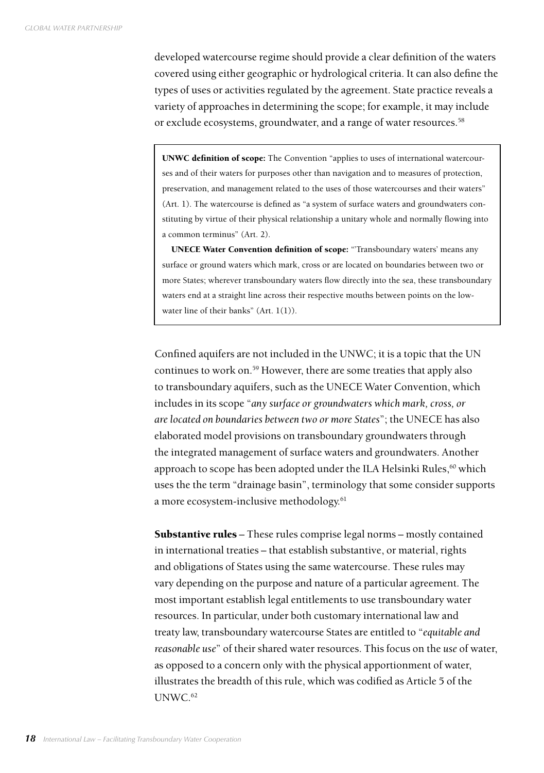developed watercourse regime should provide a clear definition of the waters covered using either geographic or hydrological criteria. It can also define the types of uses or activities regulated by the agreement. State practice reveals a variety of approaches in determining the scope; for example, it may include or exclude ecosystems, groundwater, and a range of water resources.<sup>58</sup>

UNWC definition of scope: The Convention "applies to uses of international watercourses and of their waters for purposes other than navigation and to measures of protection, preservation, and management related to the uses of those watercourses and their waters" (Art. 1). The watercourse is defined as "a system of surface waters and groundwaters constituting by virtue of their physical relationship a unitary whole and normally flowing into a common terminus" (Art. 2).

UNECE Water Convention definition of scope: "'Transboundary waters' means any surface or ground waters which mark, cross or are located on boundaries between two or more States; wherever transboundary waters flow directly into the sea, these transboundary waters end at a straight line across their respective mouths between points on the lowwater line of their banks" (Art. 1(1)).

Confined aquifers are not included in the UNWC; it is a topic that the UN continues to work on.<sup>59</sup> However, there are some treaties that apply also to transboundary aquifers, suchas the UNECE Water Convention, which includes inits scope "*any surface or groundwaters which mark, cross, or are located on boundaries between two or more States*"; the UNECE has also elaborated model provisions on transboundary groundwaters through the integrated management of surface waters and groundwaters. Another approach to scope has been adopted under the ILA Helsinki Rules,<sup>60</sup> which uses the the term "drainage basin", terminology that some consider supports a more ecosystem-inclusive methodology.<sup>61</sup>

Substantive rules – These rules comprise legal norms – mostly contained in international treaties – that establish substantive, or material, rights and obligations of States using the same watercourse. These rules may vary depending on the purpose and nature of a particular agreement. The most important establish legal entitlements to use transboundary water resources. In particular, under both customary international law and treaty law, transboundary watercourse States are entitled to "*equitable and reasonable use*" of their shared water resources. This focus onthe *use* of water, as opposed to a concern only with the physical apportionment of water, illustrates the breadth of this rule, which was codified as Article 5 of the UNWC.<sup>62</sup>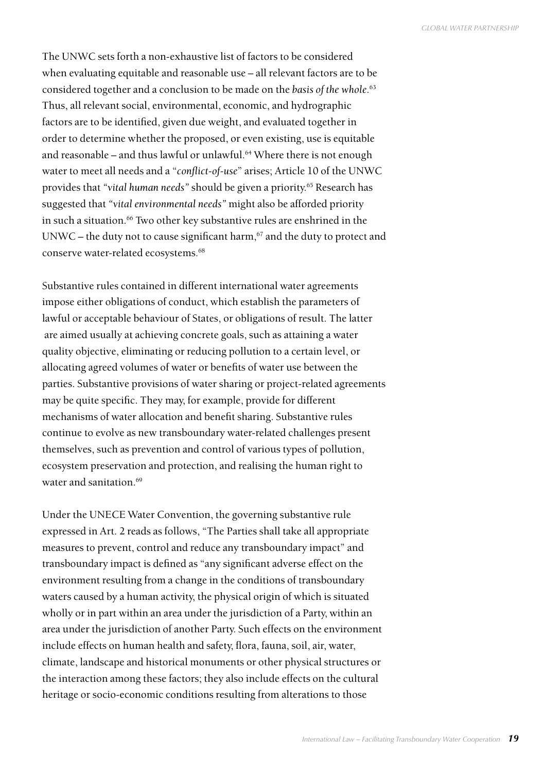The UNWC sets forth a non-exhaustive list of factors to be considered when evaluating equitable and reasonable use – all relevant factors are to be considered together and a conclusion to be made on the *basis* of the whole.<sup>63</sup> Thus, all relevant social, environmental, economic, and hydrographic factors are to be identified, given due weight, and evaluated together in order to determine whether the proposed, or even existing, use is equitable and reasonable – and thus lawful or unlawful.<sup>64</sup> Where there is not enough water to meet all needs and a "*conflict-of-use*" arises; Article 10 of the UNWC provides that "vital human needs" should be given a priority.<sup>65</sup> Research has suggested that *"vital environmental needs"* might also be afforded priority in such a situation.<sup>66</sup> Two other key substantive rules are enshrined in the UNWC – the duty not to cause significant harm,<sup>67</sup> and the duty to protect and conserve water-related ecosystems.<sup>68</sup>

Substantive rules contained in different international water agreements impose either obligations of conduct, which establish the parameters of lawful or acceptable behaviour of States, or obligations of result. The latter are aimed usually at achieving concrete goals, such as attaining a water quality objective, eliminating or reducing pollution to a certain level, or allocating agreed volumes of water or benefits of water use between the parties. Substantive provisions of water sharing or project-related agreements may be quite specific. They may, for example, provide for different mechanisms of water allocation and benefit sharing. Substantive rules continue to evolve as new transboundary water-related challenges present themselves, such as prevention and control of various types of pollution, ecosystem preservation and protection, and realising the human right to water and sanitation.<sup>69</sup>

Under the UNECE Water Convention, the governing substantive rule expressed in Art. 2 reads as follows, "The Parties shall take all appropriate measures to prevent, control and reduce any transboundary impact" and transboundary impact is defined as "any significant adverse effect onthe environment resulting from a change in the conditions of transboundary waters caused by a human activity, the physical origin of which is situated wholly or in part within an area under the jurisdiction of a Party, within an area under the jurisdiction of another Party. Such effects on the environment include effects on human health and safety, flora, fauna, soil, air, water, climate, landscape and historical monuments or other physical structures or the interaction among these factors; they also include effects on the cultural heritage or socio-economic conditions resulting from alterations to those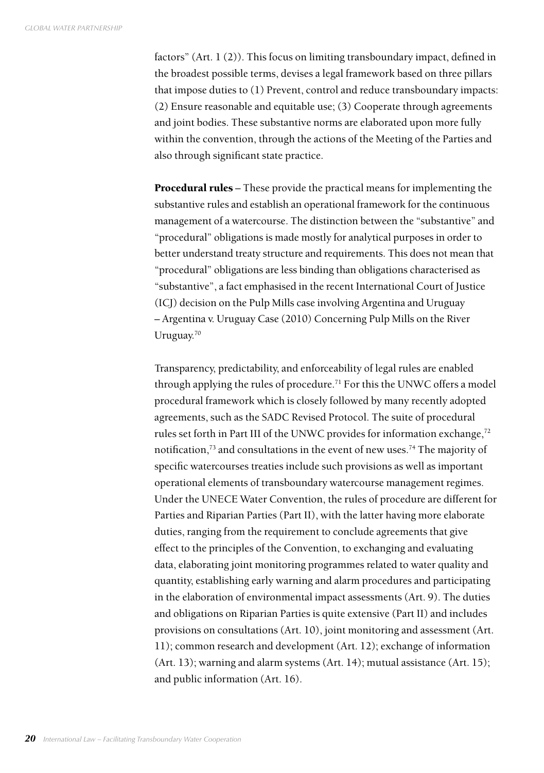factors" (Art. 1 (2)). This focus on limiting transboundary impact, defined in the broadest possible terms, devises a legal framework based on three pillars that impose duties to (1) Prevent, control and reduce transboundary impacts: (2) Ensure reasonable and equitable use; (3) Cooperate through agreements and joint bodies. These substantive norms are elaborated upon more fully within the convention, through the actions of the Meeting of the Parties and also through significant state practice.

Procedural rules – These provide the practical means for implementing the substantive rules and establish an operational framework for the continuous management of a watercourse. The distinction between the "substantive" and "procedural" obligations is made mostly for analytical purposes inorder to better understand treaty structure and requirements. This does not mean that "procedural" obligations are less binding than obligations characterised as "substantive", a fact emphasised inthe recent International Court of Justice (ICJ) decision on the Pulp Mills case involving Argentina and Uruguay – Argentina v. Uruguay Case (2010) Concerning Pulp Mills on the River Uruguay.<sup>70</sup>

Transparency, predictability, and enforceability of legal rules are enabled through applying the rules of procedure.<sup>71</sup> For this the UNWC offers a model procedural framework which is closely followed by many recently adopted agreements, such as the SADC Revised Protocol. The suite of procedural rules set forth in Part III of the UNWC provides for information exchange,<sup>72</sup> notification, $73$  and consultations in the event of new uses. $74$  The majority of specific watercourses treaties include such provisions as well as important operational elements of transboundary watercourse management regimes. Under the UNECE Water Convention, the rules of procedure are different for Parties and Riparian Parties (Part II), with the latter having more elaborate duties, ranging from the requirement to conclude agreements that give effect to the principles of the Convention, to exchanging and evaluating data, elaborating joint monitoring programmes related to water quality and quantity, establishing early warning and alarm procedures and participating in the elaboration of environmental impact assessments (Art. 9). The duties and obligations on Riparian Parties is quite extensive (Part II) and includes provisions on consultations (Art. 10), joint monitoring and assessment (Art. 11); common research and development (Art. 12); exchange of information (Art. 13); warning and alarm systems (Art. 14); mutual assistance (Art. 15); and public information(Art. 16).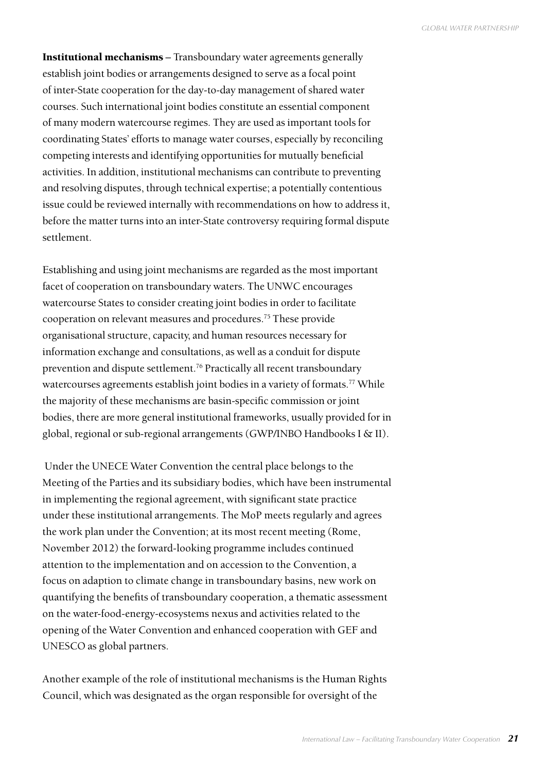Institutional mechanisms – Transboundary water agreements generally establish joint bodies or arrangements designed to serve as a focal point of inter-State cooperation for the day-to-day management of shared water courses. Such international joint bodies constitute an essential component of many modern watercourse regimes. They are used as important tools for coordinating States' efforts to manage water courses, especially by reconciling competing interests and identifying opportunities for mutually beneficial activities. In addition, institutional mechanisms can contribute to preventing and resolving disputes, through technical expertise; a potentially contentious issue could be reviewed internally with recommendations on how to address it, before the matter turns into aninter-State controversy requiring formal dispute settlement.

Establishing and using joint mechanisms are regarded as the most important facet of cooperation on transboundary waters. The UNWC encourages watercourse States to consider creating joint bodies in order to facilitate cooperation on relevant measures and procedures.<sup>75</sup> These provide organisational structure, capacity, and human resources necessary for information exchange and consultations, as well as a conduit for dispute prevention and dispute settlement.<sup>76</sup> Practically all recent transboundary watercourses agreements establish joint bodies in a variety of formats.<sup>77</sup> While the majority of these mechanisms are basin-specific commissionor joint bodies, there are more general institutional frameworks, usually provided for in global, regional or sub-regional arrangements (GWP/INBO Handbooks I & II).

Under the UNECE Water Convention the central place belongs to the Meeting of the Parties and its subsidiary bodies, which have been instrumental in implementing the regional agreement, with significant state practice under these institutional arrangements. The MoP meets regularly and agrees the work plan under the Convention; at its most recent meeting (Rome, November 2012) the forward-looking programme includes continued attention to the implementation and on accession to the Convention, a focus on adaption to climate change in transboundary basins, new work on quantifying the benefits of transboundary cooperation, a thematic assessment on the water-food-energy-ecosystems nexus and activities related to the opening of the Water Conventionand enhanced cooperation with GEF and UNESCO as global partners.

Another example of the role of institutional mechanisms is the Human Rights Council, which was designated as the organ responsible for oversight of the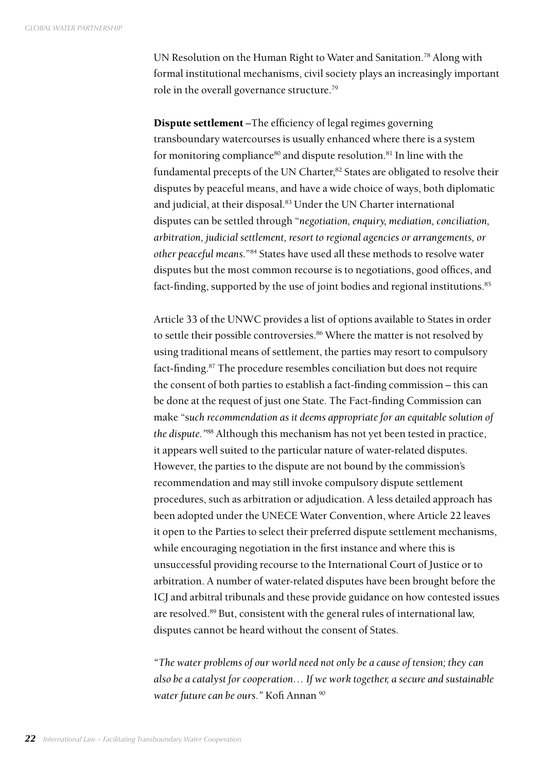UN Resolution on the Human Right to Water and Sanitation.<sup>78</sup> Along with formal institutional mechanisms, civil society plays an increasingly important role in the overall governance structure.<sup>79</sup>

**Dispute settlement** –The efficiency of legal regimes governing transboundary watercourses is usually enhanced where there is a system for monitoring compliance<sup>80</sup> and dispute resolution.<sup>81</sup> In line with the fundamental precepts of the UN Charter, <sup>82</sup> States are obligated to resolve their disputes by peaceful means, and have a wide choice of ways, both diplomatic and judicial, at their disposal.<sup>83</sup> Under the UN Charter international disputes canbe settled through"*negotiation, enquiry, mediation, conciliation, arbitration,judicial settlement, resort to regional agencies or arrangements, or other peaceful means.*" <sup>84</sup> Stateshaveused all these methods to resolve water disputes but the most common recourse is to negotiations, good offices, and fact-finding, supported by the use of joint bodies and regional institutions.<sup>85</sup>

Article 33 of the UNWC provides a list of options available to States inorder to settle their possible controversies.<sup>86</sup> Where the matter is not resolved by using traditional means of settlement, the parties may resort to compulsory fact-finding.<sup>87</sup> The procedure resembles conciliation but does not require the consent of both parties to establish a fact-finding commission - this can be done at the request of just one State. The Fact-finding Commission can make "s*uch recommendation as it deems appropriate for an equitable solution of* the dispute."88 Although this mechanism has not yet been tested in practice, it appears well suited to the particular nature of water-related disputes. However, the parties to the dispute are not bound by the commission's recommendation and may still invoke compulsory dispute settlement procedures, such as arbitration or adjudication. A less detailed approach has been adopted under the UNECE Water Convention, where Article 22 leaves it open to the Parties to select their preferred dispute settlement mechanisms, while encouraging negotiation in the first instance and where this is unsuccessful providing recourse to the International Court of Justice or to arbitration. A number of water-related disputes have been brought before the ICJ and arbitral tribunals and these provide guidance on how contested issues are resolved.<sup>89</sup> But, consistent with the general rules of international law, disputes cannot be heard without the consent of States.

*"The water problems of our world need not only be a cause of tension; they can also be a catalyst for cooperation… If we work together,asecure and sustainable water future can be ours.*" Kofi Annan<sup>90</sup>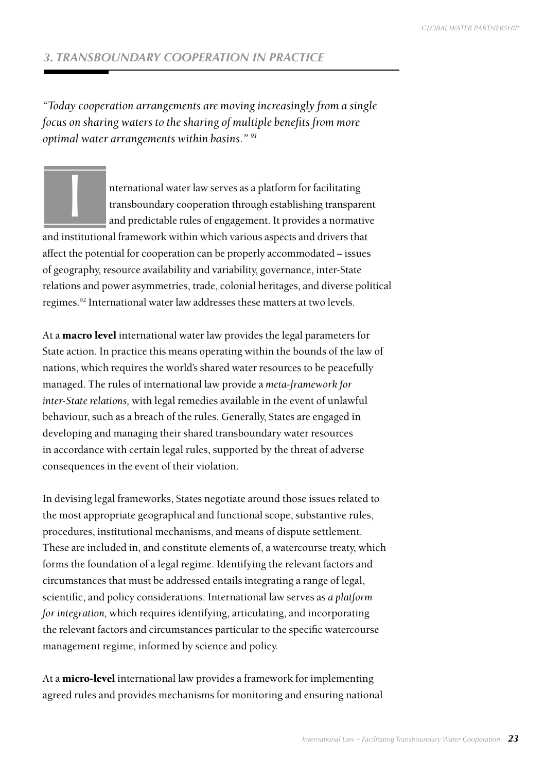*"Today cooperation arrangements are moving increasingly from a single focus on sharing waters to the sharing of multiple benefits from more optimal water arrangements within basins." <sup>91</sup>*

nternational water law serves as a platform for facilitating transboundary cooperation through establishing transparent and predictable rules of engagement. It provides a normative and institutional framework within which various aspects and drivers that affect the potential for cooperation can be properly accommodated – issues of geography, resource availability and variability, governance, inter-State relations and power asymmetries, trade, colonial heritages, and diverse political regimes.<sup>92</sup> International water law addresses these matters at two levels. I

At a macro level international water law provides the legal parameters for State action. In practice this means operating within the bounds of the law of nations, which requires the world's shared water resources to be peacefully managed. The rules of internationallaw provide a *meta-framework for inter-State relations, with legal remedies available in the event of unlawful* behaviour, such as a breach of the rules. Generally, States are engaged in developing and managing their shared transboundary water resources in accordance with certain legal rules, supported by the threat of adverse consequences in the event of their violation.

In devising legal frameworks, States negotiate around those issues related to the most appropriate geographical and functional scope, substantive rules, procedures, institutional mechanisms, and means of dispute settlement. These are included in, and constitute elements of, a watercourse treaty, which forms the foundation of a legal regime. Identifying the relevant factors and circumstances that must be addressed entails integrating a range of legal, scientific, and policy considerations. Internationallaw serves as *a platform for integration, which requires identifying, articulating, and incorporating* the relevant factors and circumstances particular to the specific watercourse management regime, informed by science and policy.

At a micro-level international law provides a framework for implementing agreed rules and provides mechanisms for monitoring and ensuring national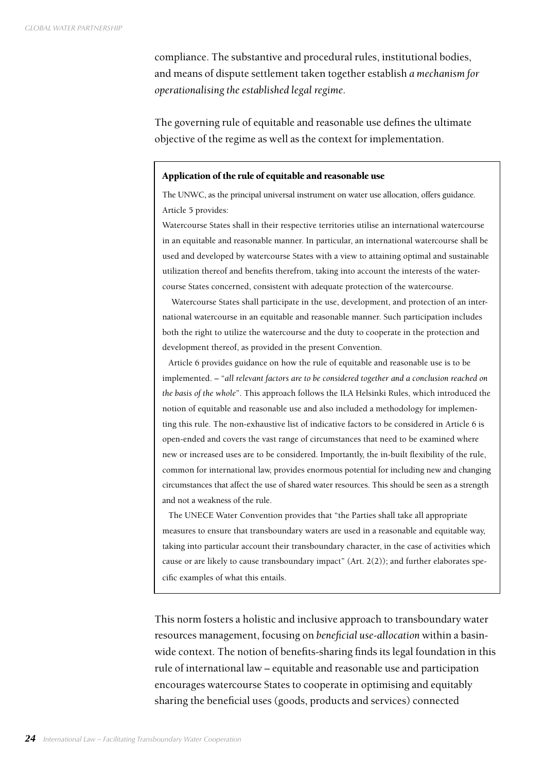compliance. The substantive and procedural rules, institutional bodies, and means of dispute settlement taken together establish a mechanism for *operationalising the established legal regime*.

The governing rule of equitable and reasonable use defines the ultimate objective of the regime as well as the context for implementation.

#### Application of the rule of equitable and reasonable use

The UNWC, as the principal universal instrument on water use allocation, offers guidance. Article 5 provides:

Watercourse States shall in their respective territories utilise an international watercourse in an equitable and reasonable manner. In particular, an international watercourse shall be used and developed by watercourse States with a view to attaining optimal and sustainable utilization thereof and benefits therefrom, taking into account the interests of the watercourse States concerned, consistent with adequate protection of the watercourse.

Watercourse States shall participate in the use, development, and protection of an international watercourse in an equitable and reasonable manner. Such participation includes both the right to utilize the watercourse and the duty to cooperate in the protection and development thereof, as provided in the present Convention.

Article 6 provides guidance on how the rule of equitable and reasonable use is to be implemented. – "*all relevant factors are to be considered together and a conclusion reached on the basis of the whole*". This approach follows the ILA Helsinki Rules, which introduced the notion of equitable and reasonable use and also included a methodology for implementing this rule. The non-exhaustive list of indicative factors to be considered in Article 6 is open-ended and covers the vast range of circumstances that need to be examined where new or increased uses are to be considered. Importantly, the in-built flexibility of the rule, common for international law, provides enormous potential for including new and changing circumstances that affect the use of shared water resources. This should be seen as a strength and not a weakness of the rule.

The UNECE Water Convention provides that "the Parties shall take all appropriate measures to ensure that transboundary waters are used in a reasonable and equitable way, taking into particular account their transboundary character, in the case of activities which cause or are likely to cause transboundary impact" (Art. 2(2)); and further elaborates specific examples of what this entails.

This norm fosters a holistic and inclusive approach to transboundary water resources management, focusing on*beneficial use-allocation* withina basinwide context. The notion of benefits-sharing finds its legal foundation in this rule of international law – equitable and reasonable use and participation encourages watercourse States to cooperate in optimising and equitably sharing the beneficial uses (goods, products and services) connected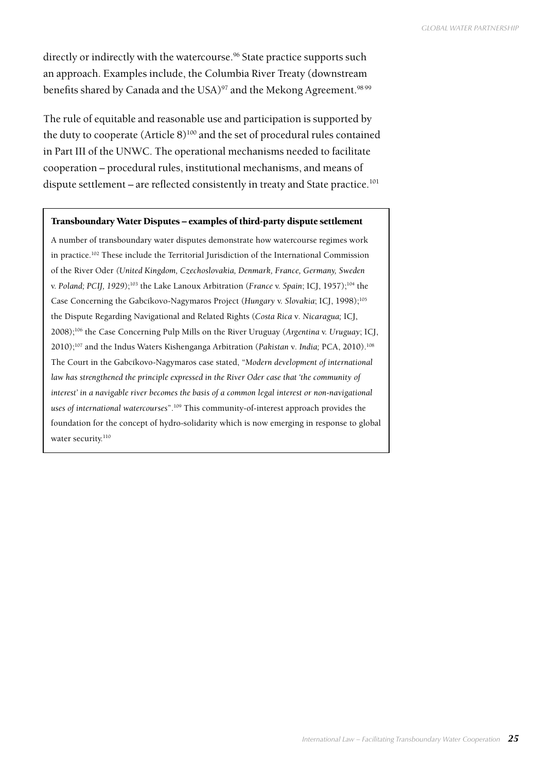directly or indirectly with the watercourse.<sup>96</sup> State practice supports such anapproach. Examples include, the Columbia River Treaty (downstream benefits shared by Canada and the USA)<sup>97</sup> and the Mekong Agreement.<sup>98 99</sup>

The rule of equitable and reasonable use and participation is supported by the duty to cooperate  $(A$ rticle  $8)^{100}$  and the set of procedural rules contained in Part III of the UNWC. The operational mechanisms needed to facilitate cooperation - procedural rules, institutional mechanisms, and means of dispute settlement – are reflected consistently in treaty and State practice.<sup>101</sup>

#### Transboundary Water Disputes – examples of third-party dispute settlement

A number of transboundary water disputes demonstrate how watercourse regimes work in practice.<sup>102</sup> These include the Territorial Jurisdiction of the International Commission of the River Oder *(United Kingdom, Czechoslovakia, Denmark, France, Germany, Sweden* v. *Poland; PCIJ, 1929*);<sup>103</sup> the Lake Lanoux Arbitration (*France* v. *Spain*; ICJ, 1957);<sup>104</sup> the Case Concerning the Gabcíkovo-Nagymaros Project (*Hungary* v. *Slovakia*; ICJ, 1998);<sup>105</sup> the Dispute Regarding Navigational and Related Rights (*Costa Rica* v*. Nicaragua;* ICJ, 2008);<sup>106</sup> the Case Concerning Pulp Mills on the River Uruguay (*Argentina* v. *Uruguay*; ICJ, 2010);<sup>107</sup> and the Indus Waters Kishenganga Arbitration (*Pakistan* v*. India;* PCA, 2010).<sup>108</sup> The Court in the Gabcíkovo-Nagymaros case stated, "*Modern development of international law has strengthened the principle expressed in the River Oder case that 'the community of interest' in a navigable river becomes the basis of a common legal interest or non-navigational uses of international watercourses*".<sup>109</sup> This community-of-interest approach provides the foundation for the concept of hydro-solidarity which is now emerging in response to global water security.<sup>110</sup>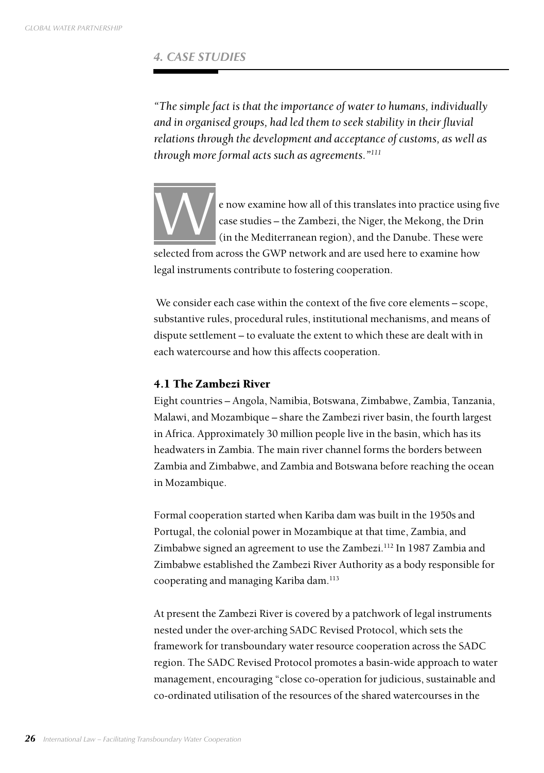#### *4. CasE sTuDIEs*

*"The simple fact is that the importance of water to humans, individually and in organised groups, had led them to seek stability in their fluvial relations through the development and acceptance of customs, as well as through more formal acts such as agreements."<sup>111</sup>*

e now examine how all of this translates into practice using five case studies – the Zambezi, the Niger, the Mekong, the Drin (in the Mediterranean region), and the Danube. These were selected from across the GWP network and are used here to examine how legal instruments contribute to fostering cooperation. W

We consider each case within the context of the five core elements – scope, substantive rules, procedural rules, institutional mechanisms, and means of dispute settlement – to evaluate the extent to which these are dealt with in each watercourse and how this affects cooperation.

#### 4.1 The Zambezi River

Eight countries – Angola, Namibia, Botswana, Zimbabwe, Zambia, Tanzania, Malawi, and Mozambique – share the Zambezi river basin, the fourth largest in Africa. Approximately 30 million people live in the basin, which has its headwaters in Zambia. The main river channel forms the borders between Zambia and Zimbabwe, and Zambia and Botswana before reaching the ocean in Mozambique.

Formal cooperation started when Kariba dam was built in the 1950s and Portugal, the colonial power in Mozambique at that time, Zambia, and Zimbabwe signed an agreement to use the Zambezi.<sup>112</sup> In 1987 Zambia and Zimbabwe established the Zambezi River Authority as a body responsible for cooperating and managing Kariba dam.<sup>113</sup>

At present the Zambezi River is covered by a patchwork of legal instruments nested under the over-arching SADC Revised Protocol, which sets the framework for transboundary water resource cooperation across the SADC region. The SADC Revised Protocol promotes a basin-wide approach to water management, encouraging "close co-operation for judicious, sustainable and co-ordinated utilisation of the resources of the shared watercourses in the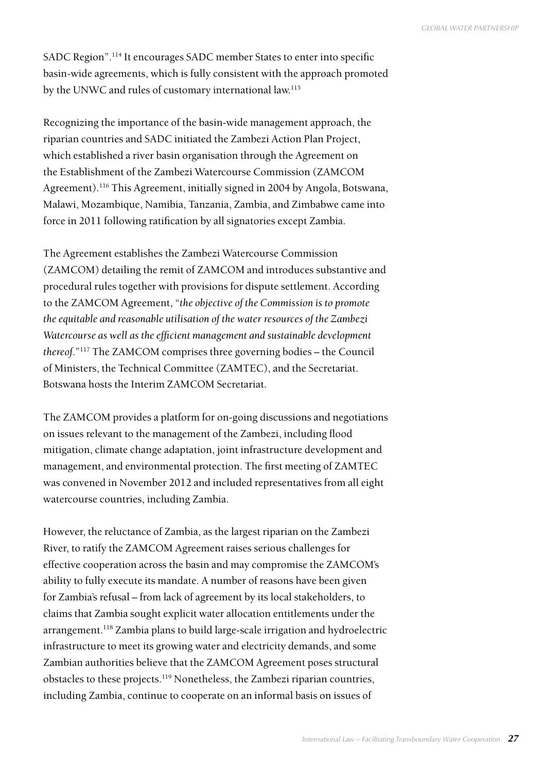SADC Region".<sup>114</sup> It encourages SADC member States to enter into specific basin-wide agreements, which is fully consistent with the approach promoted by the UNWC and rules of customary international law.<sup>115</sup>

Recognizing the importance of the basin-wide management approach, the riparian countries and SADC initiated the Zambezi Action Plan Project, which established a river basin organisation through the Agreement on the Establishment of the Zambezi Watercourse Commission(ZAMCOM Agreement).<sup>116</sup> This Agreement, initially signed in 2004 by Angola, Botswana, Malawi, Mozambique, Namibia, Tanzania, Zambia, and Zimbabwe came into force in 2011 following ratification by all signatories except Zambia.

The Agreement establishes the Zambezi Watercourse Commission (ZAMCOM) detailing the remit of ZAMCOM and introduces substantive and procedural rules together with provisions for dispute settlement. According to the ZAMCOM Agreement, "*the objective of the Commission is to promote the equitable and reasonable utilisation of the water resources of the Zambezi Watercourse as well as the efficient management and sustainable development thereof*."<sup>117</sup> The ZAMCOM comprises three governing bodies – the Council of Ministers, the Technical Committee (ZAMTEC), and the Secretariat. Botswana hosts the Interim ZAMCOM Secretariat.

The ZAMCOM provides a platform for on-going discussions and negotiations on issues relevant to the management of the Zambezi, including flood mitigation, climate change adaptation, joint infrastructure development and management, and environmental protection. The first meeting of ZAMTEC was convened in November 2012 and included representatives from all eight watercourse countries, including Zambia.

However, the reluctance of Zambia, as the largest riparian on the Zambezi River, to ratify the ZAMCOM Agreement raises serious challenges for effective cooperation across the basin and may compromise the ZAMCOM's ability to fully execute its mandate. A number of reasons have been given for Zambia's refusal – from lack of agreement by its local stakeholders, to claims that Zambia sought explicit water allocation entitlements under the arrangement.<sup>118</sup> Zambia plans to build large-scale irrigation and hydroelectric infrastructure to meet its growing water and electricity demands, and some Zambian authorities believe that the ZAMCOM Agreement poses structural obstacles to these projects.<sup>119</sup> Nonetheless, the Zambezi riparian countries, including Zambia, continue to cooperate on an informal basis on issues of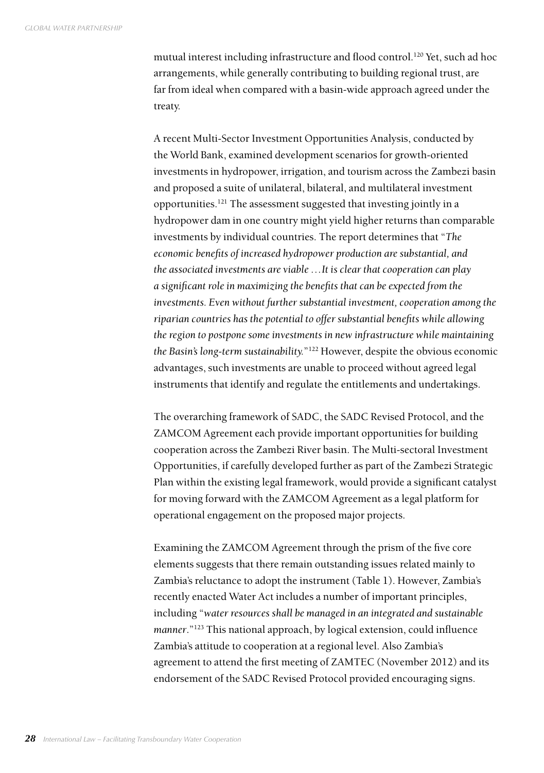mutual interest including infrastructure and flood control.<sup>120</sup> Yet, such ad hoc arrangements, while generally contributing to building regional trust, are far from ideal when compared with a basin-wide approach agreed under the treaty.

A recent Multi-Sector Investment Opportunities Analysis, conducted by the World Bank, examined development scenarios for growth-oriented investments in hydropower, irrigation, and tourism across the Zambezi basin and proposed a suite of unilateral, bilateral, and multilateral investment opportunities.<sup>121</sup> The assessment suggested that investing jointly in a hydropower dam in one country might yield higher returns than comparable investments by individual countries. The report determines that "*The economic benefits ofincreased hydropower production are substantial, and the associated investments are viable …It is clear that cooperation can play a significant role in maximizing the benefits that can be expected from the investments. Even without further substantialinvestment, cooperation among the riparian countries has the potential to offer substantial benefits while allowing the region to postpone some investments in new infrastructure while maintaining the Basin's long-term sustainability.*" <sup>122</sup> However, despite the obvious economic advantages, such investments are unable to proceed without agreed legal instruments that identify and regulate the entitlements and undertakings.

The overarching framework of SADC, the SADC Revised Protocol, and the ZAMCOM Agreement each provide important opportunities for building cooperation across the Zambezi River basin. The Multi-sectoral Investment Opportunities,if carefully developed further as part of the Zambezi Strategic Plan within the existing legal framework, would provide a significant catalyst for moving forward with the ZAMCOM Agreement as a legal platform for operational engagement onthe proposed major projects.

Examining the ZAMCOM Agreement through the prism of the five core elements suggests that there remain outstanding issues related mainly to Zambia's reluctance to adopt the instrument (Table 1). However, Zambia's recently enacted Water Act includes a number of important principles, including "*water resources shall be managed in an integrated and sustainable manner*."<sup>123</sup> This national approach, by logical extension, could influence Zambia's attitude to cooperation at a regional level. Also Zambia's agreement to attend the first meeting of ZAMTEC (November 2012) and its endorsement of the SADC Revised Protocol provided encouraging signs.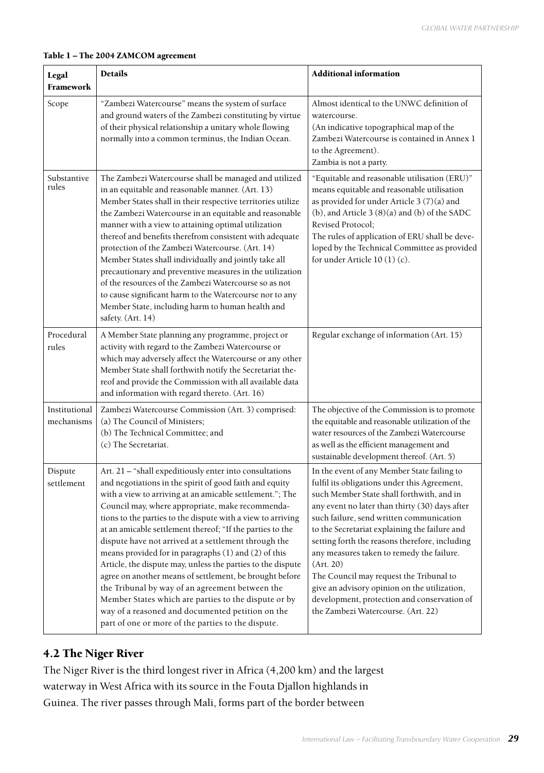| Legal<br>Framework          | <b>Details</b>                                                                                                                                                                                                                                                                                                                                                                                                                                                                                                                                                                                                                                                                                                                                                                                                                    | <b>Additional information</b>                                                                                                                                                                                                                                                                                                                                                                                                                                                                                                                                                       |
|-----------------------------|-----------------------------------------------------------------------------------------------------------------------------------------------------------------------------------------------------------------------------------------------------------------------------------------------------------------------------------------------------------------------------------------------------------------------------------------------------------------------------------------------------------------------------------------------------------------------------------------------------------------------------------------------------------------------------------------------------------------------------------------------------------------------------------------------------------------------------------|-------------------------------------------------------------------------------------------------------------------------------------------------------------------------------------------------------------------------------------------------------------------------------------------------------------------------------------------------------------------------------------------------------------------------------------------------------------------------------------------------------------------------------------------------------------------------------------|
| Scope                       | "Zambezi Watercourse" means the system of surface<br>and ground waters of the Zambezi constituting by virtue<br>of their physical relationship a unitary whole flowing<br>normally into a common terminus, the Indian Ocean.                                                                                                                                                                                                                                                                                                                                                                                                                                                                                                                                                                                                      | Almost identical to the UNWC definition of<br>watercourse.<br>(An indicative topographical map of the<br>Zambezi Watercourse is contained in Annex 1<br>to the Agreement).<br>Zambia is not a party.                                                                                                                                                                                                                                                                                                                                                                                |
| Substantive<br>rules        | The Zambezi Watercourse shall be managed and utilized<br>in an equitable and reasonable manner. (Art. 13)<br>Member States shall in their respective territories utilize<br>the Zambezi Watercourse in an equitable and reasonable<br>manner with a view to attaining optimal utilization<br>thereof and benefits therefrom consistent with adequate<br>protection of the Zambezi Watercourse. (Art. 14)<br>Member States shall individually and jointly take all<br>precautionary and preventive measures in the utilization<br>of the resources of the Zambezi Watercourse so as not<br>to cause significant harm to the Watercourse nor to any<br>Member State, including harm to human health and<br>safety. (Art. 14)                                                                                                        | "Equitable and reasonable utilisation (ERU)"<br>means equitable and reasonable utilisation<br>as provided for under Article $3(7)(a)$ and<br>(b), and Article $3(8)(a)$ and (b) of the SADC<br>Revised Protocol;<br>The rules of application of ERU shall be deve-<br>loped by the Technical Committee as provided<br>for under Article $10(1)(c)$ .                                                                                                                                                                                                                                |
| Procedural<br>rules         | A Member State planning any programme, project or<br>activity with regard to the Zambezi Watercourse or<br>which may adversely affect the Watercourse or any other<br>Member State shall forthwith notify the Secretariat the-<br>reof and provide the Commission with all available data<br>and information with regard thereto. (Art. 16)                                                                                                                                                                                                                                                                                                                                                                                                                                                                                       | Regular exchange of information (Art. 15)                                                                                                                                                                                                                                                                                                                                                                                                                                                                                                                                           |
| Institutional<br>mechanisms | Zambezi Watercourse Commission (Art. 3) comprised:<br>(a) The Council of Ministers;<br>(b) The Technical Committee; and<br>(c) The Secretariat.                                                                                                                                                                                                                                                                                                                                                                                                                                                                                                                                                                                                                                                                                   | The objective of the Commission is to promote<br>the equitable and reasonable utilization of the<br>water resources of the Zambezi Watercourse<br>as well as the efficient management and<br>sustainable development thereof. (Art. 5)                                                                                                                                                                                                                                                                                                                                              |
| Dispute<br>settlement       | Art. 21 - "shall expeditiously enter into consultations<br>and negotiations in the spirit of good faith and equity<br>with a view to arriving at an amicable settlement."; The<br>Council may, where appropriate, make recommenda-<br>tions to the parties to the dispute with a view to arriving<br>at an amicable settlement thereof; "If the parties to the<br>dispute have not arrived at a settlement through the<br>means provided for in paragraphs $(1)$ and $(2)$ of this<br>Article, the dispute may, unless the parties to the dispute<br>agree on another means of settlement, be brought before<br>the Tribunal by way of an agreement between the<br>Member States which are parties to the dispute or by<br>way of a reasoned and documented petition on the<br>part of one or more of the parties to the dispute. | In the event of any Member State failing to<br>fulfil its obligations under this Agreement,<br>such Member State shall forthwith, and in<br>any event no later than thirty (30) days after<br>such failure, send written communication<br>to the Secretariat explaining the failure and<br>setting forth the reasons therefore, including<br>any measures taken to remedy the failure.<br>(Art. 20)<br>The Council may request the Tribunal to<br>give an advisory opinion on the utilization,<br>development, protection and conservation of<br>the Zambezi Watercourse. (Art. 22) |

Table 1–The 2004 ZAMCOM agreement

# 4.2 The Niger River

The Niger River is the third longest river in Africa (4,200 km) and the largest waterway in West Africa with its source in the Fouta Djallon highlands in Guinea. The river passes through Mali, forms part of the border between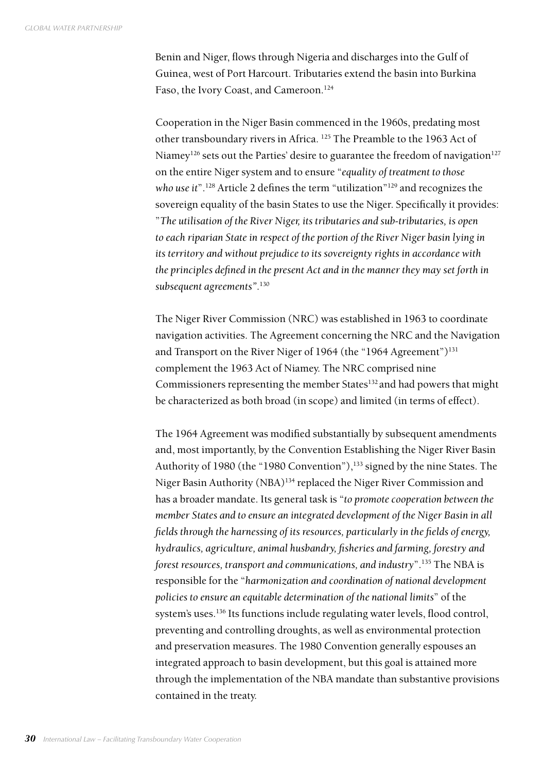Beninand Niger, flows through Nigeria and discharges into the Gulf of Guinea, west of Port Harcourt. Tributaries extend the basin into Burkina Faso, the Ivory Coast, and Cameroon.<sup>124</sup>

Cooperation in the Niger Basin commenced in the 1960s, predating most other transboundary rivers in Africa. <sup>125</sup> The Preamble to the 1963 Act of Niamey<sup>126</sup> sets out the Parties' desire to guarantee the freedom of navigation<sup>127</sup> onthe entire Niger system and to ensure "*equality of treatment to those who use it*".<sup>128</sup> Article 2 defines the term "utilization"<sup>129</sup> and recognizes the sovereign equality of the basin States to use the Niger. Specifically it provides: "*The utilisation of the River Niger, its tributaries and sub-tributaries,is open to each riparian State in respect of the portion of the River Niger basin lying in its territory and without prejudice to its sovereignty rights in accordance with the principles defined in the present Act and in the manner they may set forth in subsequent agreements"*. 130

The Niger River Commission (NRC) was established in 1963 to coordinate navigation activities. The Agreement concerning the NRC and the Navigation and Transport on the River Niger of 1964 (the "1964 Agreement")<sup>131</sup> complement the 1963 Act of Niamey. The NRC comprised nine Commissioners representing the member States<sup>132</sup> and had powers that might be characterized as both broad (in scope) and limited (in terms of effect).

The 1964 Agreement was modified substantially by subsequent amendments and, most importantly, by the Convention Establishing the Niger River Basin Authority of 1980 (the "1980 Convention"),<sup>133</sup> signed by the nine States. The Niger Basin Authority (NBA)<sup>134</sup> replaced the Niger River Commission and has a broader mandate. Its general task is "*to promote cooperation between the member States and to ensure an integrated development of the Niger Basin in all fields through the harnessing ofits resources, particularly in the fields of energy, hydraulics, agriculture, animal husbandry, fisheries and farming,forestry and forest resources, transport and communications, and industry*".<sup>135</sup> The NBA is responsible for the "*harmonization and coordination of national development policies to ensure an equitable determination of the nationallimits*" of the system's uses.<sup>136</sup> Its functions include regulating water levels, flood control, preventing and controlling droughts, as well as environmental protection and preservation measures. The 1980 Conventiongenerally espouses an integrated approach to basin development, but this goal is attained more through the implementation of the NBA mandate than substantive provisions contained in the treaty.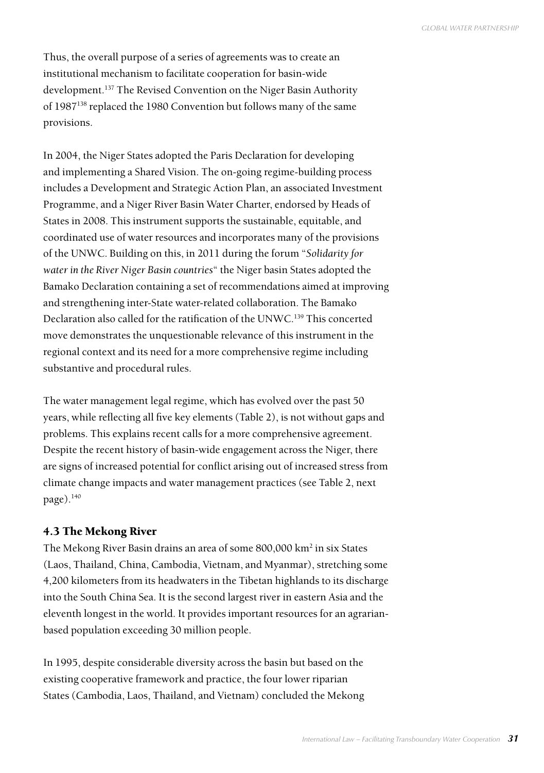Thus, the overall purpose of a series of agreements was to create an institutional mechanism to facilitate cooperation for basin-wide development.<sup>137</sup> The Revised Convention on the Niger Basin Authority of 1987<sup>138</sup> replaced the 1980 Convention but follows many of the same provisions.

In 2004, the Niger States adopted the Paris Declaration for developing and implementing a Shared Vision. The on-going regime-building process includes a Development and Strategic Action Plan, an associated Investment Programme, and a Niger River Basin Water Charter, endorsed by Heads of States in 2008. This instrument supports the sustainable, equitable, and coordinated use of water resources and incorporates many of the provisions of the UNWC. Building onthis,in2011 during the forum "*Solidarity for water* in the River Niger Basin countries" the Niger basin States adopted the Bamako Declaration containing a set of recommendations aimed at improving and strengthening inter-State water-related collaboration. The Bamako Declaration also called for the ratification of the UNWC.<sup>139</sup> This concerted move demonstrates the unquestionable relevance of this instrument in the regional context and its need for a more comprehensive regime including substantive and procedural rules.

The water management legal regime, which has evolved over the past 50 years, while reflecting all five key elements (Table 2), is not without gaps and problems. This explains recent calls for a more comprehensive agreement. Despite the recent history of basin-wide engagement across the Niger, there are signs of increased potential for conflict arising out of increased stress from climate change impacts and water management practices (see Table 2, next  $page)$ .<sup>140</sup>

## 4.3 The Mekong River

The Mekong River Basindrains anarea of some 800,000 km<sup>2</sup> insix States (Laos, Thailand, China, Cambodia, Vietnam, and Myanmar), stretching some 4,200 kilometers from its headwaters in the Tibetan highlands to its discharge into the South China Sea. It is the second largest river in eastern Asia and the eleventh longest in the world. It provides important resources for an agrarianbased population exceeding 30 million people.

In 1995, despite considerable diversity across the basin but based on the existing cooperative framework and practice, the four lower riparian States (Cambodia, Laos, Thailand, and Vietnam) concluded the Mekong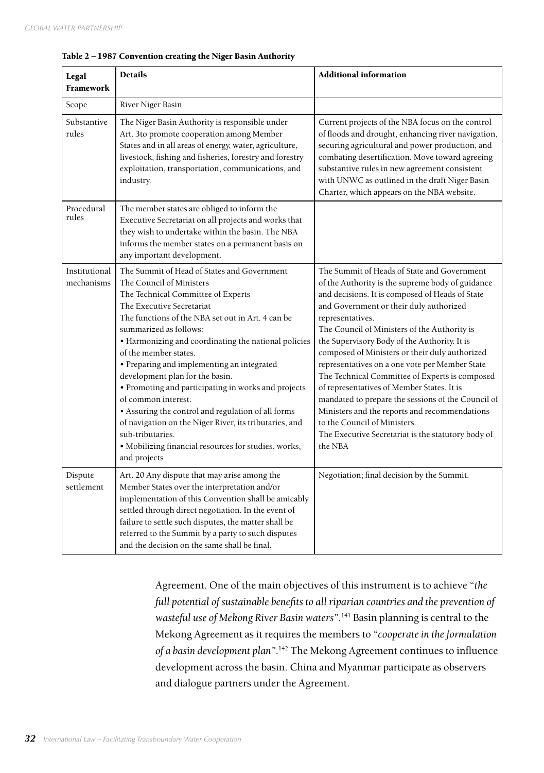| Legal<br>Framework          | <b>Details</b>                                                                                                                                                                                                                                                                                                                                                                                                                                                                                                                                                                                                                                                                        | <b>Additional information</b>                                                                                                                                                                                                                                                                                                                                                                                                                                                                                                                                                                                                                                                                                                 |
|-----------------------------|---------------------------------------------------------------------------------------------------------------------------------------------------------------------------------------------------------------------------------------------------------------------------------------------------------------------------------------------------------------------------------------------------------------------------------------------------------------------------------------------------------------------------------------------------------------------------------------------------------------------------------------------------------------------------------------|-------------------------------------------------------------------------------------------------------------------------------------------------------------------------------------------------------------------------------------------------------------------------------------------------------------------------------------------------------------------------------------------------------------------------------------------------------------------------------------------------------------------------------------------------------------------------------------------------------------------------------------------------------------------------------------------------------------------------------|
| Scope                       | River Niger Basin                                                                                                                                                                                                                                                                                                                                                                                                                                                                                                                                                                                                                                                                     |                                                                                                                                                                                                                                                                                                                                                                                                                                                                                                                                                                                                                                                                                                                               |
| Substantive<br>rules        | The Niger Basin Authority is responsible under<br>Art. 3to promote cooperation among Member<br>States and in all areas of energy, water, agriculture,<br>livestock, fishing and fisheries, forestry and forestry<br>exploitation, transportation, communications, and<br>industry.                                                                                                                                                                                                                                                                                                                                                                                                    | Current projects of the NBA focus on the control<br>of floods and drought, enhancing river navigation,<br>securing agricultural and power production, and<br>combating desertification. Move toward agreeing<br>substantive rules in new agreement consistent<br>with UNWC as outlined in the draft Niger Basin<br>Charter, which appears on the NBA website.                                                                                                                                                                                                                                                                                                                                                                 |
| Procedural<br>rules         | The member states are obliged to inform the<br>Executive Secretariat on all projects and works that<br>they wish to undertake within the basin. The NBA<br>informs the member states on a permanent basis on<br>any important development.                                                                                                                                                                                                                                                                                                                                                                                                                                            |                                                                                                                                                                                                                                                                                                                                                                                                                                                                                                                                                                                                                                                                                                                               |
| Institutional<br>mechanisms | The Summit of Head of States and Government<br>The Council of Ministers<br>The Technical Committee of Experts<br>The Executive Secretariat<br>The functions of the NBA set out in Art. 4 can be<br>summarized as follows:<br>• Harmonizing and coordinating the national policies<br>of the member states.<br>• Preparing and implementing an integrated<br>development plan for the basin.<br>· Promoting and participating in works and projects<br>of common interest.<br>• Assuring the control and regulation of all forms<br>of navigation on the Niger River, its tributaries, and<br>sub-tributaries.<br>· Mobilizing financial resources for studies, works,<br>and projects | The Summit of Heads of State and Government<br>of the Authority is the supreme body of guidance<br>and decisions. It is composed of Heads of State<br>and Government or their duly authorized<br>representatives.<br>The Council of Ministers of the Authority is<br>the Supervisory Body of the Authority. It is<br>composed of Ministers or their duly authorized<br>representatives on a one vote per Member State<br>The Technical Committee of Experts is composed<br>of representatives of Member States. It is<br>mandated to prepare the sessions of the Council of<br>Ministers and the reports and recommendations<br>to the Council of Ministers.<br>The Executive Secretariat is the statutory body of<br>the NBA |
| Dispute<br>settlement       | Art. 20 Any dispute that may arise among the<br>Member States over the interpretation and/or<br>implementation of this Convention shall be amicably<br>settled through direct negotiation. In the event of<br>failure to settle such disputes, the matter shall be<br>referred to the Summit by a party to such disputes<br>and the decision on the same shall be final.                                                                                                                                                                                                                                                                                                              | Negotiation; final decision by the Summit.                                                                                                                                                                                                                                                                                                                                                                                                                                                                                                                                                                                                                                                                                    |

#### Table 2–1987 Convention creating the Niger Basin Authority

Agreement. One of the mainobjectives of this instrument is to achieve "*the full potential of sustainable benefits to allriparian countries and the prevention of wasteful use of Mekong River Basin waters"*. <sup>141</sup> Basinplanning is central to the Mekong Agreement as it requires the members to "*cooperate in the formulation of a basin development plan"*. <sup>142</sup> The Mekong Agreement continues to influence development across the basin. China and Myanmar participate as observers and dialogue partners under the Agreement.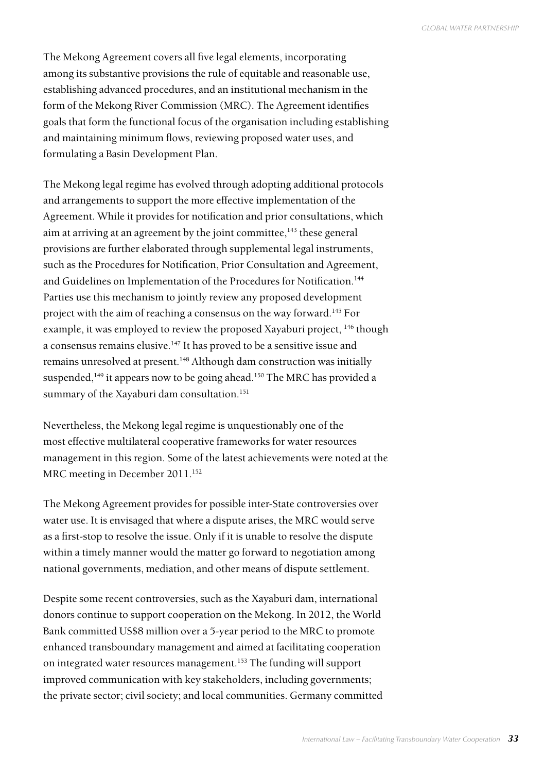The Mekong Agreement covers all five legal elements, incorporating among its substantive provisions the rule of equitable and reasonable use, establishing advanced procedures, and an institutional mechanism in the form of the Mekong River Commission(MRC). The Agreement identifies goals that form the functional focus of the organisationincluding establishing and maintaining minimum flows, reviewing proposed water uses, and formulating a Basin Development Plan.

The Mekong legal regime has evolved through adopting additional protocols and arrangements to support the more effective implementation of the Agreement. While it provides for notification and prior consultations, which aim at arriving at an agreement by the joint committee, $143$  these general provisions are further elaborated through supplemental legal instruments, such as the Procedures for Notification, Prior Consultation and Agreement, and Guidelines on Implementation of the Procedures for Notification.<sup>144</sup> Parties use this mechanism to jointly review any proposed development project with the aim of reaching a consensus on the way forward.<sup>145</sup> For example, it was employed to review the proposed Xayaburi project, <sup>146</sup> though a consensus remains elusive.<sup>147</sup> It has proved to be a sensitive issue and remains unresolved at present.<sup>148</sup> Although dam construction was initially suspended,<sup>149</sup> it appears now to be going ahead.<sup>150</sup> The MRC has provided a summary of the Xayaburi dam consultation.<sup>151</sup>

Nevertheless, the Mekong legal regime is unquestionably one of the most effective multilateral cooperative frameworks for water resources management in this region. Some of the latest achievements were noted at the MRC meeting in December 2011.<sup>152</sup>

The Mekong Agreement provides for possible inter-State controversies over water use. It is envisaged that where a dispute arises, the MRC would serve as a first-stop to resolve the issue. Only if it is unable to resolve the dispute within a timely manner would the matter go forward to negotiation among national governments, mediation, and other means of dispute settlement.

Despite some recent controversies, such as the Xayaburi dam, international donors continue to support cooperation on the Mekong. In 2012, the World Bank committed US\$8 million over a 5-year period to the MRC to promote enhanced transboundary management and aimed at facilitating cooperation on integrated water resources management.<sup>153</sup> The funding will support improved communication with key stakeholders, including governments; the private sector; civil society; and local communities. Germany committed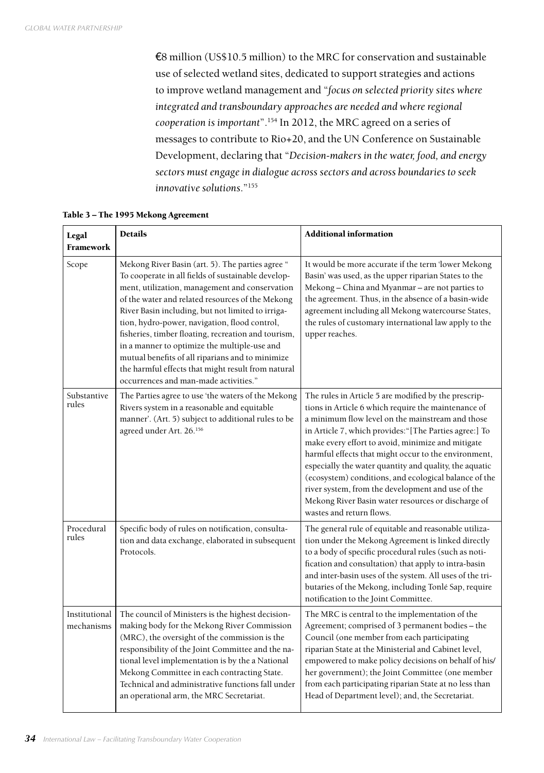€8 million(US\$10.5 million) to the MRC for conservationand sustainable use of selected wetland sites, dedicated to support strategies and actions to improve wetland management and "*focus on selected priority sites where integrated and transboundary approaches are needed and where regional cooperation* is *important*".<sup>154</sup> In 2012, the MRC agreed on a series of messages to contribute to Rio+20, and the UN Conference on Sustainable Development, declaring that "*Decision-makers in the water, food, and energy sectors must engage in dialogue across sectors and across boundaries to seek innovative solutions*."<sup>155</sup>

| Legal                       | <b>Details</b>                                                                                                                                                                                                                                                                                                                                                                                                                                                                                                                                                               | <b>Additional information</b>                                                                                                                                                                                                                                                                                                                                                                                                                                                                                                                                                                    |
|-----------------------------|------------------------------------------------------------------------------------------------------------------------------------------------------------------------------------------------------------------------------------------------------------------------------------------------------------------------------------------------------------------------------------------------------------------------------------------------------------------------------------------------------------------------------------------------------------------------------|--------------------------------------------------------------------------------------------------------------------------------------------------------------------------------------------------------------------------------------------------------------------------------------------------------------------------------------------------------------------------------------------------------------------------------------------------------------------------------------------------------------------------------------------------------------------------------------------------|
| Framework                   |                                                                                                                                                                                                                                                                                                                                                                                                                                                                                                                                                                              |                                                                                                                                                                                                                                                                                                                                                                                                                                                                                                                                                                                                  |
| Scope                       | Mekong River Basin (art. 5). The parties agree "<br>To cooperate in all fields of sustainable develop-<br>ment, utilization, management and conservation<br>of the water and related resources of the Mekong<br>River Basin including, but not limited to irriga-<br>tion, hydro-power, navigation, flood control,<br>fisheries, timber floating, recreation and tourism,<br>in a manner to optimize the multiple-use and<br>mutual benefits of all riparians and to minimize<br>the harmful effects that might result from natural<br>occurrences and man-made activities." | It would be more accurate if the term 'lower Mekong<br>Basin' was used, as the upper riparian States to the<br>Mekong - China and Myanmar - are not parties to<br>the agreement. Thus, in the absence of a basin-wide<br>agreement including all Mekong watercourse States,<br>the rules of customary international law apply to the<br>upper reaches.                                                                                                                                                                                                                                           |
| Substantive<br>rules        | The Parties agree to use 'the waters of the Mekong<br>Rivers system in a reasonable and equitable<br>manner'. (Art. 5) subject to additional rules to be<br>agreed under Art. 26. <sup>156</sup>                                                                                                                                                                                                                                                                                                                                                                             | The rules in Article 5 are modified by the prescrip-<br>tions in Article 6 which require the maintenance of<br>a minimum flow level on the mainstream and those<br>in Article 7, which provides: "[The Parties agree:] To<br>make every effort to avoid, minimize and mitigate<br>harmful effects that might occur to the environment,<br>especially the water quantity and quality, the aquatic<br>(ecosystem) conditions, and ecological balance of the<br>river system, from the development and use of the<br>Mekong River Basin water resources or discharge of<br>wastes and return flows. |
| Procedural<br>rules         | Specific body of rules on notification, consulta-<br>tion and data exchange, elaborated in subsequent<br>Protocols.                                                                                                                                                                                                                                                                                                                                                                                                                                                          | The general rule of equitable and reasonable utiliza-<br>tion under the Mekong Agreement is linked directly<br>to a body of specific procedural rules (such as noti-<br>fication and consultation) that apply to intra-basin<br>and inter-basin uses of the system. All uses of the tri-<br>butaries of the Mekong, including Tonlé Sap, require<br>notification to the Joint Committee.                                                                                                                                                                                                         |
| Institutional<br>mechanisms | The council of Ministers is the highest decision-<br>making body for the Mekong River Commission<br>(MRC), the oversight of the commission is the<br>responsibility of the Joint Committee and the na-<br>tional level implementation is by the a National<br>Mekong Committee in each contracting State.<br>Technical and administrative functions fall under<br>an operational arm, the MRC Secretariat.                                                                                                                                                                   | The MRC is central to the implementation of the<br>Agreement; comprised of 3 permanent bodies - the<br>Council (one member from each participating<br>riparian State at the Ministerial and Cabinet level,<br>empowered to make policy decisions on behalf of his/<br>her government); the Joint Committee (one member<br>from each participating riparian State at no less than<br>Head of Department level); and, the Secretariat.                                                                                                                                                             |

Table 3–The 1995 Mekong Agreement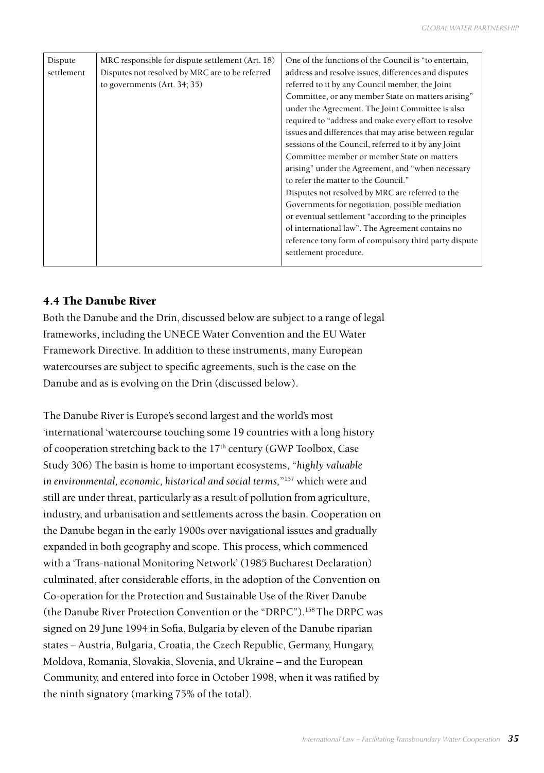| Dispute    | MRC responsible for dispute settlement (Art. 18) | One of the functions of the Council is "to entertain, |
|------------|--------------------------------------------------|-------------------------------------------------------|
| settlement | Disputes not resolved by MRC are to be referred  | address and resolve issues, differences and disputes  |
|            | to governments (Art. 34; 35)                     | referred to it by any Council member, the Joint       |
|            |                                                  | Committee, or any member State on matters arising"    |
|            |                                                  | under the Agreement. The Joint Committee is also      |
|            |                                                  | required to "address and make every effort to resolve |
|            |                                                  | issues and differences that may arise between regular |
|            |                                                  | sessions of the Council, referred to it by any Joint  |
|            |                                                  | Committee member or member State on matters           |
|            |                                                  | arising" under the Agreement, and "when necessary     |
|            |                                                  | to refer the matter to the Council."                  |
|            |                                                  | Disputes not resolved by MRC are referred to the      |
|            |                                                  | Governments for negotiation, possible mediation       |
|            |                                                  | or eventual settlement "according to the principles   |
|            |                                                  | of international law". The Agreement contains no      |
|            |                                                  | reference tony form of compulsory third party dispute |
|            |                                                  | settlement procedure.                                 |
|            |                                                  |                                                       |

### 4.4 The Danube River

Both the Danube and the Drin, discussed below are subject to a range of legal frameworks, including the UNECE Water Convention and the EU Water Framework Directive. In addition to these instruments, many European watercourses are subject to specific agreements, such is the case on the Danube and as is evolving on the Drin (discussed below).

The Danube River is Europe's second largest and the world's most 'international 'watercourse touching some 19 countries with a long history of cooperation stretching back to the 17<sup>th</sup> century (GWP Toolbox, Case Study 306) The basin is home to important ecosystems, "highly valuable *in environmental, economic, historical and social terms,*" <sup>157</sup> which were and still are under threat, particularly as a result of pollution from agriculture, industry, and urbanisation and settlements across the basin. Cooperation on the Danube began in the early 1900s over navigational issues and gradually expanded in both geography and scope. This process, which commenced witha 'Trans-national Monitoring Network' (1985 Bucharest Declaration) culminated, after considerable efforts, in the adoption of the Convention on Co-operation for the Protection and Sustainable Use of the River Danube (the Danube River Protection Convention or the "DRPC").<sup>158</sup>The DRPC was signed on 29 June 1994 in Sofia, Bulgaria by eleven of the Danube riparian states – Austria, Bulgaria, Croatia, the Czech Republic, Germany, Hungary, Moldova, Romania, Slovakia, Slovenia, and Ukraine – and the European Community, and entered into force in October 1998, whenit was ratified by the ninth signatory (marking 75% of the total).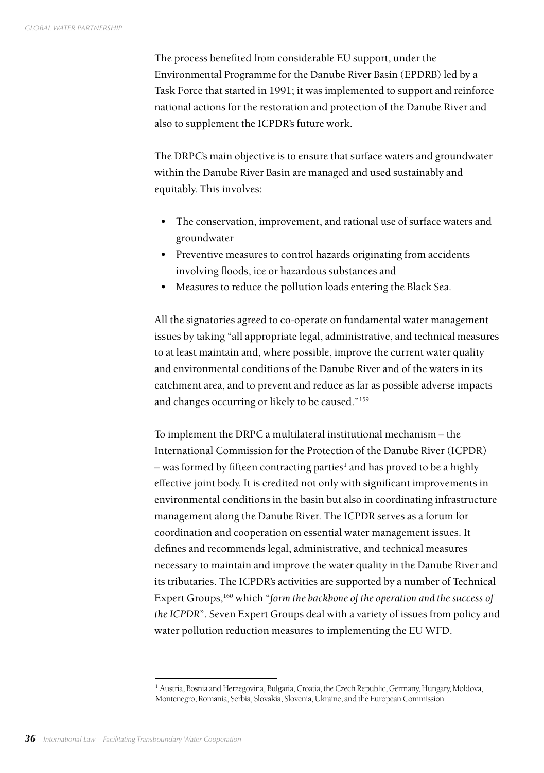The process benefited from considerable EU support, under the Environmental Programme for the Danube River Basin (EPDRB) led by a Task Force that started in 1991; it was implemented to support and reinforce national actions for the restoration and protection of the Danube River and also to supplement the ICPDR's future work.

The DRPC's main objective is to ensure that surface waters and groundwater within the Danube River Basin are managed and used sustainably and equitably. This involves:

- The conservation, improvement, and rational use of surface waters and groundwater
- Preventive measures to control hazards originating from accidents involving floods, ice or hazardous substances and
- Measures to reduce the pollution loads entering the Black Sea.

All the signatories agreed to co-operate on fundamental water management issues by taking "all appropriate legal, administrative, and technical measures to at least maintain and, where possible, improve the current water quality and environmental conditions of the Danube River and of the waters in its catchment area, and to prevent and reduce as far as possible adverse impacts and changes occurring or likely to be caused."<sup>159</sup>

To implement the DRPC a multilateral institutional mechanism – the International Commission for the Protection of the Danube River (ICPDR) – was formed by fifteen contracting parties<sup>1</sup> and has proved to be a highly effective joint body. It is credited not only with significant improvements in environmental conditions in the basin but also in coordinating infrastructure management along the Danube River. The ICPDR serves as a forum for coordination and cooperation on essential water management issues. It defines and recommends legal, administrative, and technical measures necessary to maintain and improve the water quality in the Danube River and its tributaries. The ICPDR's activities are supported by a number of Technical Expert Groups,<sup>160</sup> which"*form the backbone of the operation and the success of the ICPDR*". Seven Expert Groups deal witha variety of issues from policy and water pollution reduction measures to implementing the EU WFD.

<sup>&</sup>lt;sup>1</sup> Austria, Bosnia and Herzegovina, Bulgaria, Croatia, the Czech Republic, Germany, Hungary, Moldova, Montenegro, Romania, Serbia, Slovakia, Slovenia, Ukraine, and the European Commission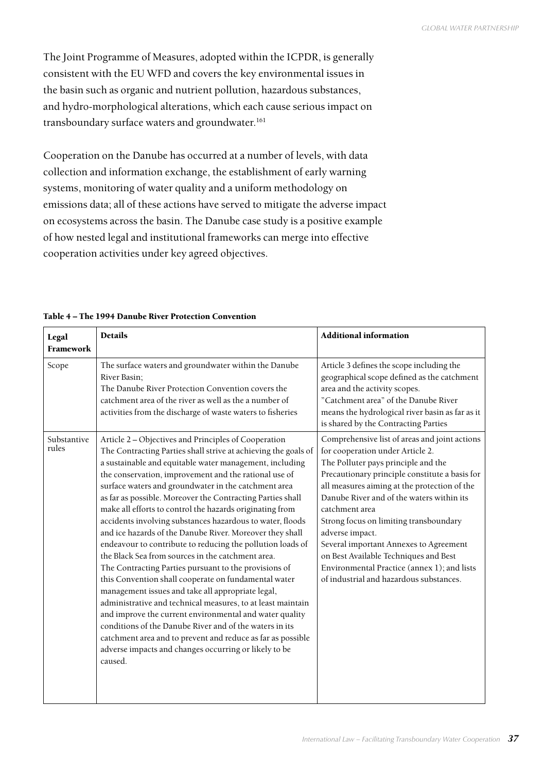The Joint Programme of Measures, adopted within the ICPDR, is generally consistent with the EU WFD and covers the key environmental issues in the basin such as organic and nutrient pollution, hazardous substances, and hydro-morphological alterations, which each cause serious impact on transboundary surface waters and groundwater. 161

Cooperation on the Danube has occurred at a number of levels, with data collection and information exchange, the establishment of early warning systems, monitoring of water quality and a uniform methodology on emissions data; all of these actions have served to mitigate the adverse impact on ecosystems across the basin. The Danube case study is a positive example ofhow nested legal and institutional frameworks can merge into effective cooperation activities under key agreed objectives.

| Legal<br>Framework   | <b>Details</b>                                                                                                                                                                                                                                                                                                                                                                                                                                                                                                                                                                                                                                                                                                                                                                                                                                                                                                                                                                                                                                                                                                                                                         | <b>Additional information</b>                                                                                                                                                                                                                                                                                                                                                                                                                                                                                                       |
|----------------------|------------------------------------------------------------------------------------------------------------------------------------------------------------------------------------------------------------------------------------------------------------------------------------------------------------------------------------------------------------------------------------------------------------------------------------------------------------------------------------------------------------------------------------------------------------------------------------------------------------------------------------------------------------------------------------------------------------------------------------------------------------------------------------------------------------------------------------------------------------------------------------------------------------------------------------------------------------------------------------------------------------------------------------------------------------------------------------------------------------------------------------------------------------------------|-------------------------------------------------------------------------------------------------------------------------------------------------------------------------------------------------------------------------------------------------------------------------------------------------------------------------------------------------------------------------------------------------------------------------------------------------------------------------------------------------------------------------------------|
| Scope                | The surface waters and groundwater within the Danube<br>River Basin;<br>The Danube River Protection Convention covers the<br>catchment area of the river as well as the a number of<br>activities from the discharge of waste waters to fisheries                                                                                                                                                                                                                                                                                                                                                                                                                                                                                                                                                                                                                                                                                                                                                                                                                                                                                                                      | Article 3 defines the scope including the<br>geographical scope defined as the catchment<br>area and the activity scopes.<br>"Catchment area" of the Danube River<br>means the hydrological river basin as far as it<br>is shared by the Contracting Parties                                                                                                                                                                                                                                                                        |
| Substantive<br>rules | Article 2 – Objectives and Principles of Cooperation<br>The Contracting Parties shall strive at achieving the goals of<br>a sustainable and equitable water management, including<br>the conservation, improvement and the rational use of<br>surface waters and groundwater in the catchment area<br>as far as possible. Moreover the Contracting Parties shall<br>make all efforts to control the hazards originating from<br>accidents involving substances hazardous to water, floods<br>and ice hazards of the Danube River. Moreover they shall<br>endeavour to contribute to reducing the pollution loads of<br>the Black Sea from sources in the catchment area.<br>The Contracting Parties pursuant to the provisions of<br>this Convention shall cooperate on fundamental water<br>management issues and take all appropriate legal,<br>administrative and technical measures, to at least maintain<br>and improve the current environmental and water quality<br>conditions of the Danube River and of the waters in its<br>catchment area and to prevent and reduce as far as possible<br>adverse impacts and changes occurring or likely to be<br>caused. | Comprehensive list of areas and joint actions<br>for cooperation under Article 2.<br>The Polluter pays principle and the<br>Precautionary principle constitute a basis for<br>all measures aiming at the protection of the<br>Danube River and of the waters within its<br>catchment area<br>Strong focus on limiting transboundary<br>adverse impact.<br>Several important Annexes to Agreement<br>on Best Available Techniques and Best<br>Environmental Practice (annex 1); and lists<br>of industrial and hazardous substances. |

#### Table 4–The 1994 Danube River Protection Convention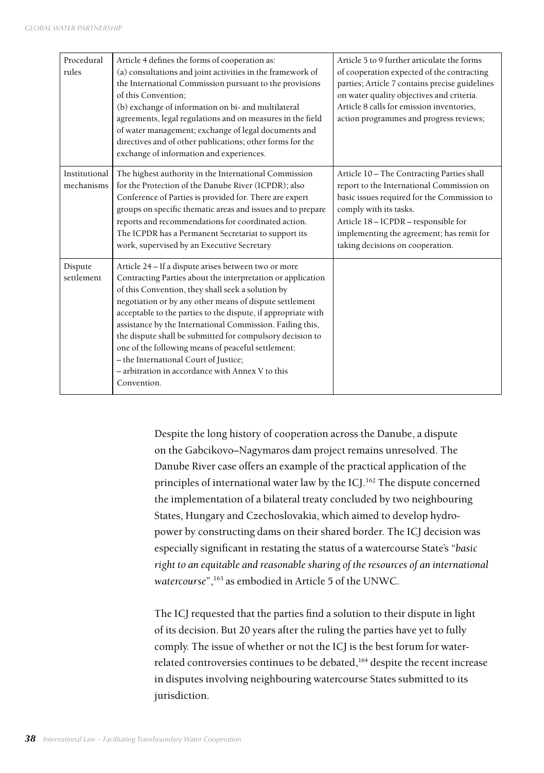| Procedural<br>rules         | Article 4 defines the forms of cooperation as:<br>(a) consultations and joint activities in the framework of<br>the International Commission pursuant to the provisions<br>of this Convention:<br>(b) exchange of information on bi- and multilateral<br>agreements, legal regulations and on measures in the field<br>of water management; exchange of legal documents and<br>directives and of other publications; other forms for the                                                                                                                                                         | Article 5 to 9 further articulate the forms<br>of cooperation expected of the contracting<br>parties; Article 7 contains precise guidelines<br>on water quality objectives and criteria.<br>Article 8 calls for emission inventories,<br>action programmes and progress reviews;          |
|-----------------------------|--------------------------------------------------------------------------------------------------------------------------------------------------------------------------------------------------------------------------------------------------------------------------------------------------------------------------------------------------------------------------------------------------------------------------------------------------------------------------------------------------------------------------------------------------------------------------------------------------|-------------------------------------------------------------------------------------------------------------------------------------------------------------------------------------------------------------------------------------------------------------------------------------------|
|                             | exchange of information and experiences.                                                                                                                                                                                                                                                                                                                                                                                                                                                                                                                                                         |                                                                                                                                                                                                                                                                                           |
| Institutional<br>mechanisms | The highest authority in the International Commission<br>for the Protection of the Danube River (ICPDR); also<br>Conference of Parties is provided for. There are expert<br>groups on specific thematic areas and issues and to prepare<br>reports and recommendations for coordinated action.<br>The ICPDR has a Permanent Secretariat to support its<br>work, supervised by an Executive Secretary                                                                                                                                                                                             | Article 10 - The Contracting Parties shall<br>report to the International Commission on<br>basic issues required for the Commission to<br>comply with its tasks.<br>Article 18 - ICPDR - responsible for<br>implementing the agreement; has remit for<br>taking decisions on cooperation. |
| Dispute<br>settlement       | Article 24 - If a dispute arises between two or more<br>Contracting Parties about the interpretation or application<br>of this Convention, they shall seek a solution by<br>negotiation or by any other means of dispute settlement<br>acceptable to the parties to the dispute, if appropriate with<br>assistance by the International Commission. Failing this,<br>the dispute shall be submitted for compulsory decision to<br>one of the following means of peaceful settlement:<br>- the International Court of Justice;<br>- arbitration in accordance with Annex V to this<br>Convention. |                                                                                                                                                                                                                                                                                           |

Despite the long history of cooperation across the Danube, a dispute onthe Gabcikovo–Nagymaros dam project remainsunresolved. The Danube River case offers an example of the practical application of the principles of international water law by the ICJ.<sup>162</sup> The dispute concerned the implementation of a bilateral treaty concluded by two neighbouring States, Hungary and Czechoslovakia, which aimed to develop hydropower by constructing dams on their shared border. The ICJ decision was especially significant in restating the status of a watercourse State's "*basic right to an equitable and reasonable sharing of the resources of an international watercourse*",<sup>163</sup> as embodied in Article 5 of the UNWC.

The ICJ requested that the parties find a solution to their dispute in light of its decision. But 20 years after the ruling the partieshave yet to fully comply. The issue of whether or not the ICJ is the best forum for waterrelated controversies continues to be debated,<sup>164</sup> despite the recent increase in disputes involving neighbouring watercourse States submitted to its jurisdiction.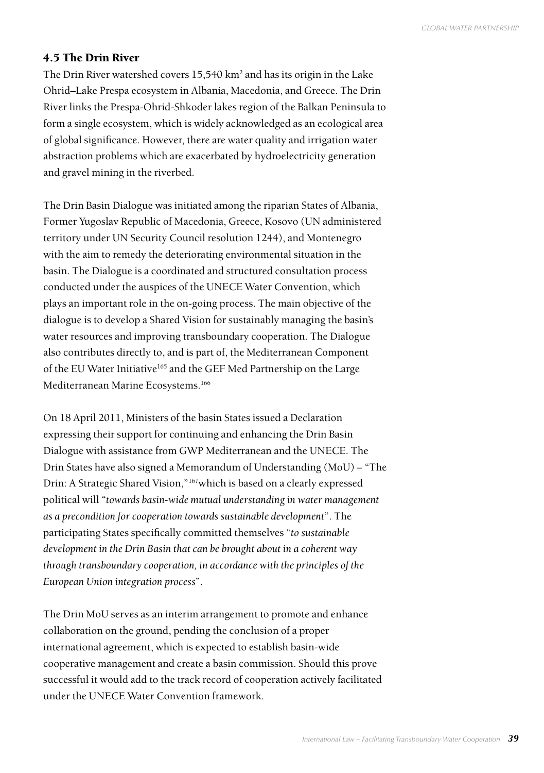### 4.5 The Drin River

The Drin River watershed covers 15,540 km<sup>2</sup> and has its origin in the Lake Ohrid–Lake Prespa ecosystem in Albania, Macedonia, and Greece. The Drin River links the Prespa-Ohrid-Shkoder lakes region of the Balkan Peninsula to form a single ecosystem, which is widely acknowledged as an ecological area of global significance. However, there are water quality and irrigation water abstraction problems which are exacerbated by hydroelectricity generation and gravel mining in the riverbed.

The Drin Basin Dialogue was initiated among the riparian States of Albania, Former Yugoslav Republic of Macedonia, Greece, Kosovo (UN administered territory under UN Security Council resolution 1244), and Montenegro with the aim to remedy the deteriorating environmental situation in the basin. The Dialogue is a coordinated and structured consultation process conducted under the auspices of the UNECE Water Convention, which plays an important role in the on-going process. The main objective of the dialogue is to develop a Shared Vision for sustainably managing the basin's water resources and improving transboundary cooperation. The Dialogue also contributes directly to, and is part of, the Mediterranean Component of the EU Water Initiative<sup>165</sup> and the GEF Med Partnership on the Large Mediterranean Marine Ecosystems.<sup>166</sup>

On 18 April 2011, Ministers of the basin States issued a Declaration expressing their support for continuing and enhancing the Drin Basin Dialogue with assistance from GWP Mediterranean and the UNECE. The Drin States have also signed a Memorandum of Understanding (MoU) - "The Drin: A Strategic Shared Vision,"<sup>167</sup>which is based on a clearly expressed political will *"towards basin-wide mutual understanding in water management as a precondition for cooperation towards sustainable development*". The participating States specifically committed themselves "*to sustainable development in the Drin Basin that can be brought about in a coherent way through transboundary cooperation,in accordance with the principles of the European Union integration process*".

The Drin MoU serves as an interim arrangement to promote and enhance collaboration on the ground, pending the conclusion of a proper international agreement, which is expected to establish basin-wide cooperative management and create a basin commission. Should this prove successful it would add to the track record of cooperation actively facilitated under the UNECE Water Convention framework.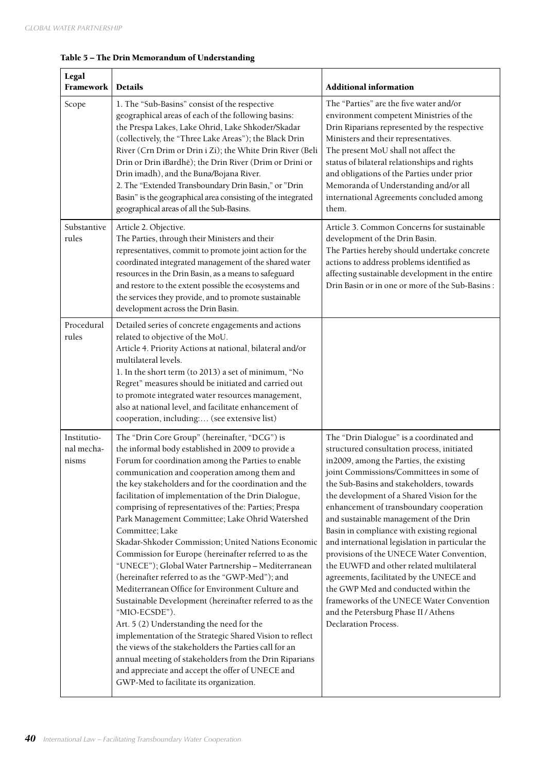| Legal<br>Framework                 | <b>Details</b>                                                                                                                                                                                                                                                                                                                                                                                                                                                                                                                                                                                                                                                                                                                                                                                                                                                                                                                                                                                                                                                                                                                               | <b>Additional information</b>                                                                                                                                                                                                                                                                                                                                                                                                                                                                                                                                                                                                                                                                                                                           |
|------------------------------------|----------------------------------------------------------------------------------------------------------------------------------------------------------------------------------------------------------------------------------------------------------------------------------------------------------------------------------------------------------------------------------------------------------------------------------------------------------------------------------------------------------------------------------------------------------------------------------------------------------------------------------------------------------------------------------------------------------------------------------------------------------------------------------------------------------------------------------------------------------------------------------------------------------------------------------------------------------------------------------------------------------------------------------------------------------------------------------------------------------------------------------------------|---------------------------------------------------------------------------------------------------------------------------------------------------------------------------------------------------------------------------------------------------------------------------------------------------------------------------------------------------------------------------------------------------------------------------------------------------------------------------------------------------------------------------------------------------------------------------------------------------------------------------------------------------------------------------------------------------------------------------------------------------------|
| Scope                              | 1. The "Sub-Basins" consist of the respective<br>geographical areas of each of the following basins:<br>the Prespa Lakes, Lake Ohrid, Lake Shkoder/Skadar<br>(collectively, the "Three Lake Areas"); the Black Drin<br>River (Crn Drim or Drin i Zi); the White Drin River (Beli<br>Drin or Drin iBardhë); the Drin River (Drim or Drini or<br>Drin imadh), and the Buna/Bojana River.<br>2. The "Extended Transboundary Drin Basin," or "Drin<br>Basin" is the geographical area consisting of the integrated<br>geographical areas of all the Sub-Basins.                                                                                                                                                                                                                                                                                                                                                                                                                                                                                                                                                                                  | The "Parties" are the five water and/or<br>environment competent Ministries of the<br>Drin Riparians represented by the respective<br>Ministers and their representatives.<br>The present MoU shall not affect the<br>status of bilateral relationships and rights<br>and obligations of the Parties under prior<br>Memoranda of Understanding and/or all<br>international Agreements concluded among<br>them.                                                                                                                                                                                                                                                                                                                                          |
| Substantive<br>rules               | Article 2. Objective.<br>The Parties, through their Ministers and their<br>representatives, commit to promote joint action for the<br>coordinated integrated management of the shared water<br>resources in the Drin Basin, as a means to safeguard<br>and restore to the extent possible the ecosystems and<br>the services they provide, and to promote sustainable<br>development across the Drin Basin.                                                                                                                                                                                                                                                                                                                                                                                                                                                                                                                                                                                                                                                                                                                                  | Article 3. Common Concerns for sustainable<br>development of the Drin Basin.<br>The Parties hereby should undertake concrete<br>actions to address problems identified as<br>affecting sustainable development in the entire<br>Drin Basin or in one or more of the Sub-Basins:                                                                                                                                                                                                                                                                                                                                                                                                                                                                         |
| Procedural<br>rules                | Detailed series of concrete engagements and actions<br>related to objective of the MoU.<br>Article 4. Priority Actions at national, bilateral and/or<br>multilateral levels.<br>1. In the short term (to 2013) a set of minimum, "No<br>Regret" measures should be initiated and carried out<br>to promote integrated water resources management,<br>also at national level, and facilitate enhancement of<br>cooperation, including: (see extensive list)                                                                                                                                                                                                                                                                                                                                                                                                                                                                                                                                                                                                                                                                                   |                                                                                                                                                                                                                                                                                                                                                                                                                                                                                                                                                                                                                                                                                                                                                         |
| Institutio-<br>nal mecha-<br>nisms | The "Drin Core Group" (hereinafter, "DCG") is<br>the informal body established in 2009 to provide a<br>Forum for coordination among the Parties to enable<br>communication and cooperation among them and<br>the key stakeholders and for the coordination and the<br>facilitation of implementation of the Drin Dialogue,<br>comprising of representatives of the: Parties; Prespa<br>Park Management Committee; Lake Ohrid Watershed<br>Committee; Lake<br>Skadar-Shkoder Commission; United Nations Economic<br>Commission for Europe (hereinafter referred to as the<br>"UNECE"); Global Water Partnership - Mediterranean<br>(hereinafter referred to as the "GWP-Med"); and<br>Mediterranean Office for Environment Culture and<br>Sustainable Development (hereinafter referred to as the<br>"MIO-ECSDE").<br>Art. 5 (2) Understanding the need for the<br>implementation of the Strategic Shared Vision to reflect<br>the views of the stakeholders the Parties call for an<br>annual meeting of stakeholders from the Drin Riparians<br>and appreciate and accept the offer of UNECE and<br>GWP-Med to facilitate its organization. | The "Drin Dialogue" is a coordinated and<br>structured consultation process, initiated<br>in 2009, among the Parties, the existing<br>joint Commissions/Committees in some of<br>the Sub-Basins and stakeholders, towards<br>the development of a Shared Vision for the<br>enhancement of transboundary cooperation<br>and sustainable management of the Drin<br>Basin in compliance with existing regional<br>and international legislation in particular the<br>provisions of the UNECE Water Convention,<br>the EUWFD and other related multilateral<br>agreements, facilitated by the UNECE and<br>the GWP Med and conducted within the<br>frameworks of the UNECE Water Convention<br>and the Petersburg Phase II / Athens<br>Declaration Process. |

## Table 5–The Drin Memorandum of Understanding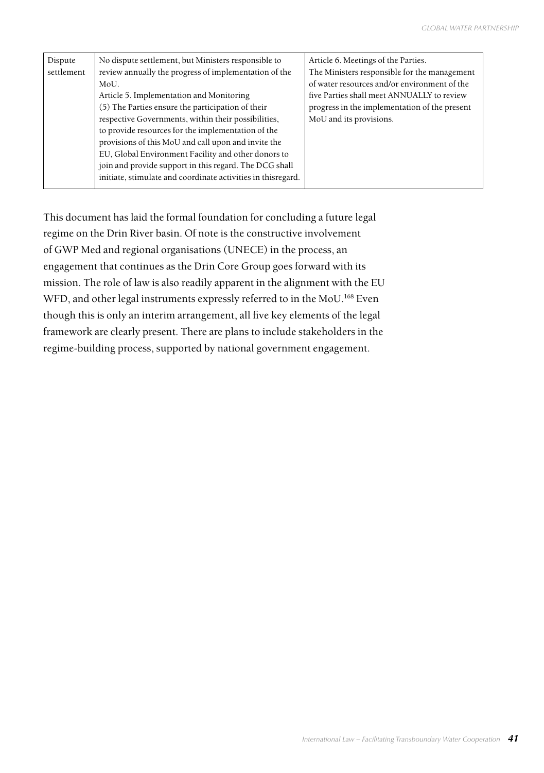| Dispute<br>settlement | No dispute settlement, but Ministers responsible to<br>review annually the progress of implementation of the<br>MoU.<br>Article 5. Implementation and Monitoring<br>(5) The Parties ensure the participation of their<br>respective Governments, within their possibilities,<br>to provide resources for the implementation of the<br>provisions of this MoU and call upon and invite the<br>EU, Global Environment Facility and other donors to | Article 6. Meetings of the Parties.<br>The Ministers responsible for the management<br>of water resources and/or environment of the<br>five Parties shall meet ANNUALLY to review<br>progress in the implementation of the present<br>MoU and its provisions. |
|-----------------------|--------------------------------------------------------------------------------------------------------------------------------------------------------------------------------------------------------------------------------------------------------------------------------------------------------------------------------------------------------------------------------------------------------------------------------------------------|---------------------------------------------------------------------------------------------------------------------------------------------------------------------------------------------------------------------------------------------------------------|
|                       | join and provide support in this regard. The DCG shall<br>initiate, stimulate and coordinate activities in thisregard.                                                                                                                                                                                                                                                                                                                           |                                                                                                                                                                                                                                                               |
|                       |                                                                                                                                                                                                                                                                                                                                                                                                                                                  |                                                                                                                                                                                                                                                               |

This document has laid the formal foundation for concluding a future legal regime on the Drin River basin. Of note is the constructive involvement of GWP Med and regional organisations (UNECE) in the process, an engagement that continues as the Drin Core Group goes forward with its mission. The role of law is also readily apparent in the alignment with the EU WFD, and other legal instruments expressly referred to in the  $\rm MoU.^{168}$  Even though this is only an interim arrangement, all five key elements of the legal framework are clearly present. There are plans to include stakeholders in the regime-building process, supported by national government engagement.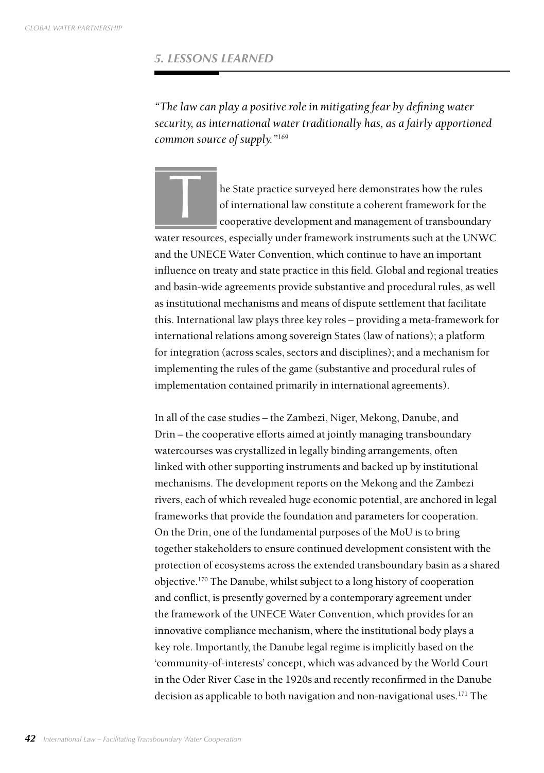### *5. LEssONs LEaRNED*

*"The law can play a positive role in mitigating fear by defining water security, as international water traditionally has, as a fairly apportioned common source of supply."<sup>169</sup>*

he State practice surveyed here demonstrates how the rules of international law constitute a coherent framework for the cooperative development and management of transboundary water resources, especially under framework instruments such at the UNWC and the UNECE Water Convention, which continue to have an important influence on treaty and state practice in this field. Global and regional treaties and basin-wide agreements provide substantive and procedural rules, as well as institutional mechanisms and means of dispute settlement that facilitate this. International law plays three key roles - providing a meta-framework for international relations among sovereign States (law of nations); a platform for integration (across scales, sectors and disciplines); and a mechanism for implementing the rules of the game (substantive and procedural rules of implementation contained primarily in international agreements). T

Inall of the case studies – the Zambezi, Niger, Mekong, Danube, and Drin– the cooperative efforts aimed at jointly managing transboundary watercourses was crystallized in legally binding arrangements, often linked with other supporting instruments and backed up by institutional mechanisms. The development reports on the Mekong and the Zambezi rivers, each of which revealed huge economic potential, are anchored in legal frameworks that provide the foundation and parameters for cooperation. Onthe Drin, one of the fundamental purposes of the MoU is to bring together stakeholders to ensure continued development consistent with the protection of ecosystems across the extended transboundary basin as a shared objective.<sup>170</sup> The Danube, whilst subject to a long history of cooperation and conflict, is presently governed by a contemporary agreement under the framework of the UNECE Water Convention, which provides for an innovative compliance mechanism, where the institutional body plays a key role. Importantly, the Danube legal regime is implicitly based on the 'community-of-interests' concept, which was advanced by the World Court in the Oder River Case in the 1920s and recently reconfirmed in the Danube decision as applicable to both navigation and non-navigational uses.<sup>171</sup> The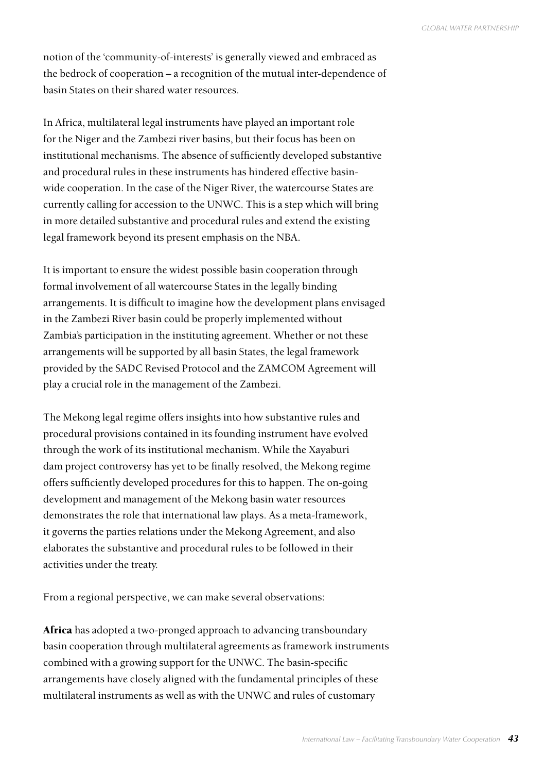notion of the 'community-of-interests' is generally viewed and embraced as the bedrock of cooperation – a recognition of the mutual inter-dependence of basin States on their shared water resources.

In Africa, multilateral legal instruments have played an important role for the Niger and the Zambezi river basins, but their focus has been on institutional mechanisms. The absence of sufficiently developed substantive and procedural rules in these instruments has hindered effective basinwide cooperation. In the case of the Niger River, the watercourse States are currently calling for accession to the UNWC. This is a step which will bring in more detailed substantive and procedural rules and extend the existing legal framework beyond its present emphasis on the NBA.

It is important to ensure the widest possible basin cooperation through formal involvement of all watercourse States in the legally binding arrangements. It is difficult to imagine how the development plans envisaged in the Zambezi River basin could be properly implemented without Zambia's participation in the instituting agreement. Whether or not these arrangements will be supported by all basin States, the legal framework provided by the SADC Revised Protocol and the ZAMCOM Agreement will play a crucial role in the management of the Zambezi.

The Mekong legal regime offers insights into how substantive rules and procedural provisions contained in its founding instrument have evolved through the work of its institutional mechanism. While the Xayaburi dam project controversy has yet to be finally resolved, the Mekong regime offers sufficiently developed procedures for this tohappen. The on-going development and management of the Mekong basin water resources demonstrates the role that international law plays. As a meta-framework, it governs the parties relations under the Mekong Agreement, and also elaborates the substantive and procedural rules to be followed in their activities under the treaty.

From a regional perspective, we can make several observations:

Africa has adopted a two-pronged approach to advancing transboundary basin cooperation through multilateral agreements as framework instruments combined witha growing support for the UNWC. The basin-specific arrangements have closely aligned with the fundamental principles of these multilateral instruments as well as with the UNWC and rules of customary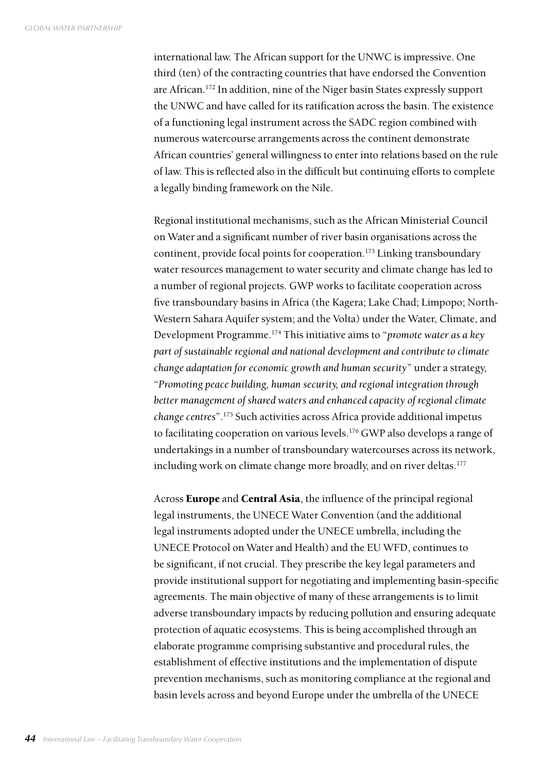international law. The African support for the UNWC is impressive. One third (ten) of the contracting countries that have endorsed the Convention are African.<sup>172</sup> In addition, nine of the Niger basin States expressly support the UNWC and have called for its ratification across the basin. The existence of a functioning legal instrument across the SADC region combined with numerous watercourse arrangements across the continent demonstrate African countries' general willingness to enter into relations based on the rule of law. This is reflected also in the difficult but continuing efforts to complete a legally binding framework on the Nile.

Regional institutional mechanisms, such as the African Ministerial Council on Water and a significant number of river basin organisations across the continent, provide focal points for cooperation.<sup>173</sup> Linking transboundary water resources management to water security and climate change has led to a number of regional projects. GWP works to facilitate cooperation across five transboundary basins in Africa (the Kagera; Lake Chad; Limpopo; North-Western Sahara Aquifer system; and the Volta) under the Water, Climate, and DevelopmentProgramme.<sup>174</sup> This initiative aims to "*promote water as a key part of sustainable regional and national development and contribute to climate change adaptation for economic growth and human security*" under a strategy, "*Promoting peace building, human security, and regionalintegration through better management of shared waters and enhanced capacity of regional climate change centres*".<sup>175</sup> Suchactivities across Africa provide additionalimpetus to facilitating cooperation on various levels.<sup>176</sup> GWP also develops a range of undertakings in a number of transboundary watercourses across its network, including work on climate change more broadly, and on river deltas.<sup>177</sup>

Across Europe and Central Asia, the influence of the principal regional legal instruments, the UNECE Water Convention (and the additional legal instruments adopted under the UNECE umbrella, including the UNECE Protocol on Water and Health) and the EU WFD, continues to be significant, if not crucial. They prescribe the key legal parameters and provide institutional support for negotiating and implementing basin-specific agreements. The main objective of many of these arrangements is to limit adverse transboundary impacts by reducing pollutionand ensuring adequate protection of aquatic ecosystems. This is being accomplished through an elaborate programme comprising substantive and procedural rules, the establishment of effective institutions and the implementation of dispute prevention mechanisms, such as monitoring compliance at the regional and basin levels across and beyond Europe under the umbrella of the UNECE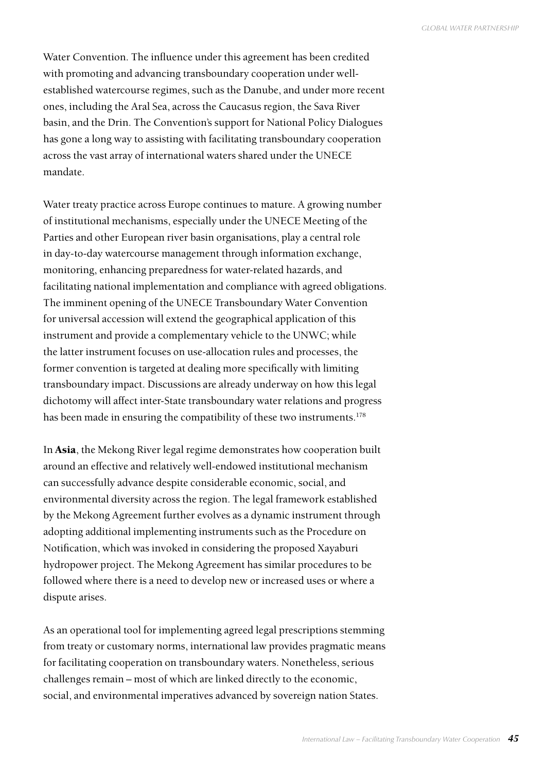Water Convention. The influence under this agreement has been credited with promoting and advancing transboundary cooperation under wellestablished watercourse regimes, such as the Danube, and under more recent ones, including the Aral Sea, across the Caucasus region, the Sava River basin, and the Drin. The Convention's support for National Policy Dialogues has gone a long way to assisting with facilitating transboundary cooperation across the vast array of international waters shared under the UNECE mandate.

Water treaty practice across Europe continues to mature. A growing number of institutional mechanisms, especially under the UNECE Meeting of the Parties and other European river basin organisations, play a central role in day-to-day watercourse management through information exchange, monitoring, enhancing preparedness for water-related hazards, and facilitating national implementation and compliance with agreed obligations. The imminent opening of the UNECE Transboundary Water Convention for universal accession will extend the geographical application of this instrument and provide a complementary vehicle to the UNWC; while the latter instrument focuses on use-allocation rules and processes, the former convention is targeted at dealing more specifically with limiting transboundary impact. Discussions are already underway on how this legal dichotomy will affect inter-State transboundary water relations and progress has been made in ensuring the compatibility of these two instruments.<sup>178</sup>

In Asia, the Mekong River legal regime demonstrates how cooperation built around aneffective and relatively well-endowed institutional mechanism can successfully advance despite considerable economic, social, and environmental diversity across the region. The legal framework established by the Mekong Agreement further evolves as a dynamic instrument through adopting additional implementing instruments such as the Procedure on Notification, which was invoked in considering the proposed Xayaburi hydropower project. The Mekong Agreement has similar procedures to be followed where there is a need to develop new or increased uses or where a dispute arises.

As an operational tool for implementing agreed legal prescriptions stemming from treaty or customary norms, international law provides pragmatic means for facilitating cooperation on transboundary waters. Nonetheless, serious challenges remain - most of which are linked directly to the economic, social, and environmental imperatives advanced by sovereign nation States.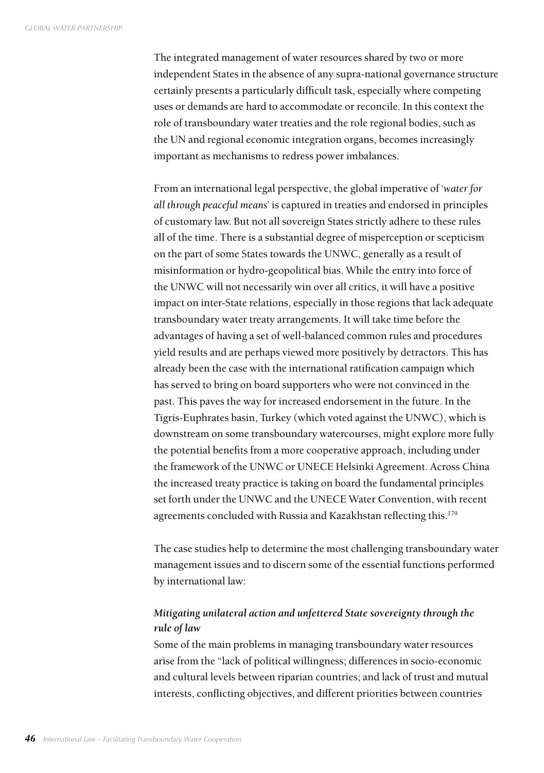The integrated management of water resources shared by two or more independent States in the absence of any supra-national governance structure certainly presents a particularly difficult task, especially where competing uses or demands are hard to accommodate or reconcile. In this context the role of transboundary water treaties and the role regional bodies, such as the UN and regional economic integration organs, becomes increasingly important as mechanisms to redress power imbalances.

From aninternationallegal perspective, the globalimperative of '*water for all through peaceful means*' is captured intreaties and endorsed inprinciples of customary law. But not all sovereign States strictly adhere to these rules all of the time. There is a substantial degree of misperception or scepticism onthe part of some States towards the UNWC, generally as a result of misinformation or hydro-geopolitical bias. While the entry into force of the UNWC will not necessarily win over all critics, it will have a positive impact on inter-State relations, especially in those regions that lack adequate transboundary water treaty arrangements. It will take time before the advantages of having a set of well-balanced common rules and procedures yield results and are perhaps viewed more positively by detractors. Thishas already been the case with the international ratification campaign which has served to bring on board supporters who were not convinced in the past. This paves the way for increased endorsement in the future. In the Tigris-Euphrates basin, Turkey (which voted against the UNWC), which is downstream on some transboundary watercourses, might explore more fully the potential benefits from a more cooperative approach, including under the framework of the UNWC or UNECE Helsinki Agreement. Across China the increased treaty practice is taking on board the fundamental principles set forth under the UNWC and the UNECE Water Convention, with recent agreements concluded with Russia and Kazakhstan reflecting this.<sup>179</sup>

The case studies help to determine the most challenging transboundary water management issues and to discern some of the essential functions performed by international law:

# *Mitigating unilateral action and unfettered State sovereignty through the rule of law*

Some of the main problems in managing transboundary water resources arise from the "lack of political willingness; differences in socio-economic and cultural levels between riparian countries; and lack of trust and mutual interests, conflicting objectives, and different priorities between countries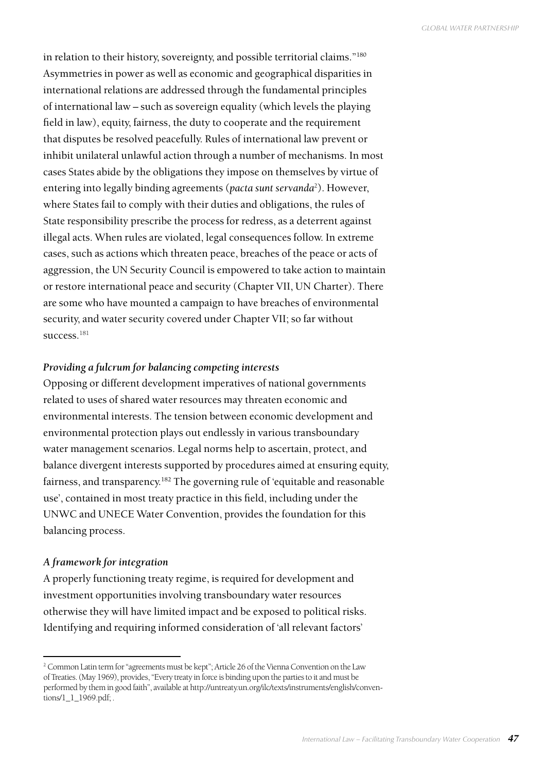in relation to their history, sovereignty, and possible territorial claims."<sup>180</sup> Asymmetries in power as well as economic and geographical disparities in international relations are addressed through the fundamental principles of international law – such as sovereign equality (which levels the playing field in law), equity, fairness, the duty to cooperate and the requirement that disputes be resolved peacefully. Rules of international law prevent or inhibit unilateral unlawful action through a number of mechanisms. In most cases States abide by the obligations they impose onthemselves by virtue of entering into legally binding agreements (*pacta sunt servanda*<sup>2</sup> ). However, where States fail to comply with their duties and obligations, the rules of State responsibility prescribe the process for redress, as a deterrent against illegal acts. When rules are violated, legal consequences follow. In extreme cases, such as actions which threaten peace, breaches of the peace or acts of aggression, the UN Security Council is empowered to take action to maintain or restore international peace and security (Chapter VII, UN Charter). There are some who have mounted a campaign to have breaches of environmental security, and water security covered under Chapter VII; so far without success.<sup>181</sup>

### *Providing a fulcrum for balancing competing interests*

Opposing or different development imperatives of national governments related to uses of shared water resources may threaten economic and environmental interests. The tension between economic development and environmental protection plays out endlessly in various transboundary water management scenarios. Legal norms help to ascertain, protect, and balance divergent interests supported by procedures aimed at ensuring equity, fairness, and transparency.<sup>182</sup> The governing rule of 'equitable and reasonable use', contained in most treaty practice in this field, including under the UNWC and UNECE Water Convention, provides the foundation for this balancing process.

#### *A framework for integration*

A properly functioning treaty regime, is required for development and investment opportunities involving transboundary water resources otherwise they will have limited impact and be exposed to political risks. Identifying and requiring informed consideration of 'all relevant factors'

<sup>&</sup>lt;sup>2</sup> Common Latin term for "agreements must be kept"; Article 26 of the Vienna Convention on the Law of Treaties. (May 1969), provides, "Every treaty in force is binding upon the parties to it and must be performed by themin good faith", available at http://untreaty.un.org/ilc/texts/instruments/english/conventions/1\_1\_1969.pdf; .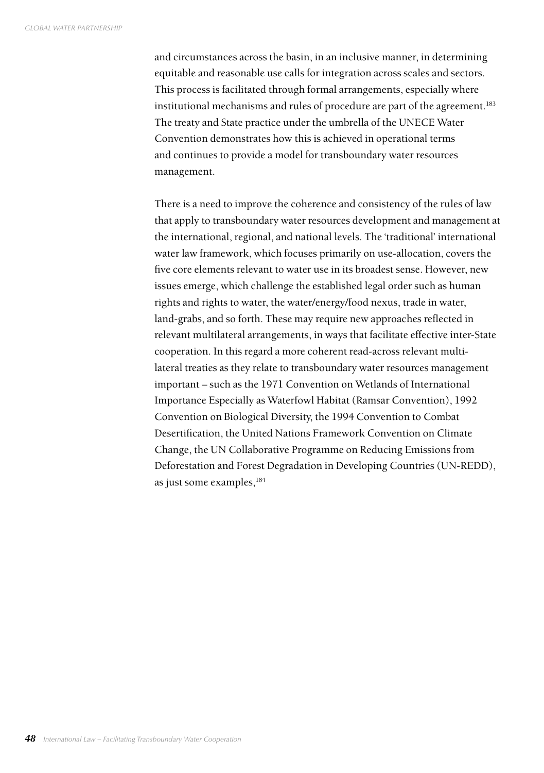and circumstances across the basin, in an inclusive manner, in determining equitable and reasonable use calls for integration across scales and sectors. This process is facilitated through formal arrangements, especially where institutional mechanisms and rules of procedure are part of the agreement.<sup>183</sup> The treaty and State practice under the umbrella of the UNECE Water Convention demonstrates how this is achieved in operational terms and continues to provide a model for transboundary water resources management.

There is a need to improve the coherence and consistency of the rules of law that apply to transboundary water resources development and management at the international, regional, and national levels. The 'traditional' international water law framework, which focuses primarily on use-allocation, covers the five core elements relevant to water use in its broadest sense. However, new issues emerge, which challenge the established legal order such as human rights and rights to water, the water/energy/food nexus, trade in water, land-grabs, and so forth. These may require new approaches reflected in relevant multilateral arrangements, in ways that facilitate effective inter-State cooperation. In this regard a more coherent read-across relevant multilateral treaties as they relate to transboundary water resources management important – such as the 1971 Convention on Wetlands of International Importance Especially as Waterfowl Habitat (Ramsar Convention), 1992 Convention on Biological Diversity, the 1994 Convention to Combat Desertification, the United Nations Framework Convention on Climate Change, the UN Collaborative Programme on Reducing Emissions from Deforestation and Forest Degradation in Developing Countries (UN-REDD), as just some examples, 184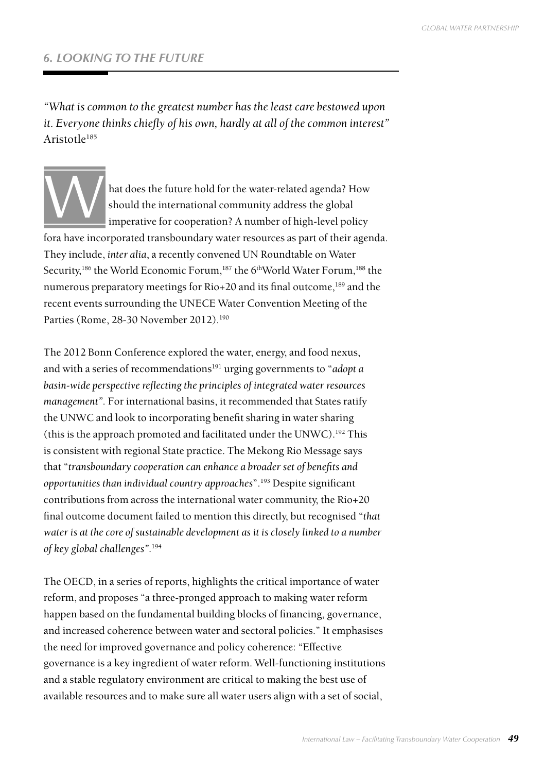*"What is common to the greatest number has the least care bestowed upon it. Everyone thinks chiefly of his own, hardly at all of the common interest"* Aristotle<sup>185</sup>

hat does the future hold for the water-related agenda? How should the international community address the global imperative for cooperation? A number of high-level policy fora have incorporated transboundary water resources as part of their agenda. They include, *inter alia*, a recently convened UN Roundtable on Water Security.<sup>186</sup> the World Economic Forum.<sup>187</sup> the 6<sup>th</sup>World Water Forum.<sup>188</sup> the numerous preparatory meetings for Rio+20 and its final outcome,<sup>189</sup> and the recent events surrounding the UNECE Water Convention Meeting of the Parties (Rome, 28-30 November 2012).<sup>190</sup> W

The 2012 Bonn Conference explored the water, energy, and food nexus, and with a series of recommendations<sup>191</sup> urging governments to "*adopt a basin-wide perspective reflecting the principles ofintegrated water resources* management". For international basins, it recommended that States ratify the UNWC and look to incorporating benefit sharing in water sharing (this is the approach promoted and facilitated under the UNWC).<sup>192</sup> This is consistent with regional State practice. The Mekong Rio Message says that "*transboundary cooperation can enhance a broader set of benefits and opportunities than individual country approaches*".<sup>193</sup> Despite significant contributions from across the international water community, the Rio+20 final outcome document failed to mentionthis directly, but recognised "*that water is at the core of sustainable development as it is closely linked to a number of key global challenges".*<sup>194</sup>

The OECD, in a series of reports, highlights the critical importance of water reform, and proposes "a three-pronged approach to making water reform happen based on the fundamental building blocks of financing, governance, and increased coherence between water and sectoral policies." It emphasises the need for improved governance and policy coherence: "Effective governance is a key ingredient of water reform. Well-functioning institutions and a stable regulatory environment are critical to making the best use of available resources and to make sure all water users align with a set of social,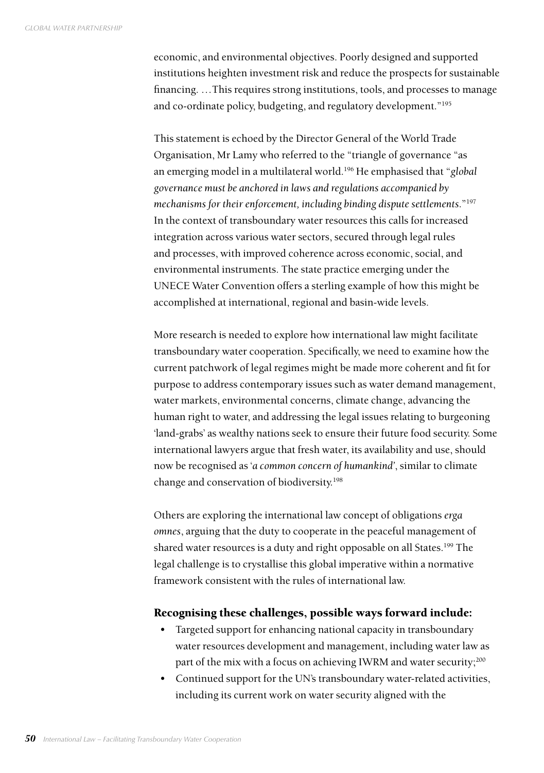economic, and environmental objectives. Poorly designed and supported institutions heighten investment risk and reduce the prospects for sustainable financing. …This requires strong institutions, tools, and processes to manage and co-ordinate policy, budgeting, and regulatory development."<sup>195</sup>

This statement is echoed by the Director General of the World Trade Organisation, MrLamy who referred to the "triangle of governance "as an emerging model in a multilateral world.<sup>196</sup> He emphasised that "*global governance must be anchored in laws and regulations accompanied by mechanisms for their enforcement,including binding dispute settlements*."<sup>197</sup> In the context of transboundary water resources this calls for increased integration across various water sectors, secured through legal rules and processes, with improved coherence across economic, social, and environmental instruments. The state practice emerging under the UNECE Water Convention offers a sterling example of how this might be accomplished at international, regional and basin-wide levels.

More research is needed to explore how international law might facilitate transboundary water cooperation. Specifically, we need to examine how the current patchwork of legal regimes might be made more coherent and fit for purpose to address contemporary issues such as water demand management, water markets, environmental concerns, climate change, advancing the human right to water, and addressing the legal issues relating to burgeoning 'land-grabs' as wealthy nations seek to ensure their future food security. Some international lawyers argue that fresh water, its availability and use, should now be recognised as '*a common concern of humankind'*, similar to climate change and conservation of biodiversity.<sup>198</sup>

Others are exploring the internationallaw concept of obligations *erga omnes*, arguing that the duty to cooperate inthe peaceful management of shared water resources is a duty and right opposable on all States.<sup>199</sup> The legal challenge is to crystallise this global imperative within a normative framework consistent with the rules of international law.

## Recognising these challenges, possible ways forward include:

- Targeted support for enhancing national capacity in transboundary water resources development and management, including water law as part of the mix with a focus on achieving IWRM and water security;<sup>200</sup>
- Continued support for the UN's transboundary water-related activities, including its current work on water security aligned with the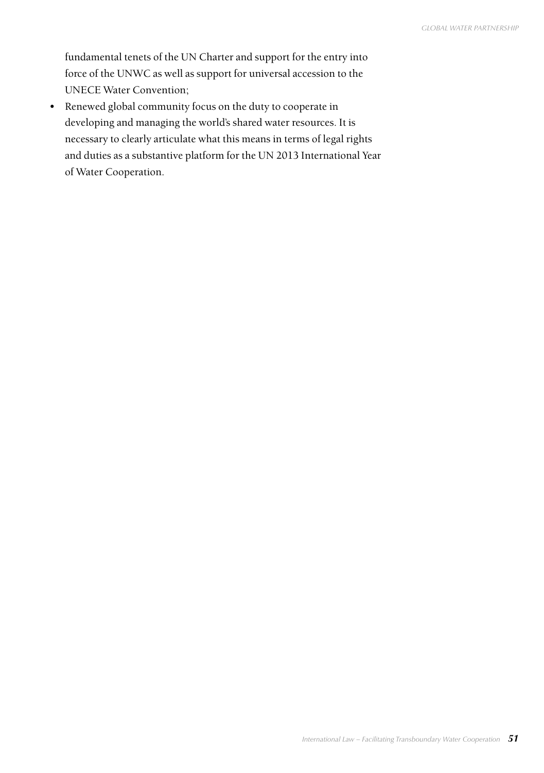fundamental tenets of the UN Charter and support for the entry into force of the UNWC as well as support for universal accession to the UNECE Water Convention;

• Renewed global community focus on the duty to cooperate in developing and managing the world's shared water resources. It is necessary to clearly articulate what this means interms of legal rights and duties as a substantive platform for the UN 2013 International Year of Water Cooperation.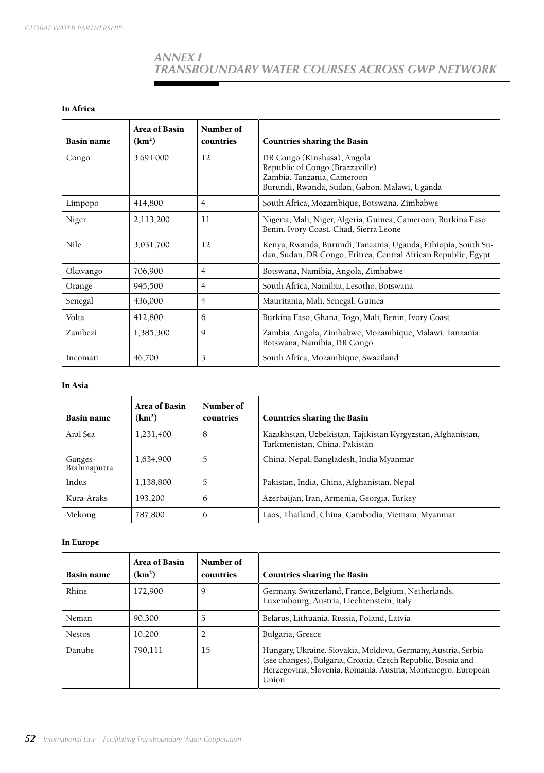# *aNNEx I TRaNsbOuNDaRy WaTER COuRsEs aCROss GWP NETWORk*

#### In Africa

| <b>Basin name</b> | Area of Basin<br>(km <sup>2</sup> ) | Number of<br>countries | <b>Countries sharing the Basin</b>                                                                                                            |
|-------------------|-------------------------------------|------------------------|-----------------------------------------------------------------------------------------------------------------------------------------------|
| Congo             | 3691000                             | 12                     | DR Congo (Kinshasa), Angola<br>Republic of Congo (Brazzaville)<br>Zambia, Tanzania, Cameroon<br>Burundi, Rwanda, Sudan, Gabon, Malawi, Uganda |
| Limpopo           | 414,800                             | $\overline{4}$         | South Africa, Mozambique, Botswana, Zimbabwe                                                                                                  |
| Niger             | 2,113,200                           | 11                     | Nigeria, Mali, Niger, Algeria, Guinea, Cameroon, Burkina Faso<br>Benin, Ivory Coast, Chad, Sierra Leone                                       |
| Nile              | 3,031,700                           | 12                     | Kenya, Rwanda, Burundi, Tanzania, Uganda, Ethiopia, South Su-<br>dan, Sudan, DR Congo, Eritrea, Central African Republic, Egypt               |
| Okavango          | 706,900                             | $\overline{4}$         | Botswana, Namibia, Angola, Zimbabwe                                                                                                           |
| Orange            | 945,500                             | $\overline{4}$         | South Africa, Namibia, Lesotho, Botswana                                                                                                      |
| Senegal           | 436,000                             | $\overline{4}$         | Mauritania, Mali, Senegal, Guinea                                                                                                             |
| Volta             | 412,800                             | 6                      | Burkina Faso, Ghana, Togo, Mali, Benin, Ivory Coast                                                                                           |
| Zambezi           | 1,385,300                           | 9                      | Zambia, Angola, Zimbabwe, Mozambique, Malawi, Tanzania<br>Botswana, Namibia, DR Congo                                                         |
| Incomati          | 46,700                              | 3                      | South Africa, Mozambique, Swaziland                                                                                                           |

#### In Asia

| <b>Basin name</b>      | Area of Basin<br>(km <sup>2</sup> ) | Number of<br>countries | <b>Countries sharing the Basin</b>                                                           |
|------------------------|-------------------------------------|------------------------|----------------------------------------------------------------------------------------------|
| Aral Sea               | 1,231,400                           | 8                      | Kazakhstan, Uzbekistan, Tajikistan Kyrgyzstan, Afghanistan,<br>Turkmenistan, China, Pakistan |
| Ganges-<br>Brahmaputra | 1,634,900                           | 5                      | China, Nepal, Bangladesh, India Myanmar                                                      |
| Indus                  | 1,138,800                           | 5                      | Pakistan, India, China, Afghanistan, Nepal                                                   |
| Kura-Araks             | 193.200                             | 6                      | Azerbaijan, Iran, Armenia, Georgia, Turkey                                                   |
| Mekong                 | 787,800                             | 6                      | Laos, Thailand, China, Cambodia, Vietnam, Myanmar                                            |

#### In Europe

| <b>Basin name</b> | Area of Basin<br>(km <sup>2</sup> ) | Number of<br>countries | <b>Countries sharing the Basin</b>                                                                                                                                                                      |
|-------------------|-------------------------------------|------------------------|---------------------------------------------------------------------------------------------------------------------------------------------------------------------------------------------------------|
| <b>Rhine</b>      | 172,900                             | 9                      | Germany, Switzerland, France, Belgium, Netherlands,<br>Luxembourg, Austria, Liechtenstein, Italy                                                                                                        |
| Neman             | 90.300                              | 5                      | Belarus, Lithuania, Russia, Poland, Latvia                                                                                                                                                              |
| <b>Nestos</b>     | 10.200                              | 2                      | Bulgaria, Greece                                                                                                                                                                                        |
| Danube            | 790.111                             | 15                     | Hungary, Ukraine, Slovakia, Moldova, Germany, Austria, Serbia<br>(see changes), Bulgaria, Croatia, Czech Republic, Bosnia and<br>Herzegovina, Slovenia, Romania, Austria, Montenegro, European<br>Union |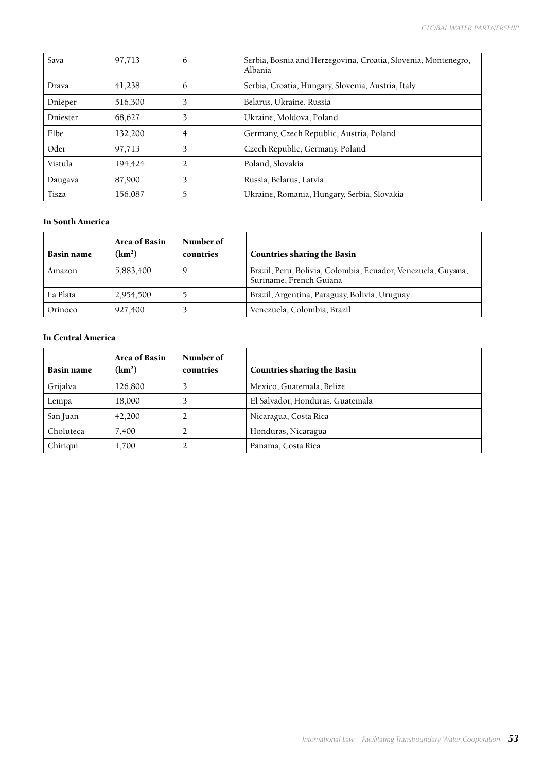| Sava     | 97,713  | 6 | Serbia, Bosnia and Herzegovina, Croatia, Slovenia, Montenegro,<br>Albania |
|----------|---------|---|---------------------------------------------------------------------------|
| Drava    | 41,238  | 6 | Serbia, Croatia, Hungary, Slovenia, Austria, Italy                        |
| Dnieper  | 516,300 | 3 | Belarus, Ukraine, Russia                                                  |
| Dniester | 68,627  | 3 | Ukraine, Moldova, Poland                                                  |
| Elbe     | 132,200 | 4 | Germany, Czech Republic, Austria, Poland                                  |
| Oder     | 97.713  | 3 | Czech Republic, Germany, Poland                                           |
| Vistula  | 194.424 | 2 | Poland, Slovakia                                                          |
| Daugava  | 87,900  | 3 | Russia, Belarus, Latvia                                                   |
| Tisza    | 156,087 | 5 | Ukraine, Romania, Hungary, Serbia, Slovakia                               |

#### In South America

| <b>Basin name</b> | <b>Area of Basin</b><br>(km <sup>2</sup> ) | Number of<br>countries | <b>Countries sharing the Basin</b>                                                      |
|-------------------|--------------------------------------------|------------------------|-----------------------------------------------------------------------------------------|
| Amazon            | 5,883,400                                  |                        | Brazil, Peru, Bolivia, Colombia, Ecuador, Venezuela, Guyana,<br>Suriname, French Guiana |
| La Plata          | 2.954.500                                  |                        | Brazil, Argentina, Paraguay, Bolivia, Uruguay                                           |
| Orinoco           | 927,400                                    |                        | Venezuela, Colombia, Brazil                                                             |

#### In Central America

| <b>Basin name</b> | <b>Area of Basin</b><br>(km <sup>2</sup> ) | Number of<br>countries | <b>Countries sharing the Basin</b> |
|-------------------|--------------------------------------------|------------------------|------------------------------------|
| Grijalva          | 126,800                                    | 3                      | Mexico, Guatemala, Belize          |
| Lempa             | 18.000                                     | 3                      | El Salvador, Honduras, Guatemala   |
| San Juan          | 42.200                                     |                        | Nicaragua, Costa Rica              |
| Choluteca         | 7.400                                      |                        | Honduras, Nicaragua                |
| Chiriqui          | 1,700                                      |                        | Panama, Costa Rica                 |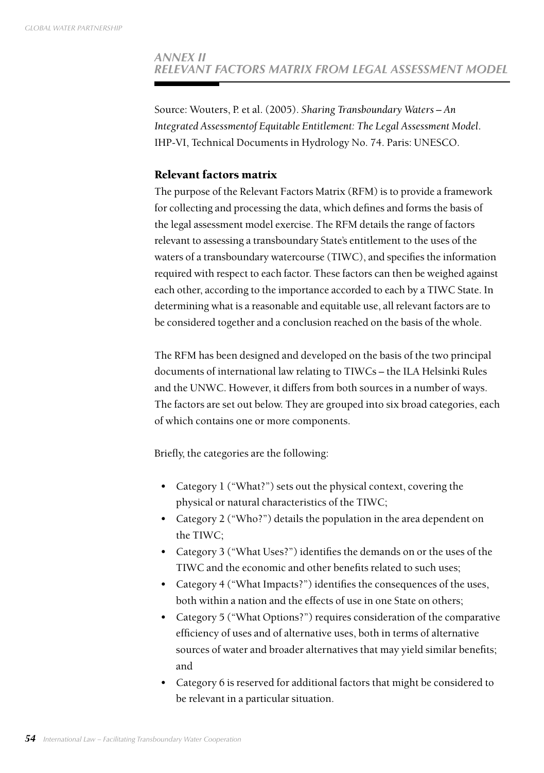Source: Wouters, P. et al. (2005). *Sharing Transboundary Waters - An Integrated Assessmentof Equitable Entitlement: The Legal Assessment Model*. IHP-VI, Technical Documents in Hydrology No. 74.Paris: UNESCO.

## Relevant factors matrix

The purpose of the Relevant Factors Matrix (RFM) is to provide a framework for collecting and processing the data, which defines and forms the basis of the legal assessment model exercise. The RFM details the range of factors relevant to assessing a transboundary State's entitlement to the uses of the waters of a transboundary watercourse (TIWC), and specifies the information required with respect to each factor. These factors can then be weighed against each other, according to the importance accorded to each by a TIWC State. In determining what is a reasonable and equitable use, all relevant factors are to be considered together and a conclusion reached on the basis of the whole.

The RFM has been designed and developed on the basis of the two principal documents of internationallaw relating to TIWCs – the ILA Helsinki Rules and the UNWC. However, it differs from both sources in a number of ways. The factors are set out below. They are grouped into six broad categories, each of which contains one or more components.

Briefly, the categories are the following:

- Category 1 ("What?") sets out the physical context, covering the physical or natural characteristics of the TIWC;
- Category 2 ("Who?") details the population in the area dependent on the TIWC;
- Category 3 ("What Uses?") identifies the demands on or the uses of the TIWC and the economic and other benefits related to such uses;
- Category 4 ("What Impacts?") identifies the consequences of the uses, both within a nation and the effects of use in one State on others;
- Category 5 ("What Options?") requires consideration of the comparative efficiency of uses and of alternative uses, both in terms of alternative sources of water and broader alternatives that may yield similar benefits; and
- Category 6 is reserved for additional factors that might be considered to be relevant in a particular situation.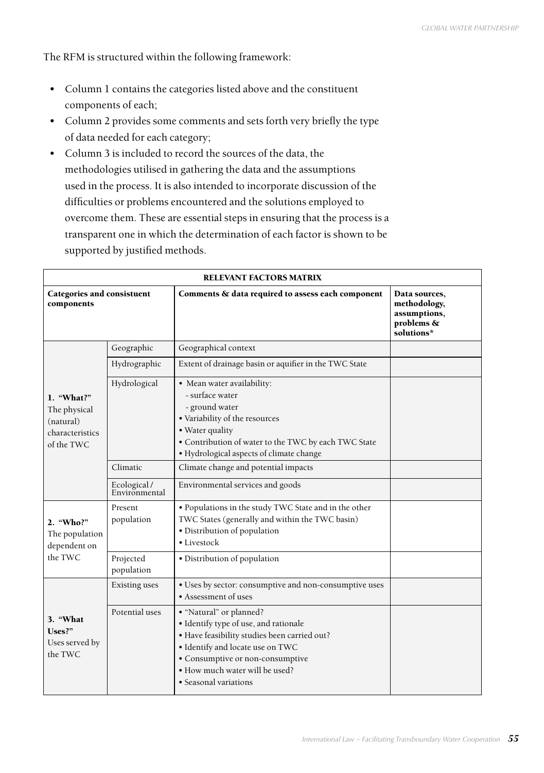The RFM is structured within the following framework:

- Column 1 contains the categories listed above and the constituent components of each;
- Column 2 provides some comments and sets forth very briefly the type of data needed for each category;
- Column3 is included to record the sources of the data, the methodologies utilised in gathering the data and the assumptions used in the process. It is also intended to incorporate discussion of the difficulties or problems encountered and the solutions employed to overcome them. These are essential steps in ensuring that the process is a transparent one in which the determination of each factor is shown to be supported by justified methods.

| RELEVANT FACTORS MATRIX                                                  |                              |                                                                                                                                                                                                                                                     |                                                                           |  |  |
|--------------------------------------------------------------------------|------------------------------|-----------------------------------------------------------------------------------------------------------------------------------------------------------------------------------------------------------------------------------------------------|---------------------------------------------------------------------------|--|--|
| Categories and consistuent<br>components                                 |                              | Comments & data required to assess each component                                                                                                                                                                                                   | Data sources,<br>methodology,<br>assumptions,<br>problems &<br>solutions* |  |  |
|                                                                          | Geographic                   | Geographical context                                                                                                                                                                                                                                |                                                                           |  |  |
|                                                                          | Hydrographic                 | Extent of drainage basin or aquifier in the TWC State                                                                                                                                                                                               |                                                                           |  |  |
| 1. "What?"<br>The physical<br>(natural)<br>characteristics<br>of the TWC | Hydrological                 | • Mean water availability:<br>- surface water<br>- ground water<br>· Variability of the resources<br>• Water quality<br>· Contribution of water to the TWC by each TWC State<br>· Hydrological aspects of climate change                            |                                                                           |  |  |
|                                                                          | Climatic                     | Climate change and potential impacts                                                                                                                                                                                                                |                                                                           |  |  |
|                                                                          | Ecological/<br>Environmental | Environmental services and goods                                                                                                                                                                                                                    |                                                                           |  |  |
| 2. "Who?"<br>The population<br>dependent on                              | Present<br>population        | • Populations in the study TWC State and in the other<br>TWC States (generally and within the TWC basin)<br>· Distribution of population<br>• Livestock                                                                                             |                                                                           |  |  |
| the TWC                                                                  | Projected<br>population      | · Distribution of population                                                                                                                                                                                                                        |                                                                           |  |  |
|                                                                          | <b>Existing</b> uses         | · Uses by sector: consumptive and non-consumptive uses<br>• Assessment of uses                                                                                                                                                                      |                                                                           |  |  |
| 3. "What<br>Uses?"<br>Uses served by<br>the TWC                          | Potential uses               | • "Natural" or planned?<br>· Identify type of use, and rationale<br>· Have feasibility studies been carried out?<br>· Identify and locate use on TWC<br>• Consumptive or non-consumptive<br>• How much water will be used?<br>• Seasonal variations |                                                                           |  |  |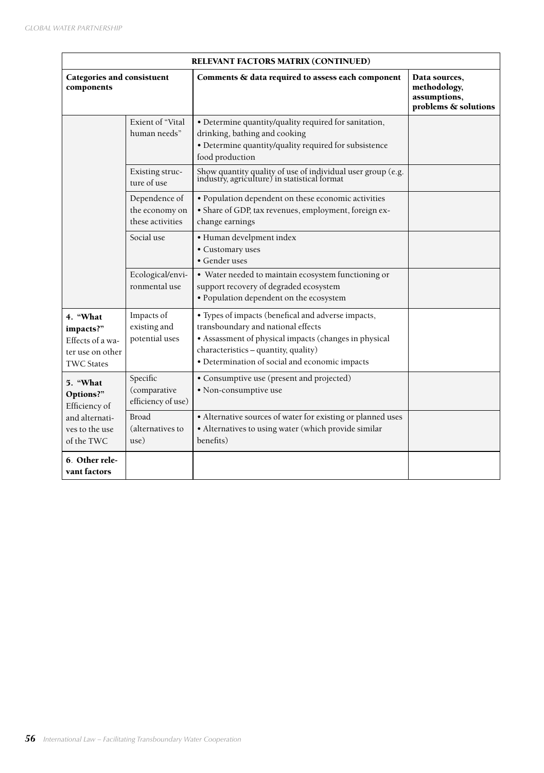| RELEVANT FACTORS MATRIX (CONTINUED)                                                      |                                                     |                                                                                                                                                                                                                                             |                                                                       |
|------------------------------------------------------------------------------------------|-----------------------------------------------------|---------------------------------------------------------------------------------------------------------------------------------------------------------------------------------------------------------------------------------------------|-----------------------------------------------------------------------|
| <b>Categories and consistuent</b><br>components                                          |                                                     | Comments & data required to assess each component                                                                                                                                                                                           | Data sources,<br>methodology,<br>assumptions,<br>problems & solutions |
|                                                                                          | Exient of "Vital<br>human needs"                    | · Determine quantity/quality required for sanitation,<br>drinking, bathing and cooking<br>• Determine quantity/quality required for subsistence<br>food production                                                                          |                                                                       |
|                                                                                          | Existing struc-<br>ture of use                      | Show quantity quality of use of individual user group (e.g. industry, a<br>griculture) in statistical format $% \mathcal{N}$                                                                                                                |                                                                       |
|                                                                                          | Dependence of<br>the economy on<br>these activities | · Population dependent on these economic activities<br>• Share of GDP, tax revenues, employment, foreign ex-<br>change earnings                                                                                                             |                                                                       |
|                                                                                          | Social use                                          | · Human develpment index<br>• Customary uses<br>• Gender uses                                                                                                                                                                               |                                                                       |
|                                                                                          | Ecological/envi-<br>ronmental use                   | • Water needed to maintain ecosystem functioning or<br>support recovery of degraded ecosystem<br>· Population dependent on the ecosystem                                                                                                    |                                                                       |
| 4. "What<br>impacts?"<br>Effects of a wa-<br>ter use on other<br><b>TWC States</b>       | Impacts of<br>existing and<br>potential uses        | • Types of impacts (benefical and adverse impacts,<br>transboundary and national effects<br>• Assassment of physical impacts (changes in physical<br>characteristics - quantity, quality)<br>· Determination of social and economic impacts |                                                                       |
| 5. "What<br>Options?"<br>Efficiency of<br>and alternati-<br>ves to the use<br>of the TWC | Specific<br>(comparative<br>efficiency of use)      | • Consumptive use (present and projected)<br>· Non-consumptive use                                                                                                                                                                          |                                                                       |
|                                                                                          | Broad<br>(alternatives to<br>use)                   | • Alternative sources of water for existing or planned uses<br>• Alternatives to using water (which provide similar<br>benefits)                                                                                                            |                                                                       |
| 6. Other rele-<br>vant factors                                                           |                                                     |                                                                                                                                                                                                                                             |                                                                       |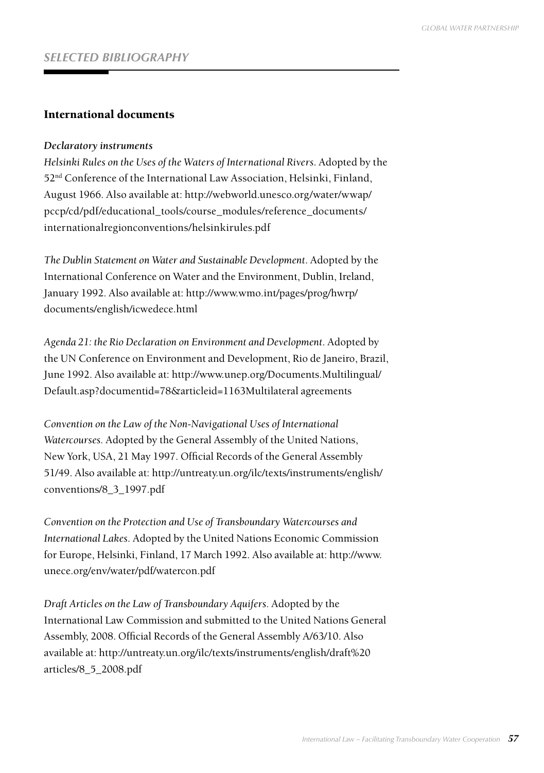# International documents

#### *Declaratory instruments*

*Helsinki Rules on the Uses of the Waters of International Rivers*. Adopted by the 52nd Conference of the InternationalLaw Association, Helsinki, Finland, August 1966. Also available at: http://webworld.unesco.org/water/wwap/ pccp/cd/pdf/educational\_tools/course\_modules/reference\_documents/ internationalregionconventions/helsinkirules.pdf

*The Dublin Statement on Water and Sustainable Development*. Adopted by the International Conference on Water and the Environment, Dublin, Ireland, January 1992. Also available at: http://www.wmo.int/pages/prog/hwrp/ documents/english/icwedece.html

*Agenda 21: the Rio Declaration on Environment and Development*. Adopted by the UN Conference on Environment and Development, Rio de Janeiro, Brazil, June 1992. Also available at: http://www.unep.org/Documents.Multilingual/ Default.asp?documentid=78&articleid=1163Multilateral agreements

*Convention on the Law of the Non-Navigational Uses of International Watercourses.* Adopted by the General Assembly of the United Nations, New York, USA, 21 May 1997. Official Records of the General Assembly 51/49. Also available at: http://untreaty.un.org/ilc/texts/instruments/english/ conventions/8\_3\_1997.pdf

*Convention on the Protection and Use of Transboundary Watercourses and International Lakes*. Adopted by the United Nations Economic Commission for Europe, Helsinki, Finland, 17 March 1992. Also available at: http://www. unece.org/env/water/pdf/watercon.pdf

*Draft Articles on the Law of Transboundary Aquifers.* Adopted by the International Law Commission and submitted to the United Nations General Assembly, 2008. Official Records of the General Assembly A/63/10. Also available at:http://untreaty.un.org/ilc/texts/instruments/english/draft%20 articles/8\_5\_2008.pdf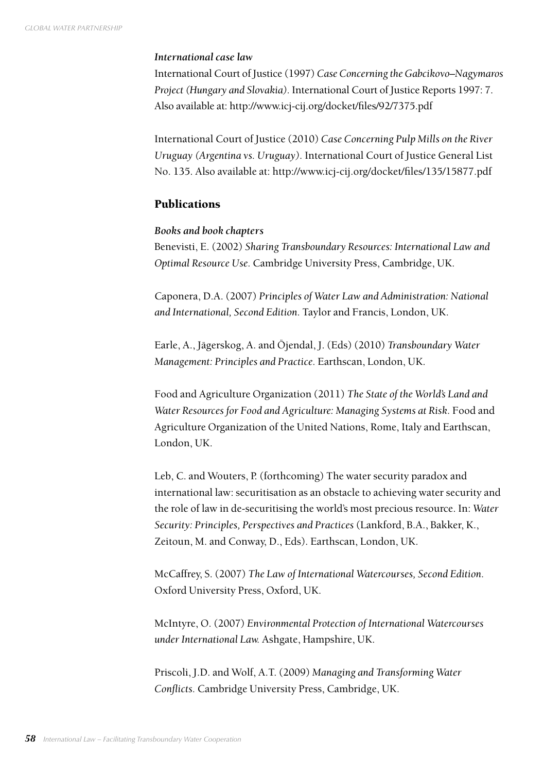#### *International case law*

International Court of Justice (1997) *Case Concerning the Gabcikovo–Nagymaros Project(Hungary and Slovakia).* International Court of Justice Reports 1997: 7. Also available at: http://www.icj-cij.org/docket/files/92/7375.pdf

International Court of Justice (2010) *Case Concerning Pulp Mills on the River Uruguay (Argentina vs. Uruguay).* International Court of Justice GeneralList No. 135. Also available at: http://www.icj-cij.org/docket/files/135/15877.pdf

## **Publications**

### *Books and book chapters*

Benevisti, E. (2002) *Sharing Transboundary Resources: International Law and* **Optimal Resource Use. Cambridge University Press, Cambridge, UK.** 

Caponera, D.A. (2007) *Principles of Water Law and Administration: National and International, Second Edition.* Taylor and Francis,London, UK.

Earle, A., Jägerskog, A. and Öjendal, J. (Eds) (2010) *Transboundary Water Management: Principles and Practice.* Earthscan,London, UK.

Food and Agriculture Organization(2011) *The State of the World's Land and Water Resources forFood and Agriculture: Managing Systems at Risk.* Food and Agriculture Organization of the United Nations, Rome, Italy and Earthscan, London, UK.

Leb, C. and Wouters, P. (forthcoming) The water security paradox and international law: securitisation as an obstacle to achieving water security and the role of law inde-securitising the world's most precious resource. In: *Water Security: Principles, Perspectives and Practices* (Lankford, B.A., Bakker, K., Zeitoun, M. and Conway, D., Eds). Earthscan, London, UK.

McCaffrey, S. (2007) *The Law of International Watercourses, Second Edition.* Oxford University Press, Oxford, UK.

McIntyre, O. (2007) *Environmental Protection of International Watercourses under International Law.* Ashgate, Hampshire, UK.

Priscoli, J.D. and Wolf, A.T. (2009) *Managing and Transforming Water* Conflicts. Cambridge University Press, Cambridge, UK.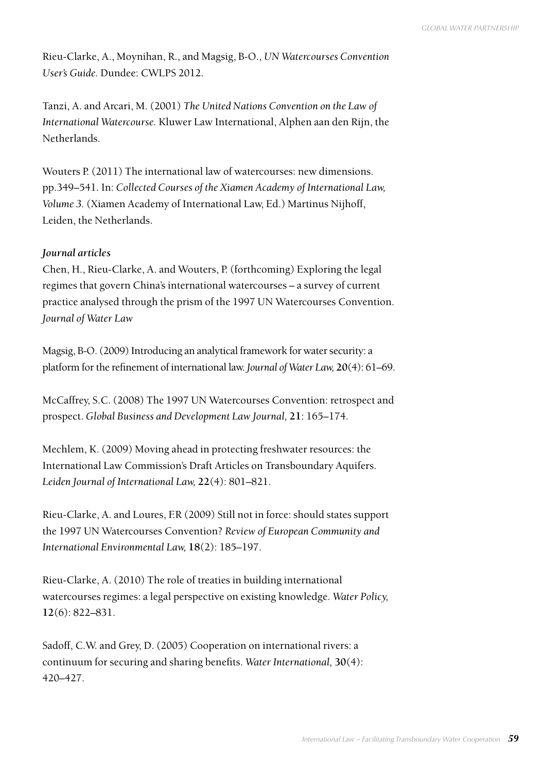Rieu-Clarke, A., Moynihan, R., and Magsig, B-O., *UN Watercourses Convention User's Guide.* Dundee: CWLPS 2012.

Tanzi, A. and Arcari, M. (2001) *The United Nations Convention on the Law of International Watercourse.* KluwerLaw International, Alphenaanden Rijn, the Netherlands.

Wouters P. (2011) The international law of watercourses: new dimensions. pp.349–541. In: *Collected Courses of the Xiamen Academy of International Law, Volume 3.* (Xiamen Academy of InternationalLaw, Ed.) Martinus Nijhoff, Leiden, the Netherlands.

### *Journal articles*

Chen, H., Rieu-Clarke, A. and Wouters, P. (forthcoming) Exploring the legal regimes that govern China's international watercourses –asurvey of current practice analysed through the prism of the 1997 UN Watercourses Convention. *Journal of Water Law*

Magsig, B-O. (2009) Introducing an analytical framework for water security: a platform forthe refinement of internationallaw. *Journal of Water Law,* **20**(4): 61–69.

McCaffrey, S.C. (2008) The 1997 UN Watercourses Convention: retrospect and prospect. *Global Business and Development Law Journal,* **21**: 165–174.

Mechlem, K. (2009) Moving ahead in protecting freshwater resources: the International Law Commission's Draft Articles on Transboundary Aquifers. *Leiden Journal of International Law,* **22**(4): 801–821.

Rieu-Clarke, A. and Loures, F.R (2009) Still not in force: should states support the 1997 UN Watercourses Convention? *Review of European Community and International Environmental Law,* **18**(2): 185–197.

Rieu-Clarke, A. (2010) The role of treaties inbuilding international watercourses regimes: a legal perspective onexisting knowledge. *Water Policy,* **12**(6): 822–831.

Sadoff, C.W. and Grey, D. (2005) Cooperation on international rivers: a continuum for securing and sharing benefits. *Water International,* **30**(4): 420–427.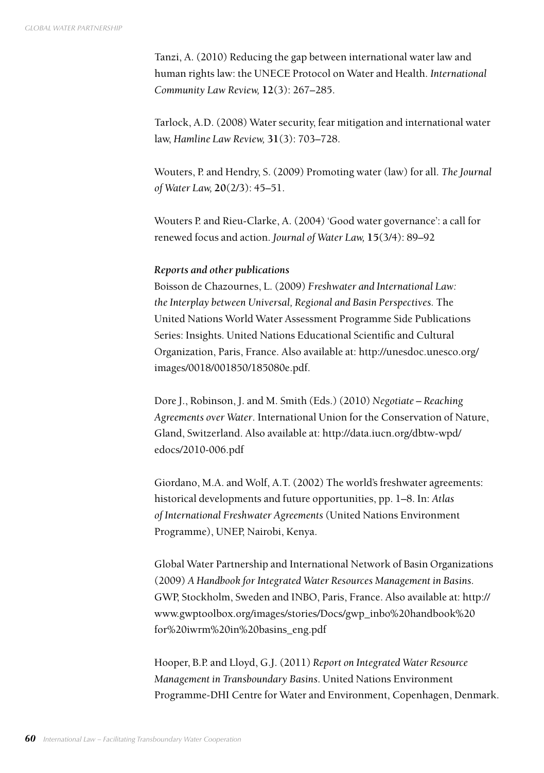Tanzi, A. (2010) Reducing the gap between international water law and human rights law: the UNECE Protocol on Water and Health. *International Community Law Review,* **12**(3): 267–285.

Tarlock, A.D. (2008) Water security, fear mitigation and international water law, *Hamline Law Review,* **31**(3): 703–728.

Wouters,P. and Hendry, S. (2009)Promoting water (law) for all. *The Journal of Water Law,* **20**(2/3): 45–51.

Wouters P. and Rieu-Clarke, A. (2004) 'Good water governance': a call for renewed focus and action. *Journal of Water Law,* **15**(3/4): 89–92

### *Reports and other publications*

Boissonde Chazournes,L. (2009)*Freshwater and International Law: the Interplay between Universal, Regional and Basin Perspectives.* The United Nations World Water Assessment Programme Side Publications Series: Insights. United Nations Educational Scientific and Cultural Organization, Paris, France. Also available at: http://unesdoc.unesco.org/ images/0018/001850/185080e.pdf.

Dore J., Robinson, J. and M. Smith(Eds.) (2010) *Negotiate – Reaching* Agreements over Water. International Union for the Conservation of Nature, Gland, Switzerland. Also available at: http://data.iucn.org/dbtw-wpd/ edocs/2010-006.pdf

Giordano, M.A. and Wolf, A.T. (2002) The world's freshwater agreements: historical developments and future opportunities, pp. 1–8. In: *Atlas of InternationalFreshwater Agreements* (United Nations Environment Programme), UNEP, Nairobi, Kenya.

Global Water Partnership and International Network of Basin Organizations (2009) *A Handbook for Integrated Water Resources Management in Basins.* GWP, Stockholm, Sweden and INBO, Paris, France. Also available at: http:// www.gwptoolbox.org/images/stories/Docs/gwp\_inbo%20handbook%20 for%20iwrm%20in%20basins\_eng.pdf

Hooper, B.P. andLloyd, G.J. (2011) *Report on Integrated Water Resource Management in Transboundary Basins*. United Nations Environment Programme-DHI Centre for Water and Environment, Copenhagen, Denmark.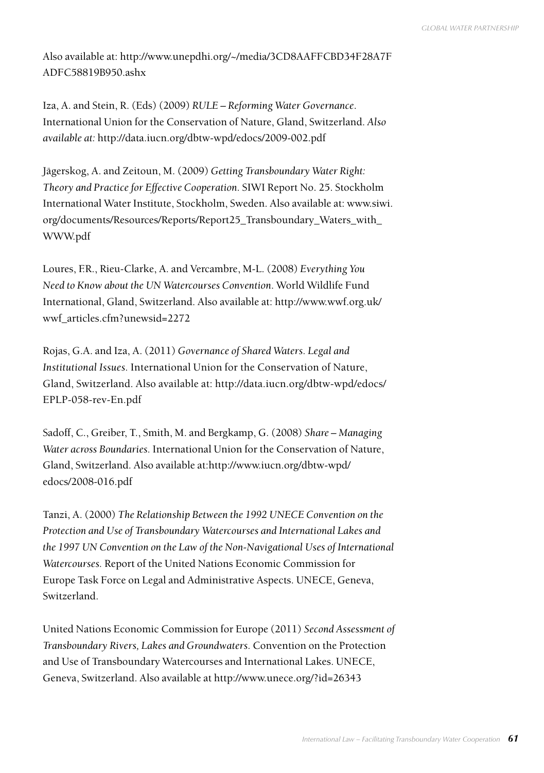Also available at:http://www.unepdhi.org/~/media/3CD8AAFFCBD34F28A7F ADFC58819B950.ashx

Iza, A. and Stein, R. (Eds) (2009) *RULE – Reforming Water Governance*. International Union for the Conservation of Nature, Gland, Switzerland. Also *available at:*http://data.iucn.org/dbtw-wpd/edocs/2009-002.pdf

Jägerskog, A. and Zeitoun, M. (2009) *Getting Transboundary Water Right: Theory and Practice for Effective Cooperation.* SIWI Report No. 25. Stockholm International Water Institute, Stockholm, Sweden. Also available at: www.siwi. org/documents/Resources/Reports/Report25\_Transboundary\_Waters\_with\_ WWW.pdf

Loures, F.R., Rieu-Clarke, A. and Vercambre, M-L. (2008) *Everything You Need to Know about the UN Watercourses Convention*. World Wildlife Fund International, Gland, Switzerland. Also available at:http://www.wwf.org.uk/ wwf\_articles.cfm?unewsid=2272

Rojas, G.A. and Iza, A. (2011) *Governance of Shared Waters. Legal and Institutional Issues.* International Union for the Conservation of Nature, Gland, Switzerland. Also available at: http://data.iucn.org/dbtw-wpd/edocs/ EPLP-058-rev-En.pdf

Sadoff, C., Greiber, T., Smith, M. and Bergkamp, G. (2008) *Share–Managing Water across Boundaries. International Union for the Conservation of Nature,* Gland, Switzerland. Also available at:http://www.iucn.org/dbtw-wpd/ edocs/2008-016.pdf

Tanzi, A. (2000) *The Relationship Between the 1992 UNECE Convention on the Protection and Use of Transboundary Watercourses and International Lakes and the 1997 UN Convention on the Law of the Non-Navigational Uses of International* Watercourses. Report of the United Nations Economic Commission for Europe Task Force onLegal and Administrative Aspects. UNECE, Geneva, Switzerland.

United Nations Economic Commissionfor Europe (2011) *Second Assessment of Transboundary Rivers, Lakes and Groundwaters. Convention on the Protection* and Use of Transboundary Watercourses and International Lakes. UNECE, Geneva, Switzerland. Also available athttp://www.unece.org/?id=26343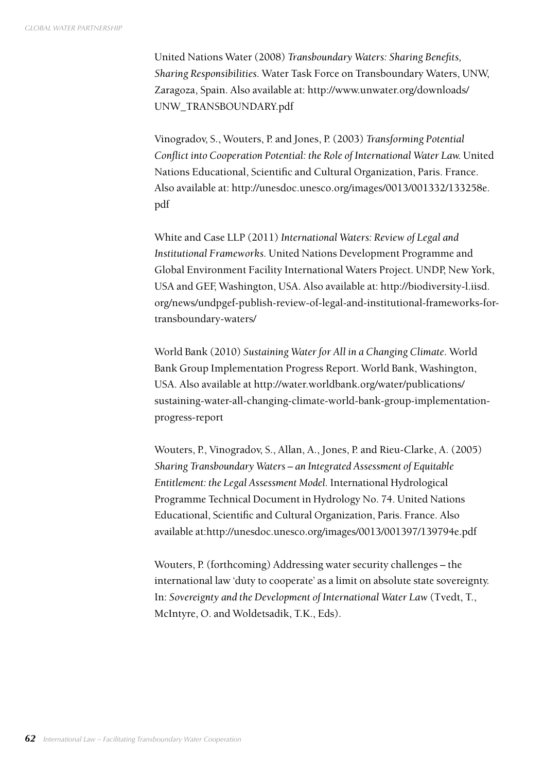United Nations Water (2008) *Transboundary Waters: Sharing Benefits, Sharing Responsibilities.* Water Task Force on Transboundary Waters, UNW, Zaragoza, Spain. Also available at: http://www.unwater.org/downloads/ UNW\_TRANSBOUNDARY.pdf

Vinogradov, S., Wouters,P. and Jones,P. (2003) *Transforming Potential Conflict into Cooperation Potential: the Role of International Water Law.* United Nations Educational, Scientific and Cultural Organization, Paris. France. Also available at:http://unesdoc.unesco.org/images/0013/001332/133258e. pdf

White and CaseLLP(2011) *International Waters: Review of Legal and* Institutional Frameworks. United Nations Development Programme and Global Environment Facility International Waters Project. UNDP, New York, USA and GEF, Washington, USA. Also available at:http://biodiversity-l.iisd. org/news/undpgef-publish-review-of-legal-and-institutional-frameworks-fortransboundary-waters/

World Bank (2010) *Sustaining Water for Allin a Changing Climate*. World Bank Group Implementation Progress Report. World Bank, Washington, USA. Also available at http://water.worldbank.org/water/publications/ sustaining-water-all-changing-climate-world-bank-group-implementationprogress-report

Wouters, P., Vinogradov, S., Allan, A., Jones, P. and Rieu-Clarke, A. (2005) *Sharing Transboundary Waters – an Integrated Assessment of Equitable Entitlement: the Legal Assessment Model.* International Hydrological Programme Technical Document in Hydrology No. 74. United Nations Educational, Scientific and Cultural Organization, Paris. France. Also available at:http://unesdoc.unesco.org/images/0013/001397/139794e.pdf

Wouters,P. (forthcoming) Addressing water security challenges – the international law 'duty to cooperate' as a limit on absolute state sovereignty. In: *Sovereignty and the Development of International Water Law* (Tvedt, T., McIntyre, O. and Woldetsadik, T.K., Eds).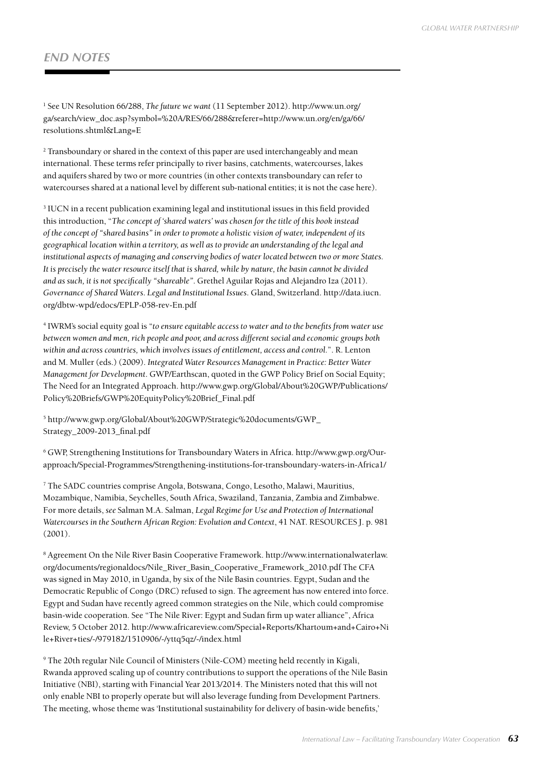## *END NOTEs*

<sup>1</sup> See UN Resolution 66/288, *The future we want* (11 September 2012). http://www.un.org/ ga/search/view\_doc.asp?symbol=%20A/RES/66/288&referer=http://www.un.org/en/ga/66/ resolutions.shtml&Lang=E

<sup>2</sup> Transboundary or shared in the context of this paper are used interchangeably and mean international. These terms refer principally to river basins, catchments, watercourses, lakes and aquifers shared by two or more countries (in other contexts transboundary can refer to watercourses shared at a national level by different sub-national entities; it is not the case here).

<sup>3</sup> IUCN in a recent publication examining legal and institutional issues in this field provided this introduction, "*The concept of 'shared waters' was chosen for the title of this book instead of the concept of "shared basins" in order to promote a holistic vision of water, independent of its geographical location within a territory, as well as to provide an understanding of the legal and institutional aspects of managing and conserving bodies of water located between two or more States.* It is precisely the water resource itself that is shared, while by nature, the basin cannot be divided *and as such, it is not specifically "shareable"*. Grethel Aguilar Rojas and Alejandro Iza (2011). *Governance of Shared Waters*. *Legal and Institutional Issues*. Gland, Switzerland. http://data.iucn. org/dbtw-wpd/edocs/EPLP-058-rev-En.pdf

4 IWRM's social equity goal is "*to ensure equitable access to water and to the benefits from water use between women and men, rich people and poor, and across different social and economic groups both within and across countries, which involves issues of entitlement, access and control.*". R. Lenton and M. Muller (eds.) (2009). *Integrated Water Resources Management in Practice: Better Water Management for Development*. GWP/Earthscan, quoted in the GWP Policy Brief on Social Equity; The Need for an Integrated Approach. http://www.gwp.org/Global/About%20GWP/Publications/ Policy%20Briefs/GWP%20EquityPolicy%20Brief\_Final.pdf

<sup>5</sup> http://www.gwp.org/Global/About%20GWP/Strategic%20documents/GWP\_ Strategy\_2009-2013\_final.pdf

<sup>6</sup> GWP, Strengthening Institutions for Transboundary Waters in Africa. http://www.gwp.org/Ourapproach/Special-Programmes/Strengthening-institutions-for-transboundary-waters-in-Africa1/

<sup>7</sup> The SADC countries comprise Angola, Botswana, Congo, Lesotho, Malawi, Mauritius, Mozambique, Namibia, Seychelles, South Africa, Swaziland, Tanzania, Zambia and Zimbabwe. For more details, *see* Salman M.A. Salman, *Legal Regime for Use and Protection of International Watercourses in the Southern African Region: Evolution and Context*, 41 NAT. RESOURCES J. p. 981 (2001).

<sup>8</sup> Agreement On the Nile River Basin Cooperative Framework. http://www.internationalwaterlaw. org/documents/regionaldocs/Nile\_River\_Basin\_Cooperative\_Framework\_2010.pdf The CFA was signed in May 2010, in Uganda, by six of the Nile Basin countries. Egypt, Sudan and the Democratic Republic of Congo (DRC) refused to sign. The agreement has now entered into force. Egypt and Sudan have recently agreed common strategies on the Nile, which could compromise basin-wide cooperation. See "The Nile River: Egypt and Sudan firm up water alliance", Africa Review,5October 2012. http://www.africareview.com/Special+Reports/Khartoum+and+Cairo+Ni le+River+ties/-/979182/1510906/-/yttq5qz/-/index.html

<sup>9</sup> The 20th regular Nile Council of Ministers (Nile-COM) meeting held recently in Kigali, Rwanda approved scaling up of country contributions to support the operations of the Nile Basin Initiative (NBI), starting with Financial Year 2013/2014. The Ministers noted that this will not only enable NBI to properly operate but will also leverage funding from Development Partners. The meeting, whose theme was 'Institutional sustainability for delivery of basin-wide benefits,'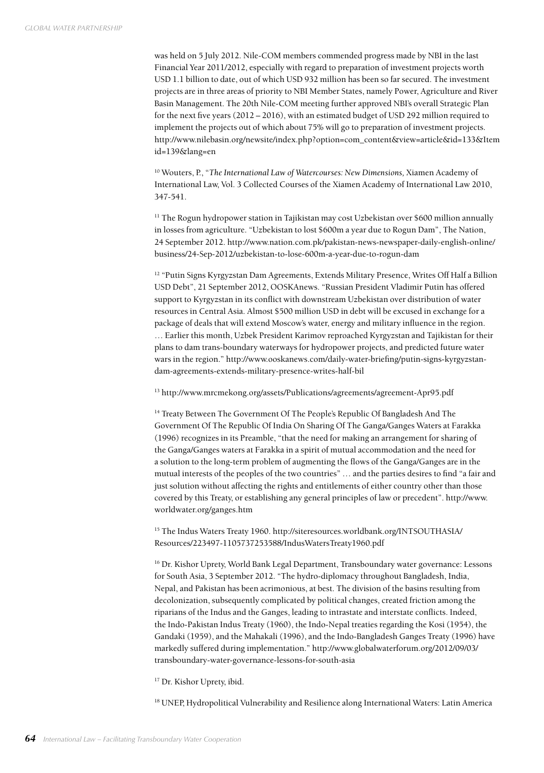was held on 5 July 2012. Nile-COM members commended progress made by NBI in the last Financial Year 2011/2012, especially with regard to preparation of investment projects worth USD 1.1 billion to date, out of which USD 932 million has been so far secured. The investment projects are in three areas of priority to NBI Member States, namely Power, Agriculture and River Basin Management. The 20th Nile-COM meeting further approved NBI's overall Strategic Plan for the next five years (2012 – 2016), with an estimated budget of USD 292 million required to implement the projects out of which about 75% will go to preparation of investment projects. http://www.nilebasin.org/newsite/index.php?option=com\_content&view=article&id=133&Item id=139&lang=en

<sup>10</sup> Wouters, P., "*The International Law of Watercourses: New Dimensions,* Xiamen Academy of International Law, Vol. 3 Collected Courses of the Xiamen Academy of International Law 2010, 347-541.

 $11$  The Rogun hydropower station in Tajikistan may cost Uzbekistan over \$600 million annually in losses from agriculture. "Uzbekistan to lost \$600m a year due to Rogun Dam", The Nation, 24 September 2012. http://www.nation.com.pk/pakistan-news-newspaper-daily-english-online/ business/24-Sep-2012/uzbekistan-to-lose-600m-a-year-due-to-rogun-dam

<sup>12</sup> "Putin Signs Kyrgyzstan Dam Agreements, Extends Military Presence, Writes Off Half a Billion USD Debt", 21 September 2012, OOSKAnews. "Russian President Vladimir Putin has offered support to Kyrgyzstan in its conflict with downstream Uzbekistan over distribution of water resources in Central Asia. Almost \$500 million USD in debt will be excused in exchange for a package of deals that will extend Moscow's water, energy and military influence in the region. … Earlier this month, Uzbek President Karimov reproached Kyrgyzstan and Tajikistan for their plans to dam trans-boundary waterways for hydropower projects, and predicted future water wars in the region." http://www.ooskanews.com/daily-water-briefing/putin-signs-kyrgyzstandam-agreements-extends-military-presence-writes-half-bil

<sup>13</sup> http://www.mrcmekong.org/assets/Publications/agreements/agreement-Apr95.pdf

<sup>14</sup> Treaty Between The Government Of The People's Republic Of Bangladesh And The Government Of The Republic Of India On Sharing Of The Ganga/Ganges Waters at Farakka (1996) recognizes in its Preamble, "that the need for making an arrangement for sharing of the Ganga/Ganges waters at Farakka in a spirit of mutual accommodation and the need for a solution to the long-term problem of augmenting the flows of the Ganga/Ganges are in the mutual interests of the peoples of the two countries" … and the parties desires to find "a fair and just solution without affecting the rights and entitlements of either country other than those covered by this Treaty, or establishing any general principles of law or precedent". http://www. worldwater.org/ganges.htm

<sup>15</sup> The Indus Waters Treaty 1960. http://siteresources.worldbank.org/INTSOUTHASIA/ Resources/223497-1105737253588/IndusWatersTreaty1960.pdf

<sup>16</sup> Dr. Kishor Uprety, World Bank Legal Department, Transboundary water governance: Lessons for South Asia, 3 September 2012. "The hydro-diplomacy throughout Bangladesh, India, Nepal, and Pakistan has been acrimonious, at best. The division of the basins resulting from decolonization, subsequently complicated by political changes, created friction among the riparians of the Indus and the Ganges, leading to intrastate and interstate conflicts. Indeed, the Indo-Pakistan Indus Treaty (1960), the Indo-Nepal treaties regarding the Kosi (1954), the Gandaki (1959), and the Mahakali (1996), and the Indo-Bangladesh Ganges Treaty (1996) have markedly suffered during implementation." http://www.globalwaterforum.org/2012/09/03/ transboundary-water-governance-lessons-for-south-asia

<sup>17</sup> Dr. Kishor Uprety, ibid.

<sup>18</sup> UNEP, Hydropolitical Vulnerability and Resilience along International Waters: Latin America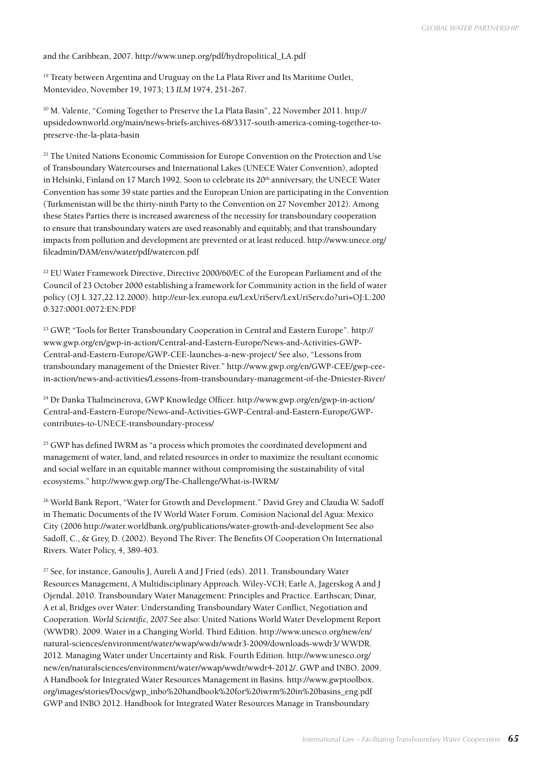and the Caribbean, 2007. http://www.unep.org/pdf/hydropolitical\_LA.pdf

<sup>19</sup> Treaty between Argentina and Uruguay on the La Plata River and Its Maritime Outlet, Montevideo, November 19, 1973; 13 *ILM* 1974, 251-267.

<sup>20</sup> M. Valente, "Coming Together to Preserve the La Plata Basin", 22 November 2011. http:// upsidedownworld.org/main/news-briefs-archives-68/3317-south-america-coming-together-topreserve-the-la-plata-basin

<sup>21</sup> The United Nations Economic Commission for Europe Convention on the Protection and Use of Transboundary Watercourses and International Lakes (UNECE Water Convention), adopted in Helsinki, Finland on 17 March 1992. Soon to celebrate its 20<sup>th</sup> anniversary, the UNECE Water Convention has some 39 state parties and the European Union are participating in the Convention (Turkmenistan will be the thirty-ninth Party to the Convention on 27 November 2012). Among these States Parties there is increased awareness of the necessity for transboundary cooperation to ensure that transboundary waters are used reasonably and equitably, and that transboundary impacts from pollution and development are prevented or at least reduced. http://www.unece.org/ fileadmin/DAM/env/water/pdf/watercon.pdf

<sup>22</sup> EU Water Framework Directive, Directive 2000/60/EC of the European Parliament and of the Council of 23 October 2000 establishing a framework for Community action in the field of water policy (OJ L 327,22.12.2000). http://eur-lex.europa.eu/LexUriServ/LexUriServ.do?uri=OJ:L:200 0:327:0001:0072:EN:PDF

<sup>23</sup> GWP, "Tools for Better Transboundary Cooperation in Central and Eastern Europe". http:// www.gwp.org/en/gwp-in-action/Central-and-Eastern-Europe/News-and-Activities-GWP-Central-and-Eastern-Europe/GWP-CEE-launches-a-new-project/ See also, "Lessons from transboundary management of the Dniester River." http://www.gwp.org/en/GWP-CEE/gwp-ceein-action/news-and-activities/Lessons-from-transboundary-management-of-the-Dniester-River/

<sup>24</sup> Dr Danka Thalmeinerova, GWP Knowledge Officer. http://www.gwp.org/en/gwp-in-action/ Central-and-Eastern-Europe/News-and-Activities-GWP-Central-and-Eastern-Europe/GWPcontributes-to-UNECE-transboundary-process/

<sup>25</sup> GWP has defined IWRM as "a process which promotes the coordinated development and management of water, land, and related resources in order to maximize the resultant economic and social welfare in an equitable manner without compromising the sustainability of vital ecosystems." http://www.gwp.org/The-Challenge/What-is-IWRM/

<sup>26</sup> World Bank Report, "Water for Growth and Development." David Grey and Claudia W. Sadoff in Thematic Documents of the IV World Water Forum. Comision Nacional del Agua: Mexico City (2006 http://water.worldbank.org/publications/water-growth-and-development See also Sadoff, C., & Grey, D. (2002). Beyond The River: The Benefits Of Cooperation On International Rivers. Water Policy, 4, 389-403.

<sup>27</sup> See, for instance, Ganoulis J, Aureli A and J Fried (eds). 2011. Transboundary Water Resources Management, A Multidisciplinary Approach. Wiley-VCH; Earle A, Jagerskog A and J Ojendal. 2010. Transboundary Water Management: Principles and Practice. Earthscan; Dinar, A et al, Bridges over Water: Understanding Transboundary Water Conflict, Negotiation and Cooperation. *World Scientific, 2007.*See also: United Nations World Water Development Report (WWDR). 2009. Water in a Changing World. Third Edition. http://www.unesco.org/new/en/ natural-sciences/environment/water/wwap/wwdr/wwdr3-2009/downloads-wwdr3/ WWDR. 2012. Managing Water under Uncertainty and Risk. Fourth Edition. http://www.unesco.org/ new/en/naturalsciences/environment/water/wwap/wwdr/wwdr4-2012/. GWP and INBO. 2009. A Handbook for Integrated Water Resources Management in Basins. http://www.gwptoolbox. org/images/stories/Docs/gwp\_inbo%20handbook%20for%20iwrm%20in%20basins\_eng.pdf GWP and INBO 2012. Handbook for Integrated Water Resources Manage in Transboundary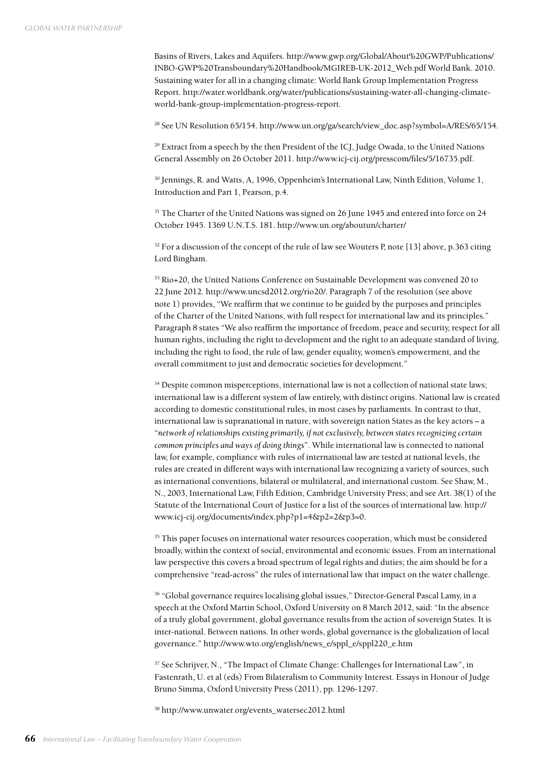Basins of Rivers, Lakes and Aquifers. http://www.gwp.org/Global/About%20GWP/Publications/ INBO-GWP%20Transboundary%20Handbook/MGIREB-UK-2012\_Web.pdf World Bank. 2010. Sustaining water for all in a changing climate: World Bank Group Implementation Progress Report. http://water.worldbank.org/water/publications/sustaining-water-all-changing-climateworld-bank-group-implementation-progress-report.

<sup>28</sup> See UN Resolution 65/154. http://www.un.org/ga/search/view\_doc.asp?symbol=A/RES/65/154.

<sup>29</sup> Extract from a speech by the then President of the ICJ, Judge Owada, to the United Nations General Assembly on 26 October 2011. http://www.icj-cij.org/presscom/files/5/16735.pdf.

<sup>30</sup> Jennings, R. and Watts, A, 1996, Oppenheim's International Law, Ninth Edition, Volume 1, Introduction and Part 1, Pearson, p.4.

<sup>31</sup> The Charter of the United Nations was signed on 26 June 1945 and entered into force on 24 October 1945. 1369 U.N.T.S. 181. http://www.un.org/aboutun/charter/

<sup>32</sup> For a discussion of the concept of the rule of law see Wouters P, note [13] above, p.363 citing Lord Bingham.

<sup>33</sup> Rio+20, the United Nations Conference on Sustainable Development was convened 20 to 22 June 2012. http://www.uncsd2012.org/rio20/. Paragraph 7 of the resolution (see above note 1) provides, "We reaffirm that we continue to be guided by the purposes and principles of the Charter of the United Nations, with full respect for international law and its principles." Paragraph 8 states "We also reaffirm the importance of freedom, peace and security, respect for all human rights, including the right to development and the right to an adequate standard of living, including the right to food, the rule of law, gender equality, women's empowerment, and the overall commitment to just and democratic societies for development."

<sup>34</sup> Despite common misperceptions, international law is not a collection of national state laws; international law is a different system of law entirely, with distinct origins. National law is created according to domestic constitutional rules, in most cases by parliaments. In contrast to that, international law is supranational in nature, with sovereign nation States as the key actors – a "*network of relationships existing primarily, if not exclusively, between states recognizing certain common principles and ways of doing things*". While international law is connected to national law, for example, compliance with rules of international law are tested at national levels, the rules are created in different ways with international law recognizing a variety of sources, such as international conventions, bilateral or multilateral, and international custom. See Shaw, M., N., 2003, International Law, Fifth Edition, Cambridge University Press; and see Art. 38(1) of the Statute of the International Court of Justice for a list of the sources of international law. http:// www.icj-cij.org/documents/index.php?p1=4&p2=2&p3=0.

<sup>35</sup> This paper focuses on international water resources cooperation, which must be considered broadly, within the context of social, environmental and economic issues. From an international law perspective this covers a broad spectrum of legal rights and duties; the aim should be for a comprehensive "read-across" the rules of international law that impact on the water challenge.

<sup>36</sup> "Global governance requires localising global issues," Director-General Pascal Lamy, in a speech at the Oxford Martin School, Oxford University on 8 March 2012, said: "In the absence of a truly global government, global governance results from the action of sovereign States. It is inter-national. Between nations. In other words, global governance is the globalization of local governance." http://www.wto.org/english/news\_e/sppl\_e/sppl220\_e.htm

<sup>37</sup> See Schrijver, N., "The Impact of Climate Change: Challenges for International Law", in Fastenrath, U. et al (eds) From Bilateralism to Community Interest. Essays in Honour of Judge Bruno Simma, Oxford University Press (2011), pp. 1296-1297.

<sup>38</sup> http://www.unwater.org/events\_watersec2012.html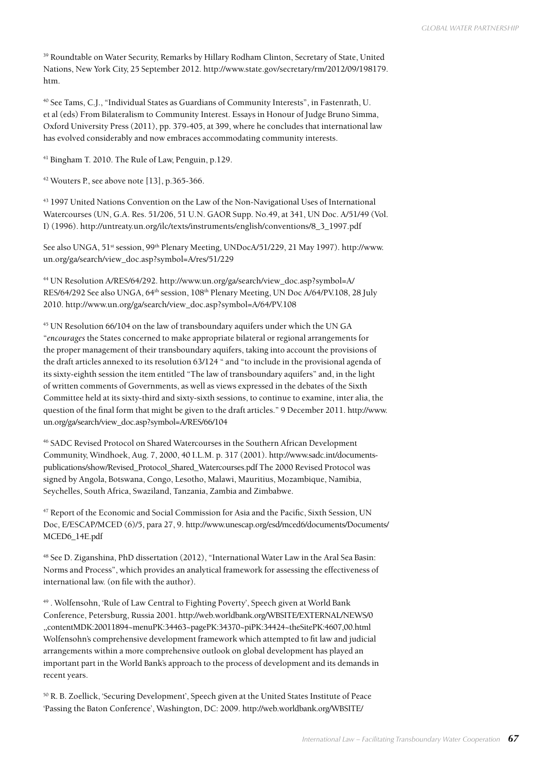<sup>39</sup> Roundtable on Water Security, Remarks by Hillary Rodham Clinton, Secretary of State, United Nations, New York City, 25 September 2012. http://www.state.gov/secretary/rm/2012/09/198179. htm.

<sup>40</sup> See Tams, C.J., "Individual States as Guardians of Community Interests", in Fastenrath, U. et al (eds) From Bilateralism to Community Interest. Essays in Honour of Judge Bruno Simma, Oxford University Press (2011), pp. 379-405, at 399, where he concludes that international law has evolved considerably and now embraces accommodating community interests.

<sup>41</sup> Bingham T. 2010. The Rule of Law, Penguin, p.129.

<sup>42</sup> Wouters P., see above note [13], p.365-366.

<sup>43</sup> 1997 United Nations Convention on the Law of the Non-Navigational Uses of International Watercourses (UN, G.A. Res. 51/206, 51 U.N. GAOR Supp. No.49, at 341, UN Doc. A/51/49 (Vol. I) (1996). http://untreaty.un.org/ilc/texts/instruments/english/conventions/8\_3\_1997.pdf

See also UNGA, 51<sup>st</sup> session, 99<sup>th</sup> Plenary Meeting, UNDocA/51/229, 21 May 1997). http://www. un.org/ga/search/view\_doc.asp?symbol=A/res/51/229

<sup>44</sup> UN Resolution A/RES/64/292. http://www.un.org/ga/search/view\_doc.asp?symbol=A/ RES/64/292 See also UNGA, 64<sup>th</sup> session, 108<sup>th</sup> Plenary Meeting, UN Doc A/64/PV.108, 28 July 2010. http://www.un.org/ga/search/view\_doc.asp?symbol=A/64/PV.108

<sup>45</sup> UN Resolution 66/104 on the law of transboundary aquifers under which the UN GA "*encourages* the States concerned to make appropriate bilateral or regional arrangements for the proper management of their transboundary aquifers, taking into account the provisions of the draft articles annexed to its resolution 63/124 " and "to include in the provisional agenda of its sixty-eighth session the item entitled "The law of transboundary aquifers" and, in the light of written comments of Governments, as well as views expressed in the debates of the Sixth Committee held at its sixty-third and sixty-sixth sessions, to continue to examine, inter alia, the question of the final form that might be given to the draft articles." 9 December 2011. http://www. un.org/ga/search/view\_doc.asp?symbol=A/RES/66/104

<sup>46</sup> SADC Revised Protocol on Shared Watercourses in the Southern African Development Community, Windhoek, Aug. 7, 2000, 40 I.L.M. p. 317 (2001). http://www.sadc.int/documentspublications/show/Revised\_Protocol\_Shared\_Watercourses.pdf The 2000 Revised Protocol was signed by Angola, Botswana, Congo, Lesotho, Malawi, Mauritius, Mozambique, Namibia, Seychelles, South Africa, Swaziland, Tanzania, Zambia and Zimbabwe.

<sup>47</sup> Report of the Economic and Social Commission for Asia and the Pacific, Sixth Session, UN Doc, E/ESCAP/MCED (6)/5, para 27, 9. http://www.unescap.org/esd/mced6/documents/Documents/ MCED6\_14E.pdf

<sup>48</sup> See D. Ziganshina, PhD dissertation (2012), "International Water Law in the Aral Sea Basin: Norms and Process", which provides an analytical framework for assessing the effectiveness of international law. (on file with the author).

<sup>49</sup> . Wolfensohn, 'Rule of Law Central to Fighting Poverty', Speech given at World Bank Conference, Petersburg, Russia 2001. http://web.worldbank.org/WBSITE/EXTERNAL/NEWS/0 ,,contentMDK:20011894~menuPK:34463~pagePK:34370~piPK:34424~theSitePK:4607,00.html Wolfensohn's comprehensive development framework which attempted to fit law and judicial arrangements within a more comprehensive outlook on global development has played an important part in the World Bank's approach to the process of development and its demands in recent years.

<sup>50</sup> R. B. Zoellick, 'Securing Development', Speech given at the United States Institute of Peace 'Passing the Baton Conference', Washington, DC: 2009. http://web.worldbank.org/WBSITE/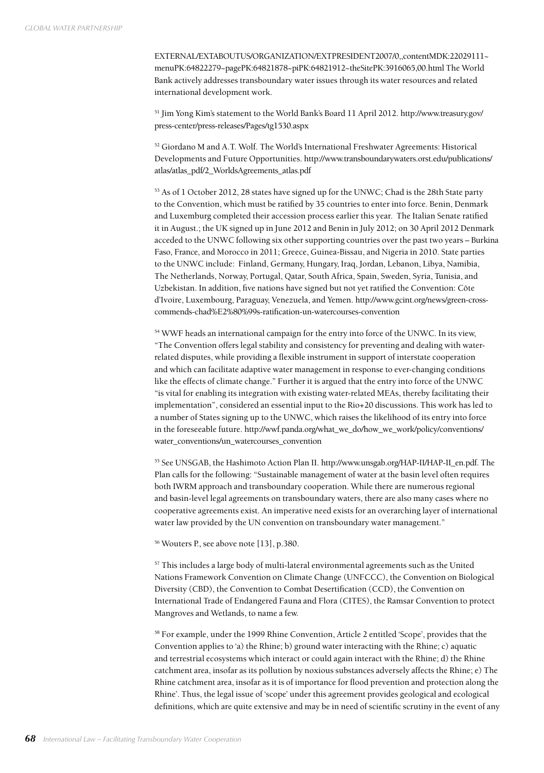EXTERNAL/EXTABOUTUS/ORGANIZATION/EXTPRESIDENT2007/0,,contentMDK:22029111~ menuPK:64822279~pagePK:64821878~piPK:64821912~theSitePK:3916065,00.html The World Bank actively addresses transboundary water issues through its water resources and related international development work.

<sup>51</sup> Jim Yong Kim's statement to the World Bank's Board 11 April 2012. http://www.treasury.gov/ press-center/press-releases/Pages/tg1530.aspx

<sup>52</sup> Giordano M and A.T. Wolf. The World's International Freshwater Agreements: Historical Developments and Future Opportunities. http://www.transboundarywaters.orst.edu/publications/ atlas/atlas\_pdf/2\_WorldsAgreements\_atlas.pdf

<sup>53</sup> As of 1 October 2012, 28 states have signed up for the UNWC; Chad is the 28th State party to the Convention, which must be ratified by 35 countries to enter into force. Benin, Denmark and Luxemburg completed their accession process earlier this year. The Italian Senate ratified it in August.; the UK signed up in June 2012 and Benin in July 2012; on 30 April 2012 Denmark acceded to the UNWC following six other supporting countries over the past two years – Burkina Faso, France, and Morocco in 2011; Greece, Guinea-Bissau, and Nigeria in 2010. State parties to the UNWC include: Finland, Germany, Hungary, Iraq, Jordan, Lebanon, Libya, Namibia, The Netherlands, Norway, Portugal, Qatar, South Africa, Spain, Sweden, Syria, Tunisia, and Uzbekistan. In addition, five nations have signed but not yet ratified the Convention: Côte d'Ivoire, Luxembourg, Paraguay, Venezuela, and Yemen. http://www.gcint.org/news/green-crosscommends-chad%E2%80%99s-ratification-un-watercourses-convention

<sup>54</sup> WWF heads an international campaign for the entry into force of the UNWC. In its view, "The Convention offers legal stability and consistency for preventing and dealing with waterrelated disputes, while providing a flexible instrument in support of interstate cooperation and which can facilitate adaptive water management in response to ever-changing conditions like the effects of climate change." Further it is argued that the entry into force of the UNWC "is vital for enabling its integration with existing water-related MEAs, thereby facilitating their implementation", considered an essential input to the Rio+20 discussions. This work has led to a number of States signing up to the UNWC, which raises the likelihood of its entry into force in the foreseeable future. http://wwf.panda.org/what\_we\_do/how\_we\_work/policy/conventions/ water\_conventions/un\_watercourses\_convention

<sup>55</sup> See UNSGAB, the Hashimoto Action Plan II. http://www.unsgab.org/HAP-II/HAP-II\_en.pdf. The Plan calls for the following: "Sustainable management of water at the basin level often requires both IWRM approach and transboundary cooperation. While there are numerous regional and basin-level legal agreements on transboundary waters, there are also many cases where no cooperative agreements exist. An imperative need exists for an overarching layer of international water law provided by the UN convention on transboundary water management."

<sup>56</sup> Wouters P., see above note [13], p.380.

<sup>57</sup> This includes a large body of multi-lateral environmental agreements such as the United Nations Framework Convention on Climate Change (UNFCCC), the Convention on Biological Diversity (CBD), the Convention to Combat Desertification (CCD), the Convention on International Trade of Endangered Fauna and Flora (CITES), the Ramsar Convention to protect Mangroves and Wetlands, to name a few.

<sup>58</sup> For example, under the 1999 Rhine Convention, Article 2 entitled 'Scope', provides that the Convention applies to 'a) the Rhine; b) ground water interacting with the Rhine; c) aquatic and terrestrial ecosystems which interact or could again interact with the Rhine; d) the Rhine catchment area, insofar as its pollution by noxious substances adversely affects the Rhine; e) The Rhine catchment area, insofar as it is of importance for flood prevention and protection along the Rhine'. Thus, the legal issue of 'scope' under this agreement provides geological and ecological definitions, which are quite extensive and may be in need of scientific scrutiny in the event of any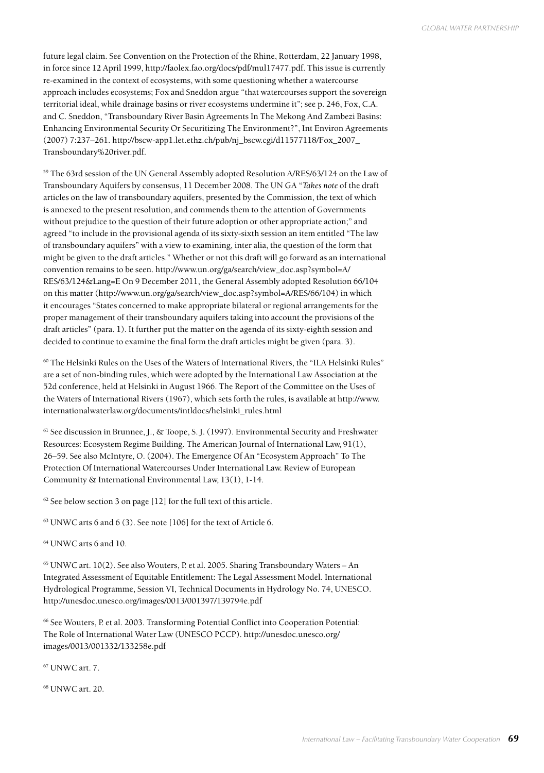future legal claim. See Convention on the Protection of the Rhine, Rotterdam, 22 January 1998, in force since 12 April 1999, http://faolex.fao.org/docs/pdf/mul17477.pdf. This issue is currently re-examined in the context of ecosystems, with some questioning whether a watercourse approach includes ecosystems; Fox and Sneddon argue "that watercourses support the sovereign territorial ideal, while drainage basins or river ecosystems undermine it"; see p. 246, Fox, C.A. and C. Sneddon, "Transboundary River Basin Agreements In The Mekong And Zambezi Basins: Enhancing Environmental Security Or Securitizing The Environment?", Int Environ Agreements (2007) 7:237–261. http://bscw-app1.let.ethz.ch/pub/nj\_bscw.cgi/d11577118/Fox\_2007\_ Transboundary%20river.pdf.

<sup>59</sup> The 63rd session of the UN General Assembly adopted Resolution A/RES/63/124 on the Law of Transboundary Aquifers by consensus, 11 December 2008. The UN GA "*Takes note* of the draft articles on the law of transboundary aquifers, presented by the Commission, the text of which is annexed to the present resolution, and commends them to the attention of Governments without prejudice to the question of their future adoption or other appropriate action;" and agreed "to include in the provisional agenda of its sixty-sixth session an item entitled "The law of transboundary aquifers" with a view to examining, inter alia, the question of the form that might be given to the draft articles." Whether or not this draft will go forward as an international convention remains to be seen. http://www.un.org/ga/search/view\_doc.asp?symbol=A/ RES/63/124&Lang=E On 9 December 2011, the General Assembly adopted Resolution 66/104 on this matter (http://www.un.org/ga/search/view\_doc.asp?symbol=A/RES/66/104) in which it encourages "States concerned to make appropriate bilateral or regional arrangements for the proper management of their transboundary aquifers taking into account the provisions of the draft articles" (para. 1). It further put the matter on the agenda of its sixty-eighth session and decided to continue to examine the final form the draft articles might be given (para. 3).

<sup>60</sup> The Helsinki Rules on the Uses of the Waters of International Rivers, the "ILA Helsinki Rules" are a set of non-binding rules, which were adopted by the International Law Association at the 52d conference, held at Helsinki in August 1966. The Report of the Committee on the Uses of the Waters of International Rivers (1967), which sets forth the rules, is available at http://www. internationalwaterlaw.org/documents/intldocs/helsinki\_rules.html

 $61$  See discussion in Brunnee, J., & Toope, S. J. (1997). Environmental Security and Freshwater Resources: Ecosystem Regime Building. The American Journal of International Law, 91(1), 26–59. See also McIntyre, O. (2004). The Emergence Of An "Ecosystem Approach" To The Protection Of International Watercourses Under International Law. Review of European Community & International Environmental Law, 13(1), 1-14.

 $62$  See below section 3 on page [12] for the full text of this article.

<sup>63</sup> UNWC arts 6 and 6 (3). See note [106] for the text of Article 6.

<sup>64</sup> UNWC arts 6 and 10.

<sup>65</sup> UNWC art. 10(2). See also Wouters, P. et al. 2005. Sharing Transboundary Waters - An Integrated Assessment of Equitable Entitlement: The Legal Assessment Model. International Hydrological Programme, Session VI, Technical Documents in Hydrology No. 74, UNESCO. http://unesdoc.unesco.org/images/0013/001397/139794e.pdf

<sup>66</sup> See Wouters, P. et al. 2003. Transforming Potential Conflict into Cooperation Potential: The Role of International Water Law (UNESCO PCCP). http://unesdoc.unesco.org/ images/0013/001332/133258e.pdf

<sup>67</sup> UNWC art. 7.

<sup>68</sup> UNWC art. 20.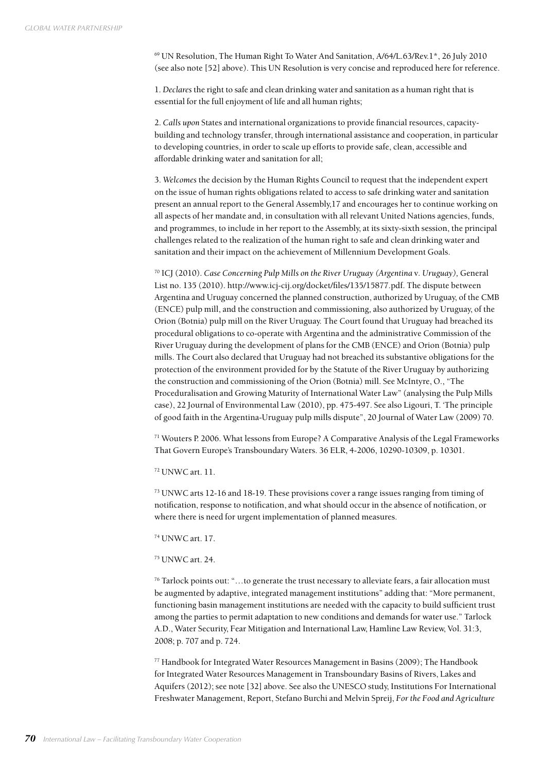<sup>69</sup> UN Resolution, The Human Right To Water And Sanitation, A/64/L.63/Rev.1\*, 26 July 2010 (see also note [52] above). This UN Resolution is very concise and reproduced here for reference.

1. *Declares* the right to safe and clean drinking water and sanitation as a human right that is essential for the full enjoyment of life and all human rights;

2. *Calls upon* States and international organizations to provide financial resources, capacitybuilding and technology transfer, through international assistance and cooperation, in particular to developing countries, in order to scale up efforts to provide safe, clean, accessible and affordable drinking water and sanitation for all;

3. *Welcomes* the decision by the Human Rights Council to request that the independent expert on the issue of human rights obligations related to access to safe drinking water and sanitation present an annual report to the General Assembly,17 and encourages her to continue working on all aspects of her mandate and, in consultation with all relevant United Nations agencies, funds, and programmes, to include in her report to the Assembly, at its sixty-sixth session, the principal challenges related to the realization of the human right to safe and clean drinking water and sanitation and their impact on the achievement of Millennium Development Goals.

<sup>70</sup> ICJ (2010). *Case Concerning Pulp Mills on the River Uruguay (Argentina* v*. Uruguay),* General List no. 135 (2010). http://www.icj-cij.org/docket/files/135/15877.pdf. The dispute between Argentina and Uruguay concerned the planned construction, authorized by Uruguay, of the CMB (ENCE) pulp mill, and the construction and commissioning, also authorized by Uruguay, of the Orion (Botnia) pulp mill on the River Uruguay. The Court found that Uruguay had breached its procedural obligations to co-operate with Argentina and the administrative Commission of the River Uruguay during the development of plans for the CMB (ENCE) and Orion (Botnia) pulp mills. The Court also declared that Uruguay had not breached its substantive obligations for the protection of the environment provided for by the Statute of the River Uruguay by authorizing the construction and commissioning of the Orion (Botnia) mill. See McIntyre, O., "The Proceduralisation and Growing Maturity of International Water Law" (analysing the Pulp Mills case), 22 Journal of Environmental Law (2010), pp. 475-497. See also Ligouri, T. 'The principle of good faith in the Argentina-Uruguay pulp mills dispute", 20 Journal of Water Law (2009) 70.

<sup>71</sup> Wouters P. 2006. What lessons from Europe? A Comparative Analysis of the Legal Frameworks That Govern Europe's Transboundary Waters. 36 ELR, 4-2006, 10290-10309, p. 10301.

<sup>72</sup> UNWC art. 11.

<sup>73</sup> UNWC arts 12-16 and 18-19. These provisions cover a range issues ranging from timing of notification, response to notification, and what should occur in the absence of notification, or where there is need for urgent implementation of planned measures.

<sup>74</sup> UNWC art. 17.

<sup>75</sup> UNWC art. 24.

<sup>76</sup> Tarlock points out: "…to generate the trust necessary to alleviate fears, a fair allocation must be augmented by adaptive, integrated management institutions" adding that: "More permanent, functioning basin management institutions are needed with the capacity to build sufficient trust among the parties to permit adaptation to new conditions and demands for water use." Tarlock A.D., Water Security, Fear Mitigation and International Law, Hamline Law Review, Vol. 31:3, 2008; p. 707 and p. 724.

<sup>77</sup> Handbook for Integrated Water Resources Management in Basins (2009); The Handbook for Integrated Water Resources Management in Transboundary Basins of Rivers, Lakes and Aquifers (2012); see note [32] above. See also the UNESCO study, Institutions For International Freshwater Management, Report, Stefano Burchi and Melvin Spreij, *For the Food and Agriculture*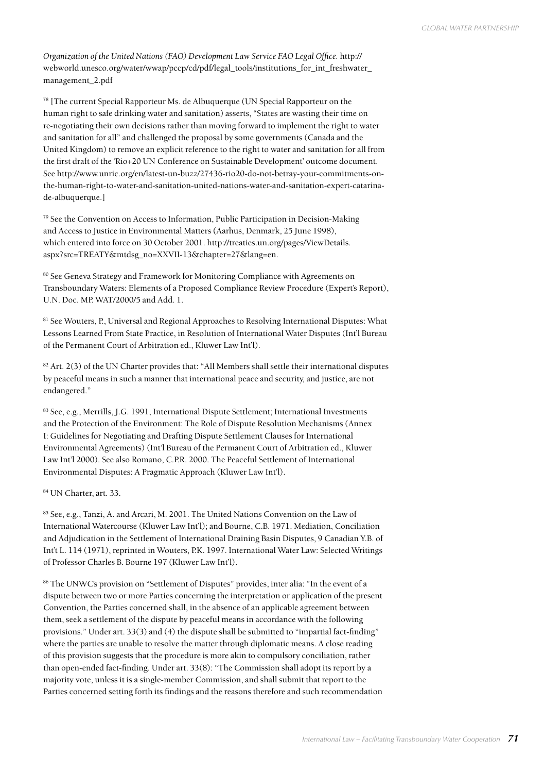*Organization of the United Nations (FAO) Development Law Service FAO Legal Office.* http:// webworld.unesco.org/water/wwap/pccp/cd/pdf/legal\_tools/institutions\_for\_int\_freshwater\_ management\_2.pdf

<sup>78</sup> [The current Special Rapporteur Ms. de Albuquerque (UN Special Rapporteur on the human right to safe drinking water and sanitation) asserts, "States are wasting their time on re-negotiating their own decisions rather than moving forward to implement the right to water and sanitation for all" and challenged the proposal by some governments (Canada and the United Kingdom) to remove an explicit reference to the right to water and sanitation for all from the first draft of the 'Rio+20 UN Conference on Sustainable Development' outcome document. See http://www.unric.org/en/latest-un-buzz/27436-rio20-do-not-betray-your-commitments-onthe-human-right-to-water-and-sanitation-united-nations-water-and-sanitation-expert-catarinade-albuquerque.]

<sup>79</sup> See the Convention on Access to Information, Public Participation in Decision-Making and Access to Justice in Environmental Matters **(**Aarhus, Denmark, 25 June 1998), which entered into force on 30 October 2001. http://treaties.un.org/pages/ViewDetails. aspx?src=TREATY&mtdsg\_no=XXVII-13&chapter=27&lang=en.

80 See Geneva Strategy and Framework for Monitoring Compliance with Agreements on Transboundary Waters: Elements of a Proposed Compliance Review Procedure (Expert's Report), U.N. Doc. MP. WAT/2000/5 and Add. 1.

<sup>81</sup> See Wouters, P., Universal and Regional Approaches to Resolving International Disputes: What Lessons Learned From State Practice, in Resolution of International Water Disputes (Int'l Bureau of the Permanent Court of Arbitration ed., Kluwer Law Int'l).

82 Art. 2(3) of the UN Charter provides that: "All Members shall settle their international disputes by peaceful means in such a manner that international peace and security, and justice, are not endangered."

<sup>83</sup> See, e.g., Merrills, J.G. 1991, International Dispute Settlement; International Investments and the Protection of the Environment: The Role of Dispute Resolution Mechanisms (Annex I: Guidelines for Negotiating and Drafting Dispute Settlement Clauses for International Environmental Agreements) (Int'l Bureau of the Permanent Court of Arbitration ed., Kluwer Law Int'l 2000). See also Romano, C.P.R. 2000. The Peaceful Settlement of International Environmental Disputes: A Pragmatic Approach (Kluwer Law Int'l).

<sup>84</sup> UN Charter, art. 33.

<sup>85</sup> See, e.g., Tanzi, A. and Arcari, M. 2001. The United Nations Convention on the Law of International Watercourse (Kluwer Law Int'l); and Bourne, C.B. 1971. Mediation, Conciliation and Adjudication in the Settlement of International Draining Basin Disputes, 9 Canadian Y.B. of Int't L. 114 (1971), reprinted in Wouters, P.K. 1997. International Water Law: Selected Writings of Professor Charles B. Bourne 197 (Kluwer Law Int'l).

<sup>86</sup> The UNWC's provision on "Settlement of Disputes" provides, inter alia: "In the event of a dispute between two or more Parties concerning the interpretation or application of the present Convention, the Parties concerned shall, in the absence of an applicable agreement between them, seek a settlement of the dispute by peaceful means in accordance with the following provisions." Under art. 33(3) and (4) the dispute shall be submitted to "impartial fact-finding" where the parties are unable to resolve the matter through diplomatic means. A close reading of this provision suggests that the procedure is more akin to compulsory conciliation, rather than open-ended fact-finding. Under art. 33(8): "The Commission shall adopt its report by a majority vote, unless it is a single-member Commission, and shall submit that report to the Parties concerned setting forth its findings and the reasons therefore and such recommendation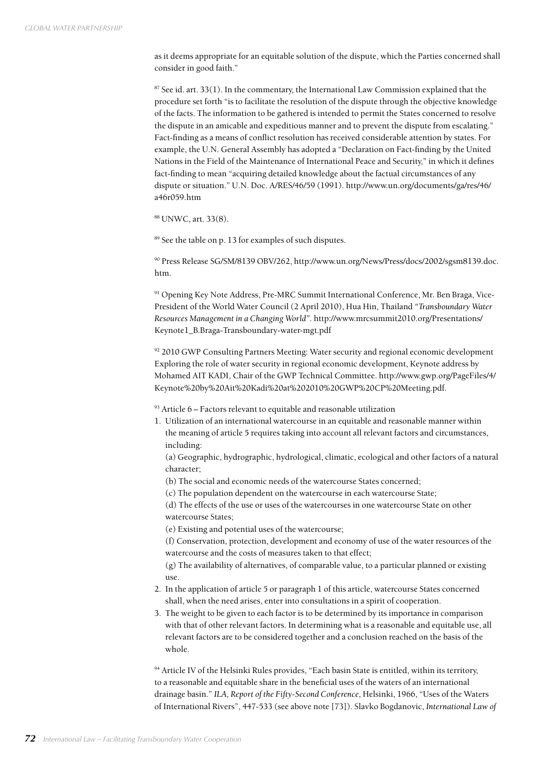as it deems appropriate for an equitable solution of the dispute, which the Parties concerned shall consider in good faith."

 $87$  See id. art. 33(1). In the commentary, the International Law Commission explained that the procedure set forth "is to facilitate the resolution of the dispute through the objective knowledge of the facts. The information to be gathered is intended to permit the States concerned to resolve the dispute in an amicable and expeditious manner and to prevent the dispute from escalating." Fact-finding as a means of conflict resolution has received considerable attention by states. For example, the U.N. General Assembly has adopted a "Declaration on Fact-finding by the United Nations in the Field of the Maintenance of International Peace and Security," in which it defines fact-finding to mean "acquiring detailed knowledge about the factual circumstances of any dispute or situation." U.N. Doc. A/RES/46/59 (1991). http://www.un.org/documents/ga/res/46/ a46r059.htm

<sup>88</sup> UNWC, art. 33(8).

<sup>89</sup> See the table on p. 13 for examples of such disputes.

<sup>90</sup> Press Release SG/SM/8139 OBV/262, http://www.un.org/News/Press/docs/2002/sgsm8139.doc. htm.

<sup>91</sup> Opening Key Note Address, Pre-MRC Summit International Conference, Mr*.* Ben Braga, Vice-President of the World Water Council (2 April 2010), Hua Hin, Thailand *"Transboundary Water Resources Management in a Changing World"*. http://www.mrcsummit2010.org/Presentations/ Keynote1\_B.Braga-Transboundary-water-mgt.pdf

92 2010 GWP Consulting Partners Meeting: Water security and regional economic development Exploring the role of water security in regional economic development, Keynote address by Mohamed AIT KADI, Chair of the GWP Technical Committee. http://www.gwp.org/PageFiles/4/ Keynote%20by%20Ait%20Kadi%20at%202010%20GWP%20CP%20Meeting.pdf.

 $93$  Article 6 – Factors relevant to equitable and reasonable utilization

1. Utilization of an international watercourse in an equitable and reasonable manner within the meaning of article 5 requires taking into account all relevant factors and circumstances, including:

(a) Geographic, hydrographic, hydrological, climatic, ecological and other factors of a natural character;

- (b) The social and economic needs of the watercourse States concerned;
- (c) The population dependent on the watercourse in each watercourse State;

(d) The effects of the use or uses of the watercourses in one watercourse State on other watercourse States;

(e) Existing and potential uses of the watercourse;

(f) Conservation, protection, development and economy of use of the water resources of the watercourse and the costs of measures taken to that effect;

(g) The availability of alternatives, of comparable value, to a particular planned or existing use.

- 2. In the application of article 5 or paragraph 1 of this article, watercourse States concerned shall, when the need arises, enter into consultations in a spirit of cooperation.
- 3. The weight to be given to each factor is to be determined by its importance in comparison with that of other relevant factors. In determining what is a reasonable and equitable use, all relevant factors are to be considered together and a conclusion reached on the basis of the whole.

94 Article IV of the Helsinki Rules provides, "Each basin State is entitled, within its territory, to a reasonable and equitable share in the beneficial uses of the waters of an international drainage basin." *ILA, Report of the Fifty-Second Conference*, Helsinki, 1966, "Uses of the Waters of International Rivers", 447-533 (see above note [73]). Slavko Bogdanovic, *International Law of*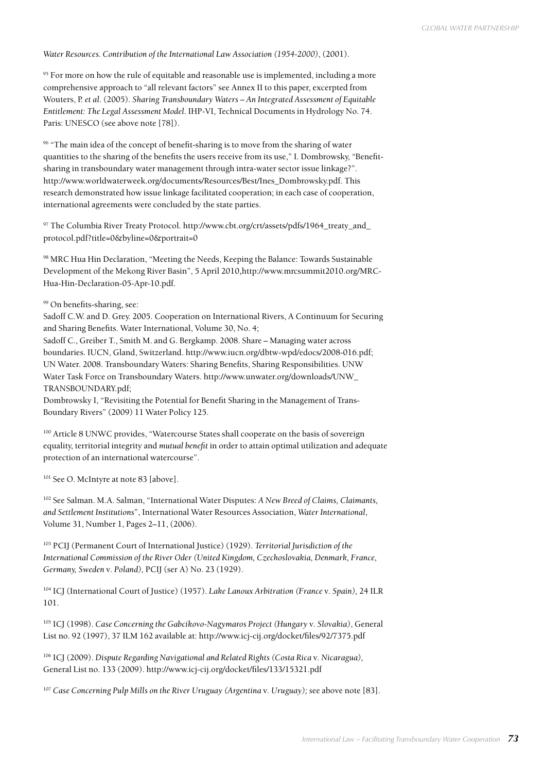*Water Resources. Contribution of the International Law Association (1954-2000)*, (2001).

<sup>95</sup> For more on how the rule of equitable and reasonable use is implemented, including a more comprehensive approach to "all relevant factors" see Annex II to this paper, excerpted from Wouters, P. *et al*. (2005). *Sharing Transboundary Waters – An Integrated Assessment of Equitable Entitlement: The Legal Assessment Model.* IHP-VI, Technical Documents in Hydrology No. 74. Paris: UNESCO (see above note [78]).

<sup>96</sup> "The main idea of the concept of benefit-sharing is to move from the sharing of water quantities to the sharing of the benefits the users receive from its use," I. Dombrowsky, "Benefitsharing in transboundary water management through intra-water sector issue linkage?". http://www.worldwaterweek.org/documents/Resources/Best/Ines\_Dombrowsky.pdf. This research demonstrated how issue linkage facilitated cooperation; in each case of cooperation, international agreements were concluded by the state parties.

97 The Columbia River Treaty Protocol. http://www.cbt.org/crt/assets/pdfs/1964\_treaty\_and\_ protocol.pdf?title=0&byline=0&portrait=0

<sup>98</sup> MRC Hua Hin Declaration, "Meeting the Needs, Keeping the Balance: Towards Sustainable Development of the Mekong River Basin", 5 April 2010**,**http://www.mrcsummit2010.org/MRC-Hua-Hin-Declaration-05-Apr-10.pdf.

<sup>99</sup> On benefits-sharing, see:

Sadoff C.W. and D. Grey. 2005. Cooperation on International Rivers, A Continuum for Securing and Sharing Benefits. Water International, Volume 30, No. 4;

Sadoff C., Greiber T., Smith M. and G. Bergkamp. 2008. Share–Managing water across boundaries. IUCN, Gland, Switzerland. http://www.iucn.org/dbtw-wpd/edocs/2008-016.pdf; UN Water. 2008. Transboundary Waters: Sharing Benefits, Sharing Responsibilities. UNW Water Task Force on Transboundary Waters. http://www.unwater.org/downloads/UNW\_ TRANSBOUNDARY.pdf;

Dombrowsky I, "Revisiting the Potential for Benefit Sharing in the Management of Trans-Boundary Rivers" (2009) 11 Water Policy 125.

<sup>100</sup> Article 8 UNWC provides, "Watercourse States shall cooperate on the basis of sovereign equality, territorial integrity and *mutual benefit* in order to attain optimal utilization and adequate protection of an international watercourse".

<sup>101</sup> See O. McIntyre at note 83 [above].

<sup>102</sup> See Salman. M.A. Salman, "International Water Disputes: *A New Breed of Claims, Claimants, and Settlement Institutions*", International Water Resources Association, *Water International*, Volume 31, Number 1, Pages 2–11, (2006).

<sup>103</sup> PCIJ (Permanent Court of International Justice) (1929). *Territorial Jurisdiction of the International Commission of the River Oder (United Kingdom, Czechoslovakia, Denmark, France, Germany, Sweden* v*. Poland),* PCIJ (ser A) No. 23 (1929).

<sup>104</sup> ICJ (International Court of Justice) (1957). *Lake Lanoux Arbitration (France* v*. Spain),* 24 ILR 101.

<sup>105</sup> ICJ (1998). *Case Concerning the Gabcikovo-Nagymaros Project (Hungary* v*. Slovakia)*, General List no. 92 (1997), 37 ILM 162 available at: http://www.icj-cij.org/docket/files/92/7375.pdf

<sup>106</sup> ICJ (2009). *Dispute Regarding Navigational and Related Rights (Costa Rica* v*. Nicaragua),* General List no. 133 (2009). http://www.icj-cij.org/docket/files/133/15321.pdf

<sup>107</sup> *Case Concerning Pulp Mills on the River Uruguay (Argentina* v*. Uruguay); s*ee above note [83].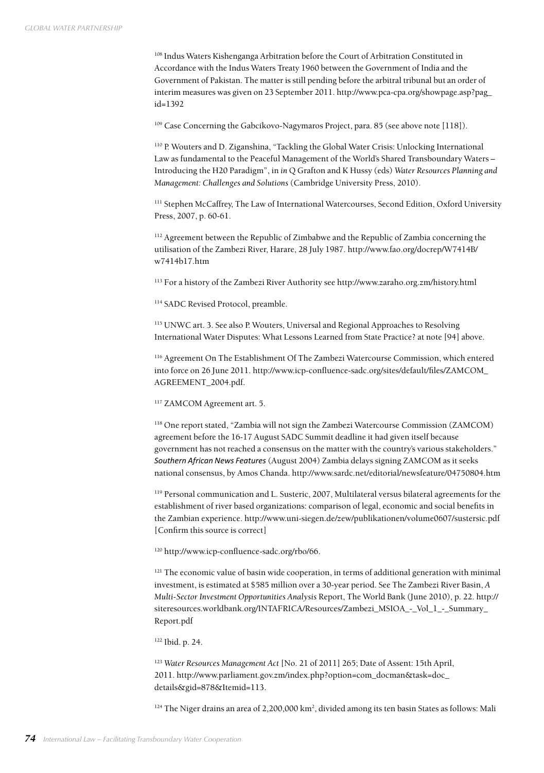<sup>108</sup> Indus Waters Kishenganga Arbitration before the Court of Arbitration Constituted in Accordance with the Indus Waters Treaty 1960 between the Government of India and the Government of Pakistan. The matter is still pending before the arbitral tribunal but an order of interim measures was given on 23 September 2011. http://www.pca-cpa.org/showpage.asp?pag\_ id=1392

<sup>109</sup> Case Concerning the Gabcíkovo-Nagymaros Project, para. 85 (see above note [118]).

<sup>110</sup> P. Wouters and D. Ziganshina, "Tackling the Global Water Crisis: Unlocking International Law as fundamental to the Peaceful Management of the World's Shared Transboundary Waters – Introducing the H20 Paradigm", in *in* Q Grafton and K Hussy (eds) *Water Resources Planning and Management: Challenges and Solutions* (Cambridge University Press, 2010).

<sup>111</sup> Stephen McCaffrey, The Law of International Watercourses, Second Edition, Oxford University Press, 2007, p. 60-61.

<sup>112</sup> Agreement between the Republic of Zimbabwe and the Republic of Zambia concerning the utilisation of the Zambezi River, Harare, 28 July 1987. http://www.fao.org/docrep/W7414B/ w7414b17.htm

<sup>113</sup> For a history of the Zambezi River Authority see http://www.zaraho.org.zm/history.html

<sup>114</sup> SADC Revised Protocol, preamble.

<sup>115</sup> UNWC art. 3. See also P. Wouters, Universal and Regional Approaches to Resolving International Water Disputes: What Lessons Learned from State Practice? at note [94] above.

<sup>116</sup> Agreement On The Establishment Of The Zambezi Watercourse Commission, which entered into force on 26 June 2011. http://www.icp-confluence-sadc.org/sites/default/files/ZAMCOM\_ AGREEMENT\_2004.pdf.

<sup>117</sup> ZAMCOM Agreement art. 5.

<sup>118</sup> One report stated, "Zambia will not sign the Zambezi Watercourse Commission (ZAMCOM) agreement before the 16-17 August SADC Summit deadline it had given itself because government has not reached a consensus on the matter with the country's various stakeholders." *Southern African News Features* (August 2004) Zambia delays signing ZAMCOM as it seeks national consensus, by Amos Chanda. http://www.sardc.net/editorial/newsfeature/04750804.htm

<sup>119</sup> Personal communication and L. Susteric, 2007, Multilateral versus bilateral agreements for the establishment of river based organizations: comparison of legal, economic and social benefits in the Zambian experience. http://www.uni-siegen.de/zew/publikationen/volume0607/sustersic.pdf [Confirm this source is correct]

<sup>120</sup> http://www.icp-confluence-sadc.org/rbo/66.

<sup>121</sup> The economic value of basin wide cooperation, in terms of additional generation with minimal investment, is estimated at \$585 million over a 30-year period. See The Zambezi River Basin, *A Multi-Sector Investment Opportunities Analysis* Report, The World Bank (June 2010), p. 22. http:// siteresources.worldbank.org/INTAFRICA/Resources/Zambezi\_MSIOA\_-\_Vol\_1\_-\_Summary\_ Report.pdf

<sup>122</sup> Ibid. p. 24.

<sup>123</sup> *Water Resources Management Act* [No. 21 of 2011] 265; Date of Assent: 15th April, 2011. http://www.parliament.gov.zm/index.php?option=com\_docman&task=doc\_ details&gid=878&Itemid=113.

 $124$  The Niger drains an area of 2.200.000 km<sup>2</sup>, divided among its ten basin States as follows: Mali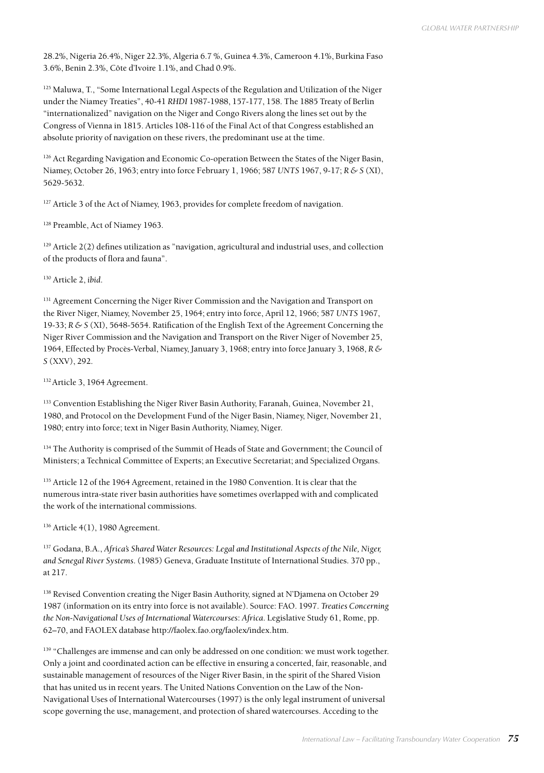28.2%, Nigeria 26.4%, Niger 22.3%, Algeria 6.7 %, Guinea 4.3%, Cameroon 4.1%, Burkina Faso 3.6%, Benin 2.3%, Côte d'Ivoire 1.1%, and Chad 0.9%.

<sup>125</sup> Maluwa, T., "Some International Legal Aspects of the Regulation and Utilization of the Niger under the Niamey Treaties", 40-41 *RHDI* 1987-1988, 157-177, 158. The 1885 Treaty of Berlin "internationalized" navigation on the Niger and Congo Rivers along the lines set out by the Congress of Vienna in 1815. Articles 108-116 of the Final Act of that Congress established an absolute priority of navigation on these rivers, the predominant use at the time.

<sup>126</sup> Act Regarding Navigation and Economic Co-operation Between the States of the Niger Basin, Niamey, October 26, 1963; entry into force February 1, 1966; 587 *UNTS* 1967, 9-17; *R&S* (XI), 5629-5632.

<sup>127</sup> Article 3 of the Act of Niamey, 1963, provides for complete freedom of navigation.

<sup>128</sup> Preamble, Act of Niamey 1963.

<sup>129</sup> Article 2(2) defines utilization as "navigation, agricultural and industrial uses, and collection of the products of flora and fauna".

<sup>130</sup> Article 2, *ibid*.

<sup>131</sup> Agreement Concerning the Niger River Commission and the Navigation and Transport on the River Niger, Niamey, November 25, 1964; entry into force, April 12, 1966; 587 *UNTS* 1967, 19-33; *R&S* (XI), 5648-5654. Ratification of the English Text of the Agreement Concerning the Niger River Commission and the Navigation and Transport on the River Niger of November 25, 1964, Effected by Procès-Verbal, Niamey, January 3, 1968; entry into force January 3, 1968, *R & S* (XXV), 292.

<sup>132</sup>Article 3, 1964 Agreement.

<sup>133</sup> Convention Establishing the Niger River Basin Authority, Faranah, Guinea, November 21, 1980, and Protocol on the Development Fund of the Niger Basin, Niamey, Niger, November 21, 1980; entry into force; text in Niger Basin Authority, Niamey, Niger.

<sup>134</sup> The Authority is comprised of the Summit of Heads of State and Government; the Council of Ministers; a Technical Committee of Experts; an Executive Secretariat; and Specialized Organs.

<sup>135</sup> Article 12 of the 1964 Agreement, retained in the 1980 Convention. It is clear that the numerous intra-state river basin authorities have sometimes overlapped with and complicated the work of the international commissions.

<sup>136</sup> Article 4(1), 1980 Agreement.

<sup>137</sup> Godana, B.A., *Africa's Shared Water Resources: Legal and Institutional Aspects of the Nile, Niger, and Senegal River Systems*. (1985) Geneva, Graduate Institute of International Studies. 370 pp., at 217.

<sup>138</sup> Revised Convention creating the Niger Basin Authority, signed at N'Djamena on October 29 1987 (information on its entry into force is not available). Source: FAO. 1997. *Treaties Concerning the Non-Navigational Uses of International Watercourses*: *Africa*. Legislative Study 61, Rome, pp. 62–70, and FAOLEX database http://faolex.fao.org/faolex/index.htm.

<sup>139</sup> "Challenges are immense and can only be addressed on one condition: we must work together. Only a joint and coordinated action can be effective in ensuring a concerted, fair, reasonable, and sustainable management of resources of the Niger River Basin, in the spirit of the Shared Vision that has united us in recent years. The United Nations Convention on the Law of the Non-Navigational Uses of International Watercourses (1997) is the only legal instrument of universal scope governing the use, management, and protection of shared watercourses. Acceding to the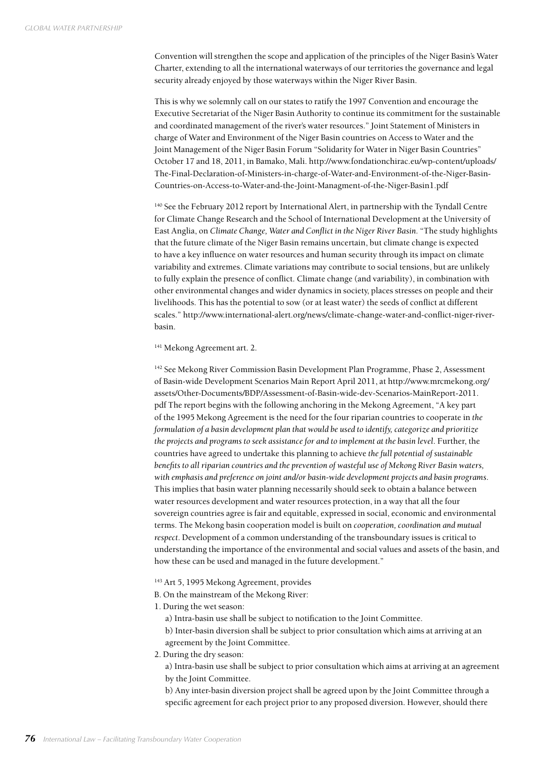Convention will strengthen the scope and application of the principles of the Niger Basin's Water Charter, extending to all the international waterways of our territories the governance and legal security already enjoyed by those waterways within the Niger River Basin.

This is why we solemnly call on our states to ratify the 1997 Convention and encourage the Executive Secretariat of the Niger Basin Authority to continue its commitment for the sustainable and coordinated management of the river's water resources." Joint Statement of Ministers in charge of Water and Environment of the Niger Basin countries on Access to Water and the Joint Management of the Niger Basin Forum "Solidarity for Water in Niger Basin Countries" October 17 and 18, 2011, in Bamako, Mali. http://www.fondationchirac.eu/wp-content/uploads/ The-Final-Declaration-of-Ministers-in-charge-of-Water-and-Environment-of-the-Niger-Basin-Countries-on-Access-to-Water-and-the-Joint-Managment-of-the-Niger-Basin1.pdf

<sup>140</sup> See the February 2012 report by International Alert, in partnership with the Tyndall Centre for Climate Change Research and the School of International Development at the University of East Anglia, on *Climate Change, Water and Conflict in the Niger River Basin.* "The study highlights that the future climate of the Niger Basin remains uncertain, but climate change is expected to have a key influence on water resources and human security through its impact on climate variability and extremes. Climate variations may contribute to social tensions, but are unlikely to fully explain the presence of conflict. Climate change (and variability), in combination with other environmental changes and wider dynamics in society, places stresses on people and their livelihoods. This has the potential to sow (or at least water) the seeds of conflict at different scales." http://www.international-alert.org/news/climate-change-water-and-conflict-niger-riverbasin.

<sup>141</sup> Mekong Agreement art. 2.

<sup>142</sup> See Mekong River Commission Basin Development Plan Programme, Phase 2, Assessment of Basin-wide Development Scenarios Main Report April 2011, at http://www.mrcmekong.org/ assets/Other-Documents/BDP/Assessment-of-Basin-wide-dev-Scenarios-MainReport-2011. pdf The report begins with the following anchoring in the Mekong Agreement, "A key part of the 1995 Mekong Agreement is the need for the four riparian countries to cooperate in *the formulation of a basin development plan that would be used to identify, categorize and prioritize the projects and programs to seek assistance for and to implement at the basin level*. Further, the countries have agreed to undertake this planning to achieve *the full potential of sustainable benefits to all riparian countries and the prevention of wasteful use of Mekong River Basin waters, with emphasis and preference on joint and/or basin-wide development projects and basin programs*. This implies that basin water planning necessarily should seek to obtain a balance between water resources development and water resources protection, in a way that all the four sovereign countries agree is fair and equitable, expressed in social, economic and environmental terms. The Mekong basin cooperation model is built on *cooperation, coordination and mutual respect*. Development of a common understanding of the transboundary issues is critical to understanding the importance of the environmental and social values and assets of the basin, and how these can be used and managed in the future development."

- <sup>143</sup> Art 5, 1995 Mekong Agreement, provides
- B. On the mainstream of the Mekong River:
- 1. During the wet season:
	- a) Intra-basin use shall be subject to notification to the Joint Committee.
	- b) Inter-basin diversion shall be subject to prior consultation which aims at arriving at an agreement by the Joint Committee.
- 2. During the dry season:

a) Intra-basin use shall be subject to prior consultation which aims at arriving at an agreement by the Joint Committee.

b) Any inter-basin diversion project shall be agreed upon by the Joint Committee through a specific agreement for each project prior to any proposed diversion. However, should there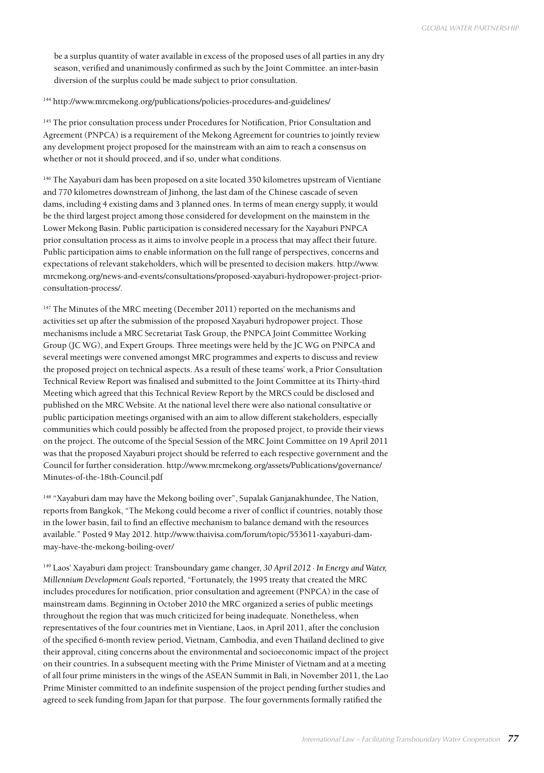be a surplus quantity of water available in excess of the proposed uses of all parties in any dry season, verified and unanimously confirmed as such by the Joint Committee. an inter-basin diversion of the surplus could be made subject to prior consultation.

<sup>144</sup> http://www.mrcmekong.org/publications/policies-procedures-and-guidelines/

<sup>145</sup> The prior consultation process under Procedures for Notification, Prior Consultation and Agreement (PNPCA) is a requirement of the Mekong Agreement for countries to jointly review any development project proposed for the mainstream with an aim to reach a consensus on whether or not it should proceed, and if so, under what conditions.

<sup>146</sup> The Xayaburi dam has been proposed on a site located 350 kilometres upstream of Vientiane and 770 kilometres downstream of Jinhong, the last dam of the Chinese cascade of seven dams, including 4 existing dams and 3 planned ones. In terms of mean energy supply, it would be the third largest project among those considered for development on the mainstem in the Lower Mekong Basin. Public participation is considered necessary for the Xayaburi PNPCA prior consultation process as it aims to involve people in a process that may affect their future. Public participation aims to enable information on the full range of perspectives, concerns and expectations of relevant stakeholders, which will be presented to decision makers. http://www. mrcmekong.org/news-and-events/consultations/proposed-xayaburi-hydropower-project-priorconsultation-process/.

<sup>147</sup> The Minutes of the MRC meeting (December 2011) reported on the mechanisms and activities set up after the submission of the proposed Xayaburi hydropower project. Those mechanisms include a MRC Secretariat Task Group, the PNPCA Joint Committee Working Group (JC WG), and Expert Groups. Three meetings were held by the JC WG on PNPCA and several meetings were convened amongst MRC programmes and experts to discuss and review the proposed project on technical aspects. As a result of these teams' work, a Prior Consultation Technical Review Report was finalised and submitted to the Joint Committee at its Thirty-third Meeting which agreed that this Technical Review Report by the MRCS could be disclosed and published on the MRC Website. At the national level there were also national consultative or public participation meetings organised with an aim to allow different stakeholders, especially communities which could possibly be affected from the proposed project, to provide their views on the project. The outcome of the Special Session of the MRC Joint Committee on 19 April 2011 was that the proposed Xayaburi project should be referred to each respective government and the Council for further consideration. http://www.mrcmekong.org/assets/Publications/governance/ Minutes-of-the-18th-Council.pdf

<sup>148</sup> "Xayaburi dam may have the Mekong boiling over", Supalak Ganjanakhundee, The Nation, reports from Bangkok, "The Mekong could become a river of conflict if countries, notably those in the lower basin, fail to find an effective mechanism to balance demand with the resources available." Posted 9 May 2012. http://www.thaivisa.com/forum/topic/553611-xayaburi-dammay-have-the-mekong-boiling-over/

<sup>149</sup> Laos' Xayaburi dam project: Transboundary game changer, *30 April 2012 · In Energy and Water, Millennium Development Goals* reported, "Fortunately, the 1995 treaty that created the MRC includes procedures for notification, prior consultation and agreement (PNPCA) in the case of mainstream dams. Beginning in October 2010 the MRC organized a series of public meetings throughout the region that was much criticized for being inadequate. Nonetheless, when representatives of the four countries met in Vientiane, Laos, in April 2011, after the conclusion of the specified 6-month review period, Vietnam, Cambodia, and even Thailand declined to give their approval, citing concerns about the environmental and socioeconomic impact of the project on their countries. In a subsequent meeting with the Prime Minister of Vietnam and at a meeting of all four prime ministers in the wings of the ASEAN Summit in Bali, in November 2011, the Lao Prime Minister committed to an indefinite suspension of the project pending further studies and agreed to seek funding from Japan for that purpose. The four governments formally ratified the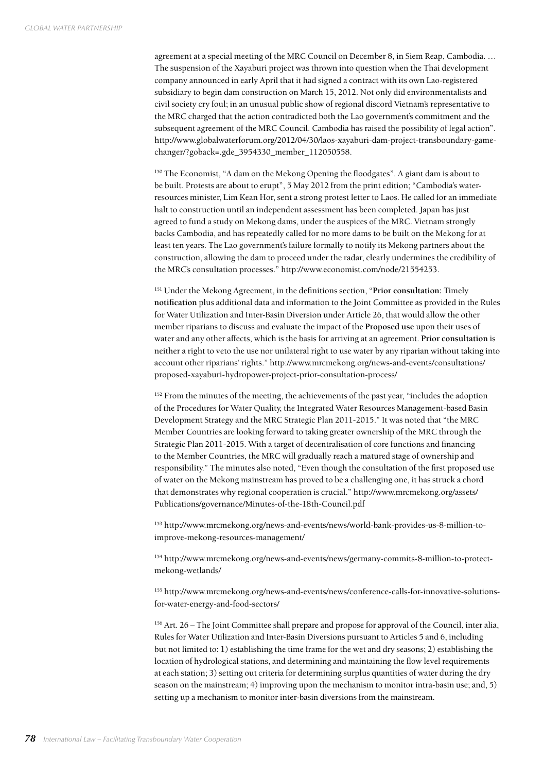agreement at a special meeting of the MRC Council on December 8, in Siem Reap, Cambodia. … The suspension of the Xayaburi project was thrown into question when the Thai development company announced in early April that it had signed a contract with its own Lao-registered subsidiary to begin dam construction on March 15, 2012. Not only did environmentalists and civil society cry foul; in an unusual public show of regional discord Vietnam's representative to the MRC charged that the action contradicted both the Lao government's commitment and the subsequent agreement of the MRC Council. Cambodia has raised the possibility of legal action". http://www.globalwaterforum.org/2012/04/30/laos-xayaburi-dam-project-transboundary-gamechanger/?goback=.gde\_3954330\_member\_112050558.

<sup>150</sup> The Economist, "A dam on the Mekong Opening the floodgates". A giant dam is about to be built. Protests are about to erupt", 5 May 2012 from the print edition; "Cambodia's waterresources minister, Lim Kean Hor, sent a strong protest letter to Laos. He called for an immediate halt to construction until an independent assessment has been completed. Japan has just agreed to fund a study on Mekong dams, under the auspices of the MRC. Vietnam strongly backs Cambodia, and has repeatedly called for no more dams to be built on the Mekong for at least ten years. The Lao government's failure formally to notify its Mekong partners about the construction, allowing the dam to proceed under the radar, clearly undermines the credibility of the MRC's consultation processes." http://www.economist.com/node/21554253.

<sup>151</sup> Under the Mekong Agreement, in the definitions section, "**Prior consultation:** Timely **notification** plus additional data and information to the Joint Committee as provided in the Rules for Water Utilization and Inter-Basin Diversion under Article 26, that would allow the other member riparians to discuss and evaluate the impact of the **Proposed use** upon their uses of water and any other affects, which is the basis for arriving at an agreement. **Prior consultation** is neither a right to veto the use nor unilateral right to use water by any riparian without taking into account other riparians' rights." http://www.mrcmekong.org/news-and-events/consultations/ proposed-xayaburi-hydropower-project-prior-consultation-process/

<sup>152</sup> From the minutes of the meeting, the achievements of the past year, "includes the adoption of the Procedures for Water Quality, the Integrated Water Resources Management-based Basin Development Strategy and the MRC Strategic Plan 2011-2015." It was noted that "the MRC Member Countries are looking forward to taking greater ownership of the MRC through the Strategic Plan 2011-2015. With a target of decentralisation of core functions and financing to the Member Countries, the MRC will gradually reach a matured stage of ownership and responsibility." The minutes also noted, "Even though the consultation of the first proposed use of water on the Mekong mainstream has proved to be a challenging one, it has struck a chord that demonstrates why regional cooperation is crucial." http://www.mrcmekong.org/assets/ Publications/governance/Minutes-of-the-18th-Council.pdf

<sup>153</sup> http://www.mrcmekong.org/news-and-events/news/world-bank-provides-us-8-million-toimprove-mekong-resources-management/

<sup>154</sup> http://www.mrcmekong.org/news-and-events/news/germany-commits-8-million-to-protectmekong-wetlands/

<sup>155</sup> http://www.mrcmekong.org/news-and-events/news/conference-calls-for-innovative-solutionsfor-water-energy-and-food-sectors/

<sup>156</sup> Art. 26 – The Joint Committee shall prepare and propose for approval of the Council, inter alia, Rules for Water Utilization and Inter-Basin Diversions pursuant to Articles 5 and 6, including but not limited to: 1) establishing the time frame for the wet and dry seasons; 2) establishing the location of hydrological stations, and determining and maintaining the flow level requirements at each station; 3) setting out criteria for determining surplus quantities of water during the dry season on the mainstream; 4) improving upon the mechanism to monitor intra-basin use; and, 5) setting up a mechanism to monitor inter-basin diversions from the mainstream.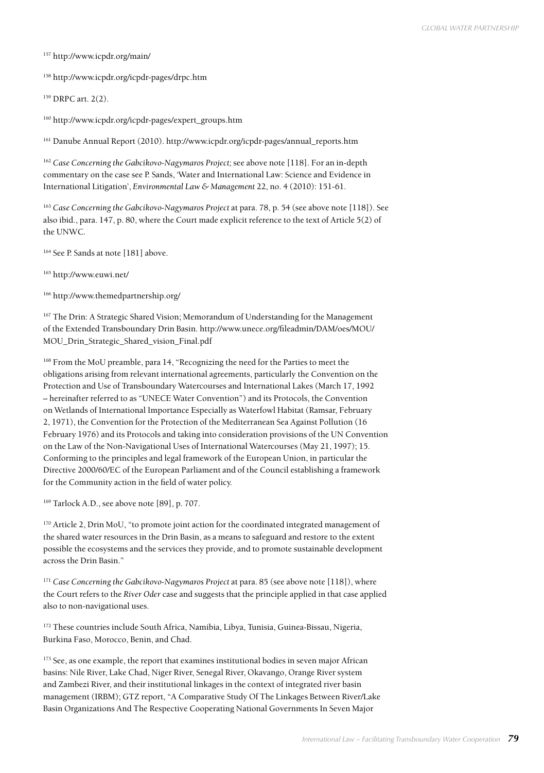<sup>157</sup> http://www.icpdr.org/main/

<sup>158</sup> http://www.icpdr.org/icpdr-pages/drpc.htm

<sup>159</sup> DRPC art. 2(2).

<sup>160</sup> http://www.icpdr.org/icpdr-pages/expert\_groups.htm

<sup>161</sup> Danube Annual Report (2010). http://www.icpdr.org/icpdr-pages/annual\_reports.htm

<sup>162</sup> *Case Concerning the Gabcikovo-Nagymaros Project;* see above note [118]. For an in-depth commentary on the case see P. Sands, 'Water and International Law: Science and Evidence in International Litigation', *Environmental Law & Management* 22, no. 4 (2010): 151-61.

<sup>163</sup> *Case Concerning the Gabcikovo-Nagymaros Project* at para. 78, p. 54 (see above note [118]). See also ibid., para. 147, p. 80, where the Court made explicit reference to the text of Article 5(2) of the UNWC.

<sup>164</sup> See P. Sands at note [181] above.

<sup>165</sup> http://www.euwi.net/

<sup>166</sup> http://www.themedpartnership.org/

<sup>167</sup> The Drin: A Strategic Shared Vision; Memorandum of Understanding for the Management of the Extended Transboundary Drin Basin. http://www.unece.org/fileadmin/DAM/oes/MOU/ MOU\_Drin\_Strategic\_Shared\_vision\_Final.pdf

<sup>168</sup> From the MoU preamble, para 14, "Recognizing the need for the Parties to meet the obligations arising from relevant international agreements, particularly the Convention on the Protection and Use of Transboundary Watercourses and International Lakes (March 17, 1992 – hereinafter referred to as "UNECE Water Convention") and its Protocols, the Convention on Wetlands of International Importance Especially as Waterfowl Habitat (Ramsar, February 2, 1971), the Convention for the Protection of the Mediterranean Sea Against Pollution (16 February 1976) and its Protocols and taking into consideration provisions of the UN Convention on the Law of the Non-Navigational Uses of International Watercourses (May 21, 1997); 15. Conforming to the principles and legal framework of the European Union, in particular the Directive 2000/60/EC of the European Parliament and of the Council establishing a framework for the Community action in the field of water policy.

<sup>169</sup> Tarlock A.D., see above note [89], p. 707.

170 Article 2, Drin MoU, "to promote joint action for the coordinated integrated management of the shared water resources in the Drin Basin, as a means to safeguard and restore to the extent possible the ecosystems and the services they provide, and to promote sustainable development across the Drin Basin."

<sup>171</sup> *Case Concerning the Gabcikovo-Nagymaros Project* at para. 85 (see above note [118]), where the Court refers to the *River Oder* case and suggests that the principle applied in that case applied also to non-navigational uses.

<sup>172</sup> These countries include South Africa, Namibia, Libya, Tunisia, Guinea-Bissau, Nigeria, Burkina Faso, Morocco, Benin, and Chad.

<sup>173</sup> See, as one example, the report that examines institutional bodies in seven major African basins: Nile River, Lake Chad, Niger River, Senegal River, Okavango, Orange River system and Zambezi River, and their institutional linkages in the context of integrated river basin management (IRBM); GTZ report, "A Comparative Study Of The Linkages Between River/Lake Basin Organizations And The Respective Cooperating National Governments In Seven Major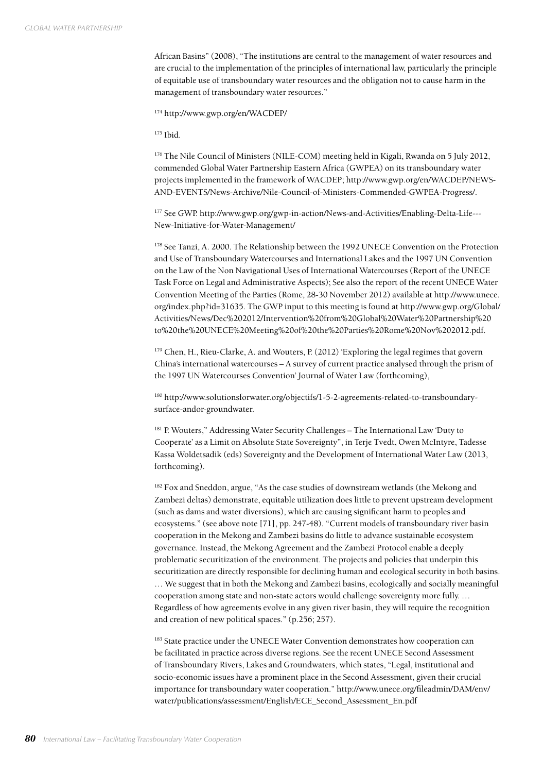African Basins" (2008), "The institutions are central to the management of water resources and are crucial to the implementation of the principles of international law, particularly the principle of equitable use of transboundary water resources and the obligation not to cause harm in the management of transboundary water resources."

<sup>174</sup> http://www.gwp.org/en/WACDEP/

<sup>175</sup> Ibid.

176 The Nile Council of Ministers (NILE-COM) meeting held in Kigali, Rwanda on 5 July 2012, commended Global Water Partnership Eastern Africa (GWPEA) on its transboundary water projects implemented in the framework of WACDEP; http://www.gwp.org/en/WACDEP/NEWS-AND-EVENTS/News-Archive/Nile-Council-of-Ministers-Commended-GWPEA-Progress/.

<sup>177</sup> See GWP. http://www.gwp.org/gwp-in-action/News-and-Activities/Enabling-Delta-Life--- New-Initiative-for-Water-Management/

178 See Tanzi, A. 2000. The Relationship between the 1992 UNECE Convention on the Protection and Use of Transboundary Watercourses and International Lakes and the 1997 UN Convention on the Law of the Non Navigational Uses of International Watercourses (Report of the UNECE Task Force on Legal and Administrative Aspects); See also the report of the recent UNECE Water Convention Meeting of the Parties (Rome, 28-30 November 2012) available at http://www.unece. org/index.php?id=31635. The GWP input to this meeting is found at http://www.gwp.org/Global/ Activities/News/Dec%202012/Intervention%20from%20Global%20Water%20Partnership%20 to%20the%20UNECE%20Meeting%20of%20the%20Parties%20Rome%20Nov%202012.pdf.

<sup>179</sup> Chen, H., Rieu-Clarke, A. and Wouters, P. (2012) 'Exploring the legal regimes that govern China's international watercourses – A survey of current practice analysed through the prism of the 1997 UN Watercourses Convention' Journal of Water Law (forthcoming),

<sup>180</sup> http://www.solutionsforwater.org/objectifs/1-5-2-agreements-related-to-transboundarysurface-andor-groundwater.

<sup>181</sup> P. Wouters," Addressing Water Security Challenges - The International Law 'Duty to Cooperate' as a Limit on Absolute State Sovereignty", in Terje Tvedt, Owen McIntyre, Tadesse Kassa Woldetsadik (eds) Sovereignty and the Development of International Water Law (2013, forthcoming).

<sup>182</sup> Fox and Sneddon, argue, "As the case studies of downstream wetlands (the Mekong and Zambezi deltas) demonstrate, equitable utilization does little to prevent upstream development (such as dams and water diversions), which are causing significant harm to peoples and ecosystems." (see above note [71], pp. 247-48). "Current models of transboundary river basin cooperation in the Mekong and Zambezi basins do little to advance sustainable ecosystem governance. Instead, the Mekong Agreement and the Zambezi Protocol enable a deeply problematic securitization of the environment. The projects and policies that underpin this securitization are directly responsible for declining human and ecological security in both basins. … We suggest that in both the Mekong and Zambezi basins, ecologically and socially meaningful cooperation among state and non-state actors would challenge sovereignty more fully. … Regardless of how agreements evolve in any given river basin, they will require the recognition and creation of new political spaces." (p.256; 257).

<sup>183</sup> State practice under the UNECE Water Convention demonstrates how cooperation can be facilitated in practice across diverse regions. See the recent UNECE Second Assessment of Transboundary Rivers, Lakes and Groundwaters, which states, "Legal, institutional and socio-economic issues have a prominent place in the Second Assessment, given their crucial importance for transboundary water cooperation." http://www.unece.org/fileadmin/DAM/env/ water/publications/assessment/English/ECE\_Second\_Assessment\_En.pdf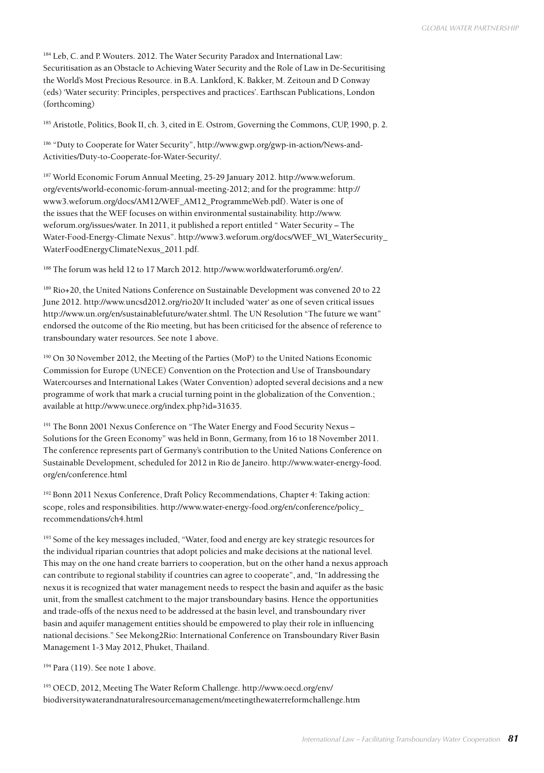184 Leb, C. and P. Wouters. 2012. The Water Security Paradox and International Law: Securitisation as an Obstacle to Achieving Water Security and the Role of Law in De-Securitising the World's Most Precious Resource. in B.A. Lankford, K. Bakker, M. Zeitoun and D Conway (eds) 'Water security: Principles, perspectives and practices'. Earthscan Publications, London (forthcoming)

185 Aristotle, Politics, Book II, ch. 3, cited in E. Ostrom, Governing the Commons, CUP, 1990, p. 2.

<sup>186</sup> "Duty to Cooperate for Water Security", http://www.gwp.org/gwp-in-action/News-and-Activities/Duty-to-Cooperate-for-Water-Security/.

<sup>187</sup> World Economic Forum Annual Meeting, 25-29 January 2012. http://www.weforum. org/events/world-economic-forum-annual-meeting-2012; and for the programme: http:// www3.weforum.org/docs/AM12/WEF\_AM12\_ProgrammeWeb.pdf). Water is one of the issues that the WEF focuses on within environmental sustainability. http://www. weforum.org/issues/water. In 2011, it published a report entitled " Water Security – The Water-Food-Energy-Climate Nexus". http://www3.weforum.org/docs/WEF\_WI\_WaterSecurity\_ WaterFoodEnergyClimateNexus\_2011.pdf.

<sup>188</sup> The forum was held 12 to 17 March 2012. http://www.worldwaterforum6.org/en/.

<sup>189</sup> Rio+20, the United Nations Conference on Sustainable Development was convened 20 to 22 June 2012. http://www.uncsd2012.org/rio20/ It included 'water' as one of seven critical issues http://www.un.org/en/sustainablefuture/water.shtml. The UN Resolution "The future we want" endorsed the outcome of the Rio meeting, but has been criticised for the absence of reference to transboundary water resources. See note 1 above.

<sup>190</sup> On 30 November 2012, the Meeting of the Parties (MoP) to the United Nations Economic Commission for Europe (UNECE) Convention on the Protection and Use of Transboundary Watercourses and International Lakes (Water Convention) adopted several decisions and a new programme of work that mark a crucial turning point in the globalization of the Convention.; available at http://www.unece.org/index.php?id=31635.

<sup>191</sup> The Bonn 2001 Nexus Conference on "The Water Energy and Food Security Nexus – Solutions for the Green Economy" was held in Bonn, Germany, from 16 to 18 November 2011. The conference represents part of Germany's contribution to the United Nations Conference on Sustainable Development, scheduled for 2012 in Rio de Janeiro. http://www.water-energy-food. org/en/conference.html

<sup>192</sup> Bonn 2011 Nexus Conference, Draft Policy Recommendations, Chapter 4: Taking action: scope, roles and responsibilities. http://www.water-energy-food.org/en/conference/policy\_ recommendations/ch4.html

<sup>193</sup> Some of the key messages included, "Water, food and energy are key strategic resources for the individual riparian countries that adopt policies and make decisions at the national level. This may on the one hand create barriers to cooperation, but on the other hand a nexus approach can contribute to regional stability if countries can agree to cooperate", and, "In addressing the nexus it is recognized that water management needs to respect the basin and aquifer as the basic unit, from the smallest catchment to the major transboundary basins. Hence the opportunities and trade-offs of the nexus need to be addressed at the basin level, and transboundary river basin and aquifer management entities should be empowered to play their role in influencing national decisions." See Mekong2Rio: International Conference on Transboundary River Basin Management 1-3 May 2012, Phuket, Thailand.

<sup>194</sup> Para (119). See note 1 above.

<sup>195</sup> OECD, 2012, Meeting The Water Reform Challenge. http://www.oecd.org/env/ biodiversitywaterandnaturalresourcemanagement/meetingthewaterreformchallenge.htm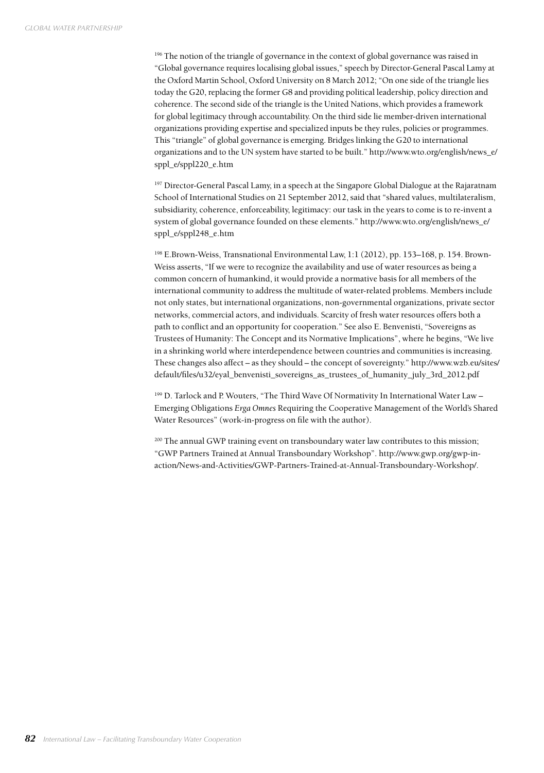<sup>196</sup> The notion of the triangle of governance in the context of global governance was raised in "Global governance requires localising global issues," speech by Director-General Pascal Lamy at the Oxford Martin School, Oxford University on 8 March 2012; "On one side of the triangle lies today the G20, replacing the former G8 and providing political leadership, policy direction and coherence. The second side of the triangle is the United Nations, which provides a framework for global legitimacy through accountability. On the third side lie member-driven international organizations providing expertise and specialized inputs be they rules, policies or programmes. This "triangle" of global governance is emerging. Bridges linking the G20 to international organizations and to the UN system have started to be built." http://www.wto.org/english/news\_e/ sppl\_e/sppl220\_e.htm

<sup>197</sup> Director-General Pascal Lamy, in a speech at the Singapore Global Dialogue at the Rajaratnam School of International Studies on 21 September 2012, said that "shared values, multilateralism, subsidiarity, coherence, enforceability, legitimacy: our task in the years to come is to re-invent a system of global governance founded on these elements." http://www.wto.org/english/news\_e/ sppl\_e/sppl248\_e.htm

<sup>198</sup> E.Brown-Weiss, Transnational Environmental Law, 1:1 (2012), pp. 153-168, p. 154. Brown-Weiss asserts, "If we were to recognize the availability and use of water resources as being a common concern of humankind, it would provide a normative basis for all members of the international community to address the multitude of water-related problems. Members include not only states, but international organizations, non-governmental organizations, private sector networks, commercial actors, and individuals. Scarcity of fresh water resources offers both a path to conflict and an opportunity for cooperation." See also E. Benvenisti, "Sovereigns as Trustees of Humanity: The Concept and its Normative Implications", where he begins, "We live in a shrinking world where interdependence between countries and communities is increasing. These changes also affect – as they should – the concept of sovereignty." http://www.wzb.eu/sites/ default/files/u32/eyal\_benvenisti\_sovereigns\_as\_trustees\_of\_humanity\_july\_3rd\_2012.pdf

<sup>199</sup> D. Tarlock and P. Wouters, "The Third Wave Of Normativity In International Water Law -Emerging Obligations *Erga Omnes* Requiring the Cooperative Management of the World's Shared Water Resources" (work-in-progress on file with the author).

<sup>200</sup> The annual GWP training event on transboundary water law contributes to this mission; "GWP Partners Trained at Annual Transboundary Workshop". http://www.gwp.org/gwp-inaction/News-and-Activities/GWP-Partners-Trained-at-Annual-Transboundary-Workshop/.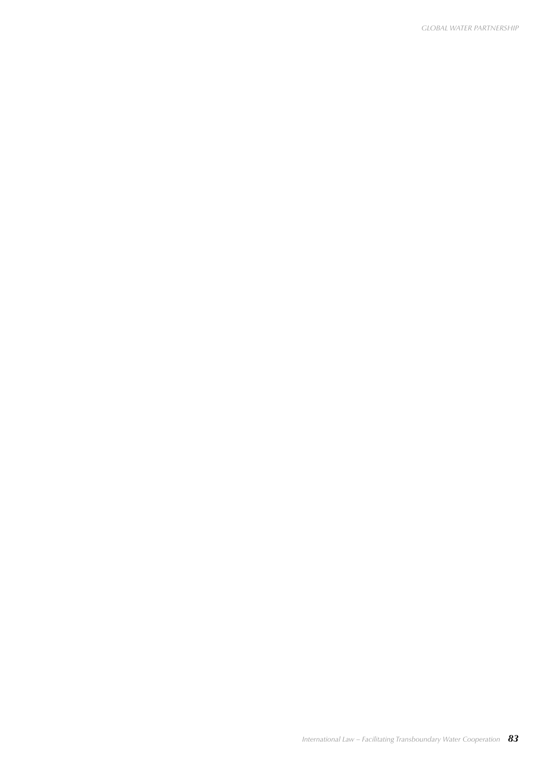*GLOBAL WATER PARTNERSHIP*